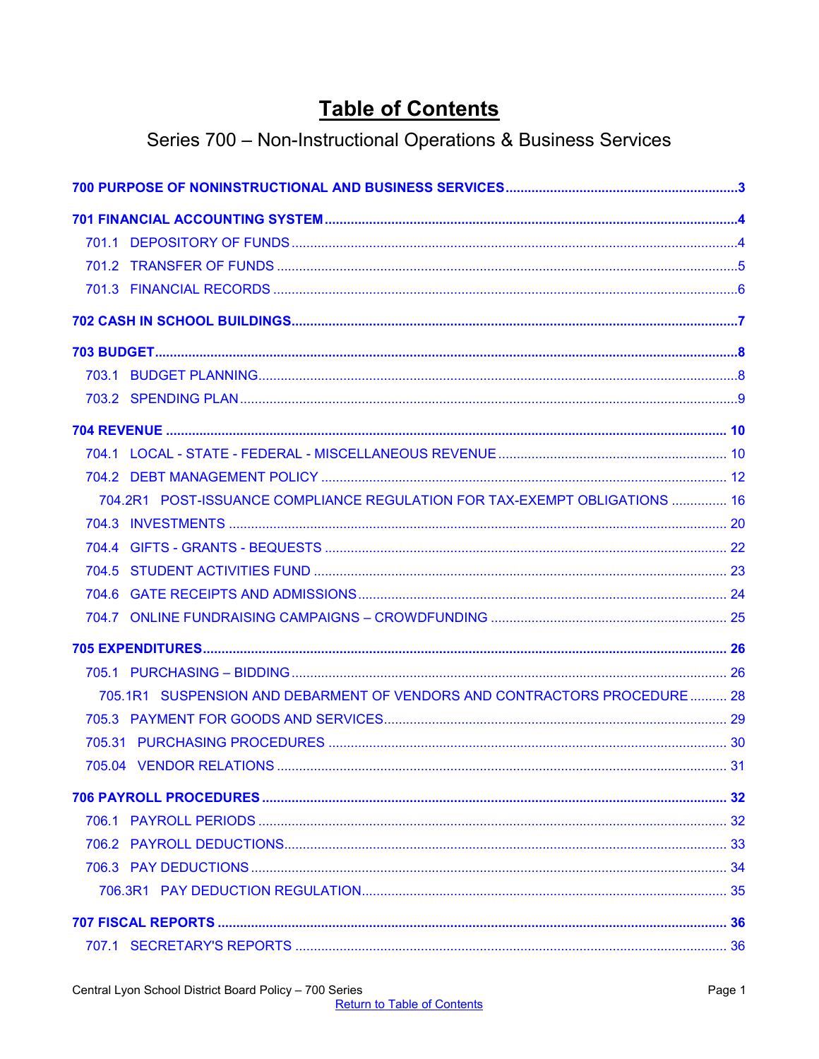# **Table of Contents**

# Series 700 - Non-Instructional Operations & Business Services

<span id="page-0-0"></span>

| 704.2R1 POST-ISSUANCE COMPLIANCE REGULATION FOR TAX-EXEMPT OBLIGATIONS  16 |  |
|----------------------------------------------------------------------------|--|
|                                                                            |  |
|                                                                            |  |
|                                                                            |  |
|                                                                            |  |
|                                                                            |  |
|                                                                            |  |
|                                                                            |  |
| 705.1R1 SUSPENSION AND DEBARMENT OF VENDORS AND CONTRACTORS PROCEDURE 28   |  |
|                                                                            |  |
|                                                                            |  |
|                                                                            |  |
|                                                                            |  |
|                                                                            |  |
|                                                                            |  |
|                                                                            |  |
|                                                                            |  |
|                                                                            |  |
|                                                                            |  |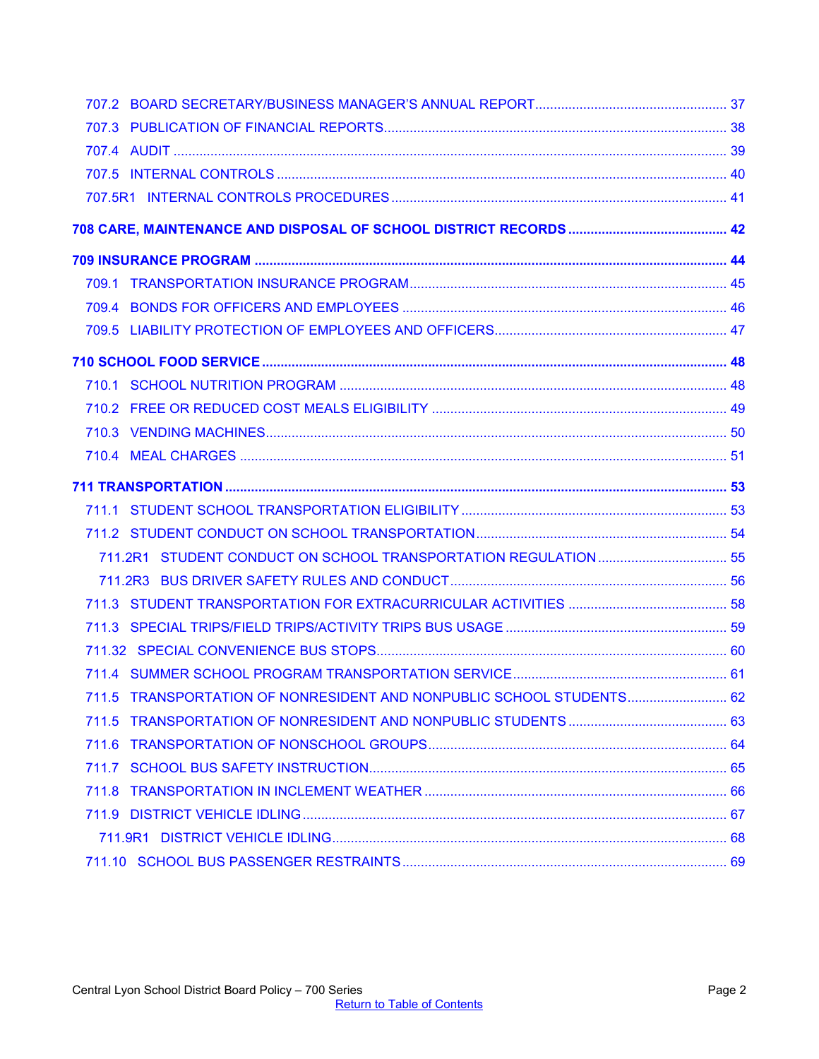| 711.5 TRANSPORTATION OF NONRESIDENT AND NONPUBLIC SCHOOL STUDENTS 62 |  |
|----------------------------------------------------------------------|--|
|                                                                      |  |
|                                                                      |  |
|                                                                      |  |
|                                                                      |  |
|                                                                      |  |
|                                                                      |  |
|                                                                      |  |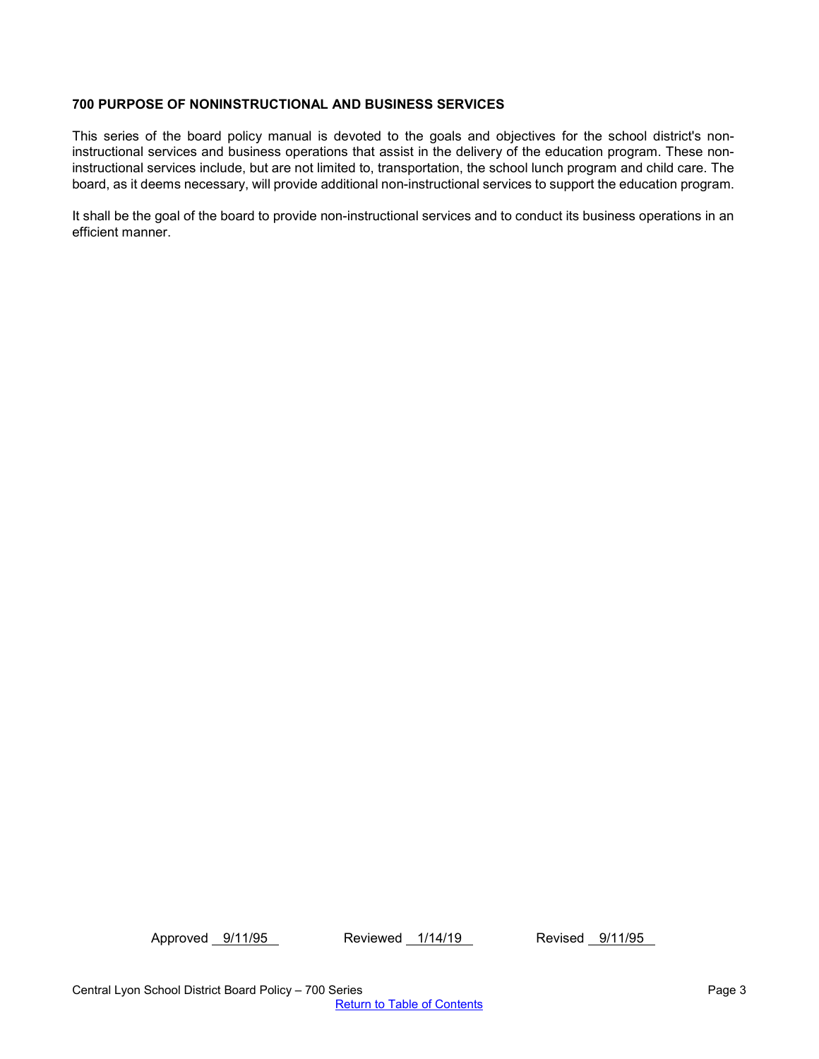## <span id="page-2-0"></span>**700 PURPOSE OF NONINSTRUCTIONAL AND BUSINESS SERVICES**

This series of the board policy manual is devoted to the goals and objectives for the school district's noninstructional services and business operations that assist in the delivery of the education program. These noninstructional services include, but are not limited to, transportation, the school lunch program and child care. The board, as it deems necessary, will provide additional non-instructional services to support the education program.

It shall be the goal of the board to provide non-instructional services and to conduct its business operations in an efficient manner.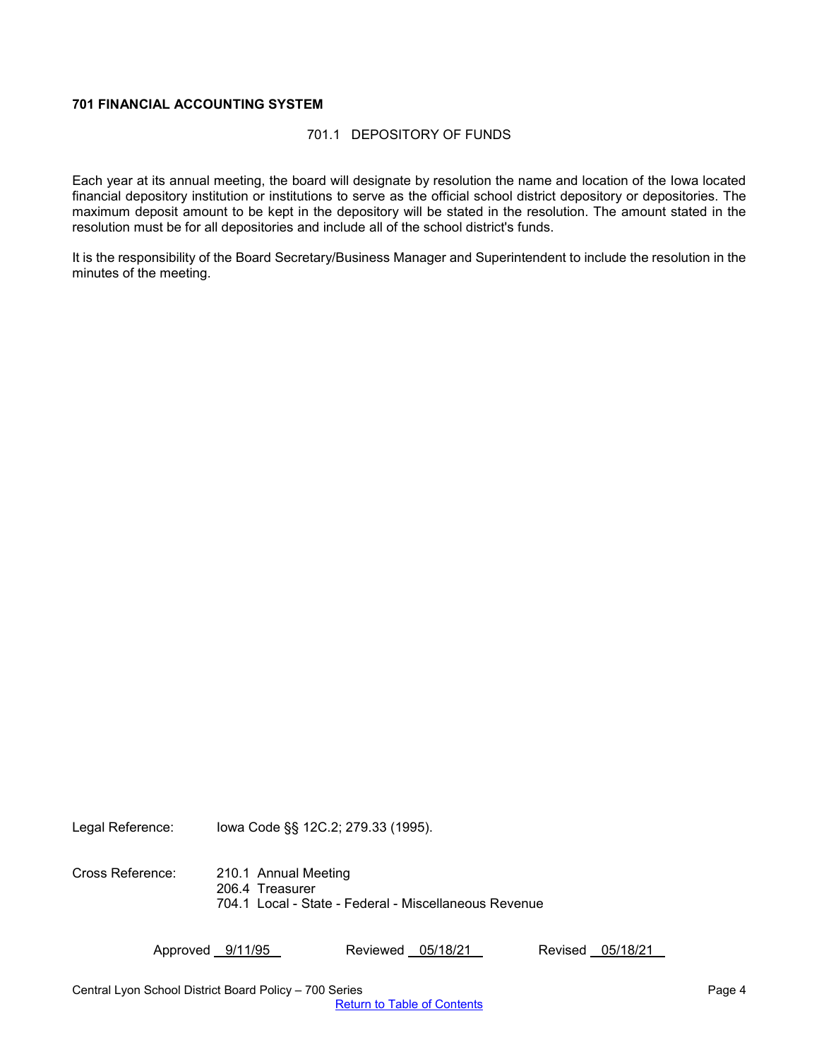## <span id="page-3-1"></span><span id="page-3-0"></span>**701 FINANCIAL ACCOUNTING SYSTEM**

### 701.1 DEPOSITORY OF FUNDS

Each year at its annual meeting, the board will designate by resolution the name and location of the Iowa located financial depository institution or institutions to serve as the official school district depository or depositories. The maximum deposit amount to be kept in the depository will be stated in the resolution. The amount stated in the resolution must be for all depositories and include all of the school district's funds.

It is the responsibility of the Board Secretary/Business Manager and Superintendent to include the resolution in the minutes of the meeting.

Legal Reference: Iowa Code §§ 12C.2; 279.33 (1995).

Cross Reference: 210.1 Annual Meeting 206.4 Treasurer 704.1 Local - State - Federal - Miscellaneous Revenue

Approved 9/11/95 Reviewed 05/18/21 Revised 05/18/21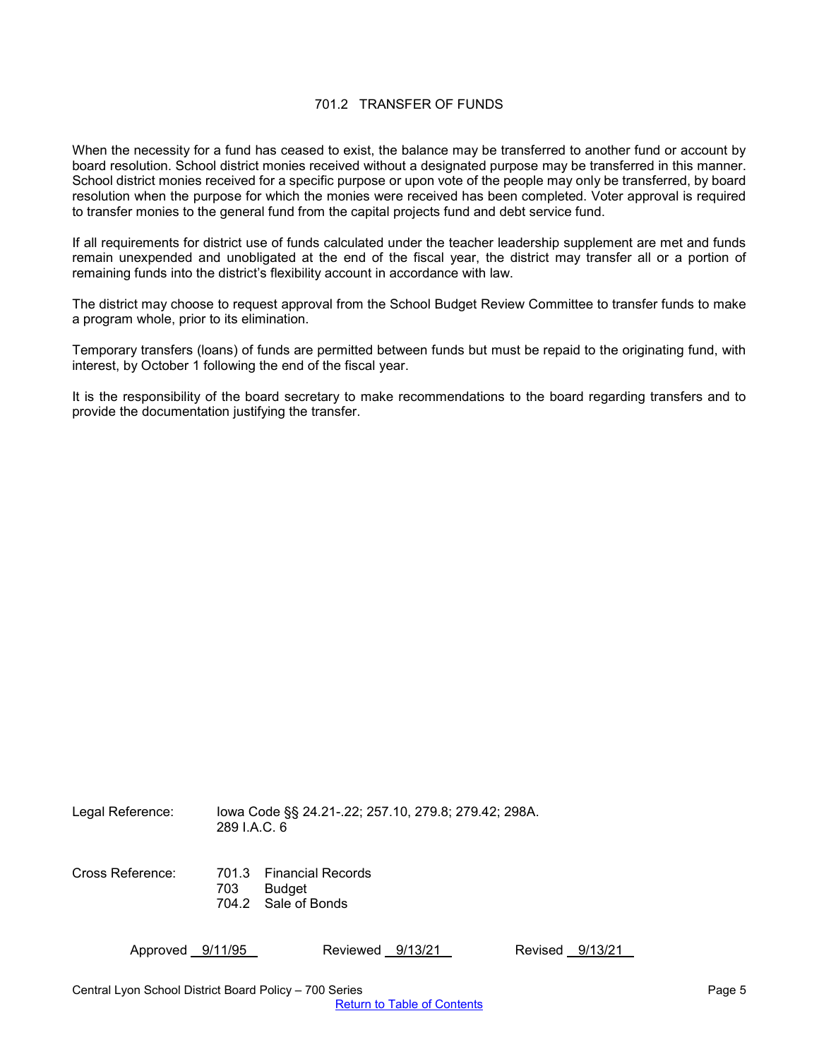### 701.2 TRANSFER OF FUNDS

<span id="page-4-0"></span>When the necessity for a fund has ceased to exist, the balance may be transferred to another fund or account by board resolution. School district monies received without a designated purpose may be transferred in this manner. School district monies received for a specific purpose or upon vote of the people may only be transferred, by board resolution when the purpose for which the monies were received has been completed. Voter approval is required to transfer monies to the general fund from the capital projects fund and debt service fund.

If all requirements for district use of funds calculated under the teacher leadership supplement are met and funds remain unexpended and unobligated at the end of the fiscal year, the district may transfer all or a portion of remaining funds into the district's flexibility account in accordance with law.

The district may choose to request approval from the School Budget Review Committee to transfer funds to make a program whole, prior to its elimination.

Temporary transfers (loans) of funds are permitted between funds but must be repaid to the originating fund, with interest, by October 1 following the end of the fiscal year.

It is the responsibility of the board secretary to make recommendations to the board regarding transfers and to provide the documentation justifying the transfer.

Legal Reference: Iowa Code §§ 24.21-.22; 257.10, 279.8; 279.42; 298A. 289 I.A.C. 6 Cross Reference: 701.3 Financial Records 703 Budget 704.2 Sale of Bonds

Approved 9/11/95 Reviewed 9/13/21 Revised 9/13/21

Central Lyon School District Board Policy – 700 Series Page 5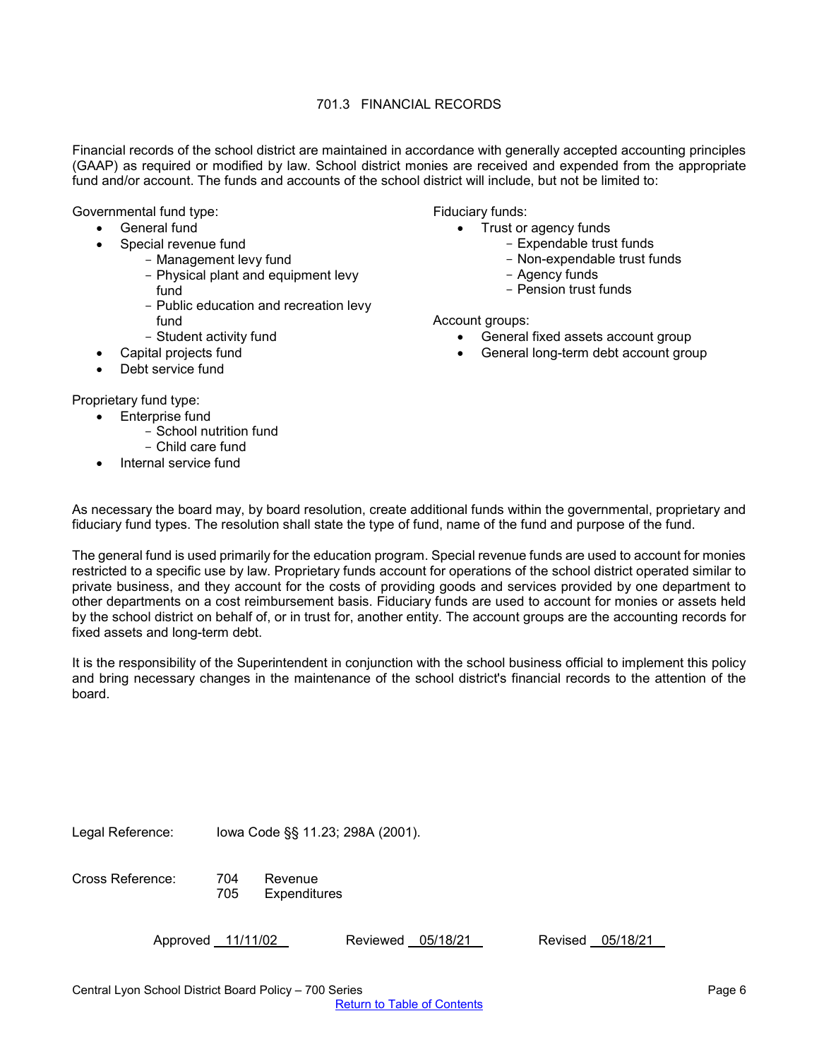# 701.3 FINANCIAL RECORDS

<span id="page-5-0"></span>Financial records of the school district are maintained in accordance with generally accepted accounting principles (GAAP) as required or modified by law. School district monies are received and expended from the appropriate fund and/or account. The funds and accounts of the school district will include, but not be limited to:

Governmental fund type:

- General fund
- Special revenue fund
	- Management levy fund
		- Physical plant and equipment levy fund
		- Public education and recreation levy fund
	- Student activity fund
- Capital projects fund
- Debt service fund

Proprietary fund type:

- Enterprise fund - School nutrition fund
	- Child care fund
- Internal service fund

Fiduciary funds:

- Trust or agency funds
	- Expendable trust funds
	- Non-expendable trust funds
	- Agency funds
	- Pension trust funds

Account groups:

- General fixed assets account group
- General long-term debt account group

As necessary the board may, by board resolution, create additional funds within the governmental, proprietary and fiduciary fund types. The resolution shall state the type of fund, name of the fund and purpose of the fund.

The general fund is used primarily for the education program. Special revenue funds are used to account for monies restricted to a specific use by law. Proprietary funds account for operations of the school district operated similar to private business, and they account for the costs of providing goods and services provided by one department to other departments on a cost reimbursement basis. Fiduciary funds are used to account for monies or assets held by the school district on behalf of, or in trust for, another entity. The account groups are the accounting records for fixed assets and long-term debt.

It is the responsibility of the Superintendent in conjunction with the school business official to implement this policy and bring necessary changes in the maintenance of the school district's financial records to the attention of the board.

Legal Reference: Iowa Code §§ 11.23; 298A (2001).

Cross Reference: 704 Revenue

705 Expenditures

Approved 11/11/02 Reviewed 05/18/21 Revised 05/18/21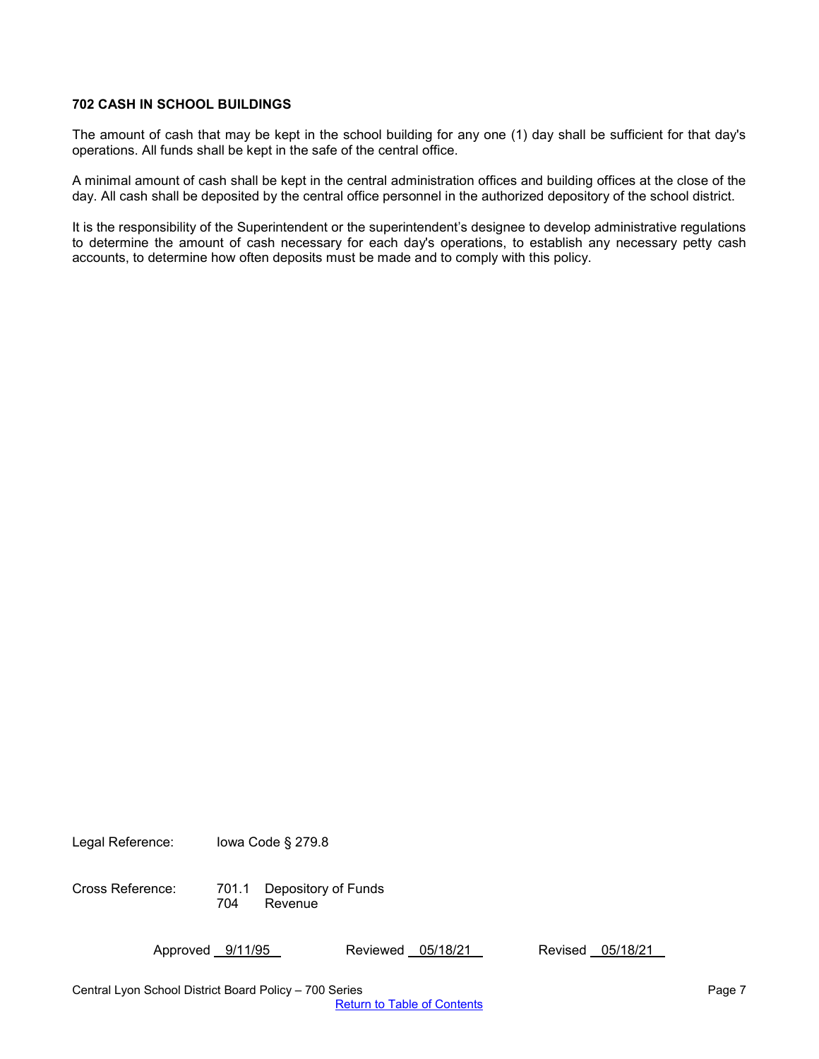## <span id="page-6-0"></span>**702 CASH IN SCHOOL BUILDINGS**

The amount of cash that may be kept in the school building for any one (1) day shall be sufficient for that day's operations. All funds shall be kept in the safe of the central office.

A minimal amount of cash shall be kept in the central administration offices and building offices at the close of the day. All cash shall be deposited by the central office personnel in the authorized depository of the school district.

It is the responsibility of the Superintendent or the superintendent's designee to develop administrative regulations to determine the amount of cash necessary for each day's operations, to establish any necessary petty cash accounts, to determine how often deposits must be made and to comply with this policy.

Legal Reference: Iowa Code § 279.8

Cross Reference: 701.1 Depository of Funds **Revenue** 

Approved 9/11/95 Reviewed 05/18/21 Revised 05/18/21

Central Lyon School District Board Policy – 700 Series Page 7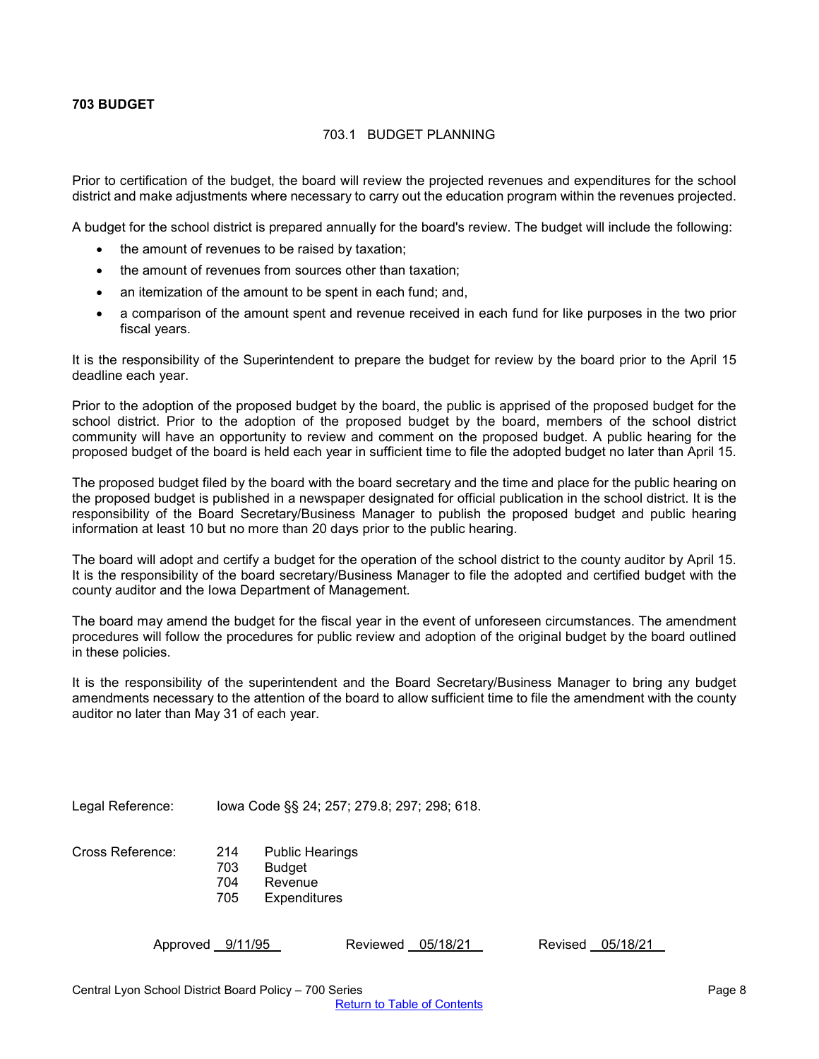## <span id="page-7-1"></span><span id="page-7-0"></span>**703 BUDGET**

## 703.1 BUDGET PLANNING

Prior to certification of the budget, the board will review the projected revenues and expenditures for the school district and make adjustments where necessary to carry out the education program within the revenues projected.

A budget for the school district is prepared annually for the board's review. The budget will include the following:

- the amount of revenues to be raised by taxation;
- the amount of revenues from sources other than taxation;
- an itemization of the amount to be spent in each fund; and,
- a comparison of the amount spent and revenue received in each fund for like purposes in the two prior fiscal years.

It is the responsibility of the Superintendent to prepare the budget for review by the board prior to the April 15 deadline each year.

Prior to the adoption of the proposed budget by the board, the public is apprised of the proposed budget for the school district. Prior to the adoption of the proposed budget by the board, members of the school district community will have an opportunity to review and comment on the proposed budget. A public hearing for the proposed budget of the board is held each year in sufficient time to file the adopted budget no later than April 15.

The proposed budget filed by the board with the board secretary and the time and place for the public hearing on the proposed budget is published in a newspaper designated for official publication in the school district. It is the responsibility of the Board Secretary/Business Manager to publish the proposed budget and public hearing information at least 10 but no more than 20 days prior to the public hearing.

The board will adopt and certify a budget for the operation of the school district to the county auditor by April 15. It is the responsibility of the board secretary/Business Manager to file the adopted and certified budget with the county auditor and the Iowa Department of Management.

The board may amend the budget for the fiscal year in the event of unforeseen circumstances. The amendment procedures will follow the procedures for public review and adoption of the original budget by the board outlined in these policies.

It is the responsibility of the superintendent and the Board Secretary/Business Manager to bring any budget amendments necessary to the attention of the board to allow sufficient time to file the amendment with the county auditor no later than May 31 of each year.

Legal Reference: Iowa Code §§ 24; 257; 279.8; 297; 298; 618.

| Cross Reference: | 214 | <b>Public Hearings</b> |
|------------------|-----|------------------------|
|                  | 703 | Budget                 |
|                  | 704 | Revenue                |
|                  | 705 | Expenditures           |

Approved 9/11/95 Reviewed 05/18/21 Revised 05/18/21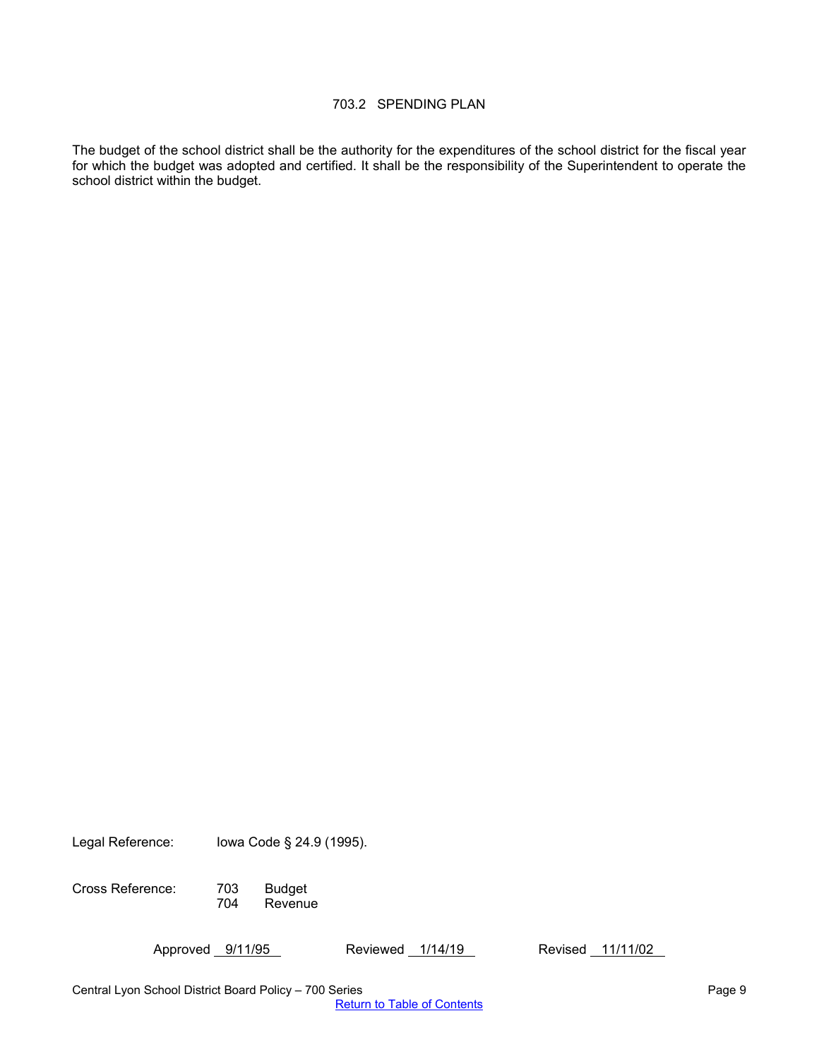# 703.2 SPENDING PLAN

<span id="page-8-0"></span>The budget of the school district shall be the authority for the expenditures of the school district for the fiscal year for which the budget was adopted and certified. It shall be the responsibility of the Superintendent to operate the school district within the budget.

Legal Reference: Iowa Code § 24.9 (1995).

Cross Reference: 703 Budget **Revenue** 

Approved 9/11/95 Reviewed 1/14/19 Revised 11/11/02

Central Lyon School District Board Policy – 700 Series Page 9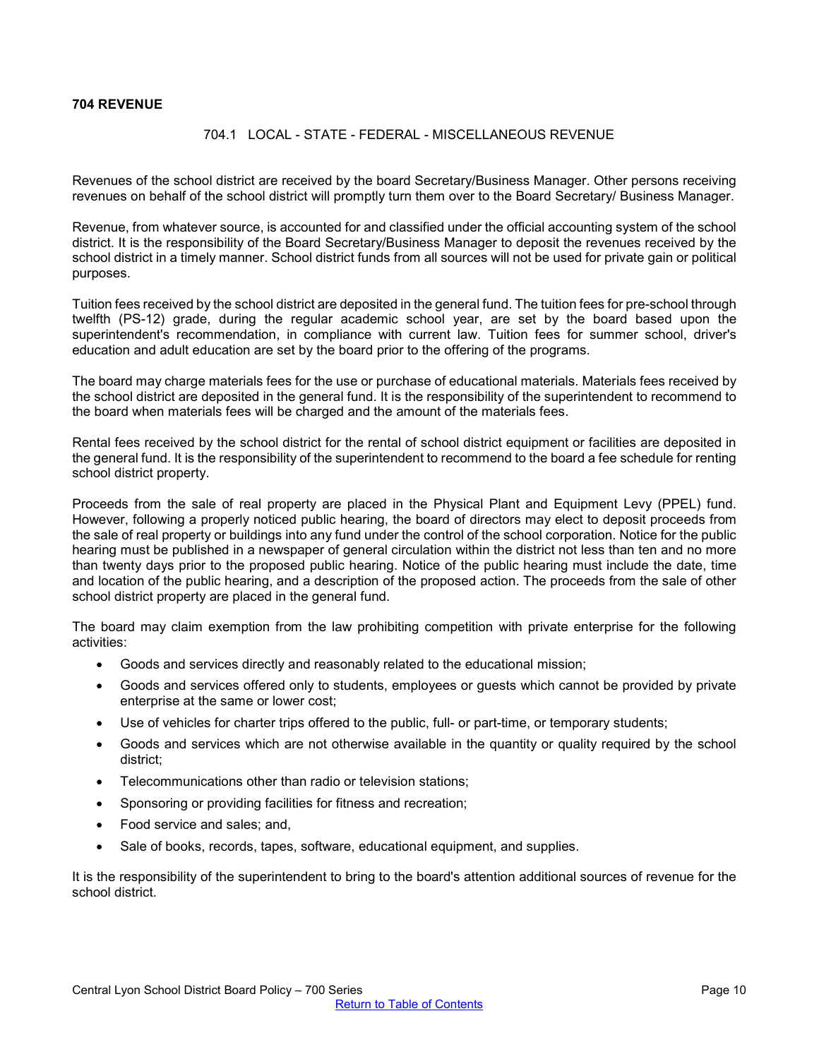## <span id="page-9-1"></span><span id="page-9-0"></span>**704 REVENUE**

### 704.1 LOCAL - STATE - FEDERAL - MISCELLANEOUS REVENUE

Revenues of the school district are received by the board Secretary/Business Manager. Other persons receiving revenues on behalf of the school district will promptly turn them over to the Board Secretary/ Business Manager.

Revenue, from whatever source, is accounted for and classified under the official accounting system of the school district. It is the responsibility of the Board Secretary/Business Manager to deposit the revenues received by the school district in a timely manner. School district funds from all sources will not be used for private gain or political purposes.

Tuition fees received by the school district are deposited in the general fund. The tuition fees for pre-school through twelfth (PS-12) grade, during the regular academic school year, are set by the board based upon the superintendent's recommendation, in compliance with current law. Tuition fees for summer school, driver's education and adult education are set by the board prior to the offering of the programs.

The board may charge materials fees for the use or purchase of educational materials. Materials fees received by the school district are deposited in the general fund. It is the responsibility of the superintendent to recommend to the board when materials fees will be charged and the amount of the materials fees.

Rental fees received by the school district for the rental of school district equipment or facilities are deposited in the general fund. It is the responsibility of the superintendent to recommend to the board a fee schedule for renting school district property.

Proceeds from the sale of real property are placed in the Physical Plant and Equipment Levy (PPEL) fund. However, following a properly noticed public hearing, the board of directors may elect to deposit proceeds from the sale of real property or buildings into any fund under the control of the school corporation. Notice for the public hearing must be published in a newspaper of general circulation within the district not less than ten and no more than twenty days prior to the proposed public hearing. Notice of the public hearing must include the date, time and location of the public hearing, and a description of the proposed action. The proceeds from the sale of other school district property are placed in the general fund.

The board may claim exemption from the law prohibiting competition with private enterprise for the following activities:

- Goods and services directly and reasonably related to the educational mission;
- Goods and services offered only to students, employees or guests which cannot be provided by private enterprise at the same or lower cost;
- Use of vehicles for charter trips offered to the public, full- or part-time, or temporary students;
- Goods and services which are not otherwise available in the quantity or quality required by the school district;
- Telecommunications other than radio or television stations;
- Sponsoring or providing facilities for fitness and recreation;
- Food service and sales; and,
- Sale of books, records, tapes, software, educational equipment, and supplies.

It is the responsibility of the superintendent to bring to the board's attention additional sources of revenue for the school district.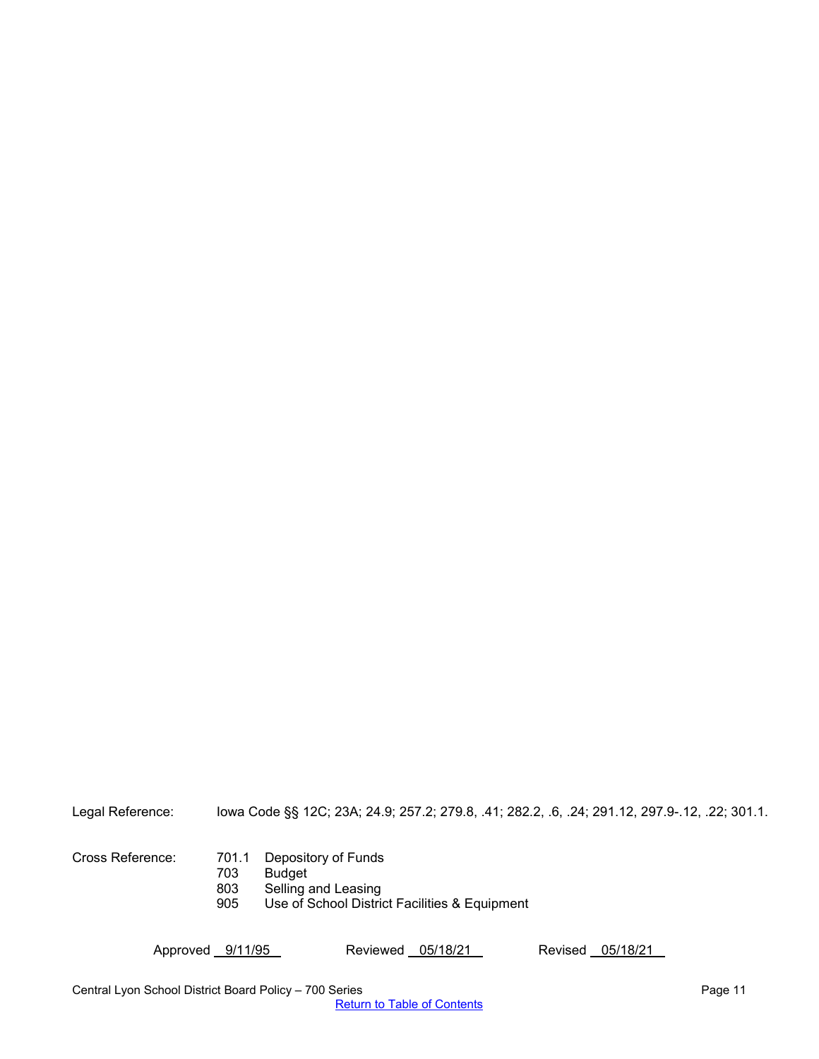Legal Reference: Iowa Code §§ 12C; 23A; 24.9; 257.2; 279.8, .41; 282.2, .6, .24; 291.12, 297.9-.12, .22; 301.1.

Cross Reference: 701.1 Depository of Funds 703 Budget<br>803 Selling 803 Selling and Leasing<br>905 Use of School Distri Use of School District Facilities & Equipment

Approved 9/11/95 Reviewed 05/18/21 Revised 05/18/21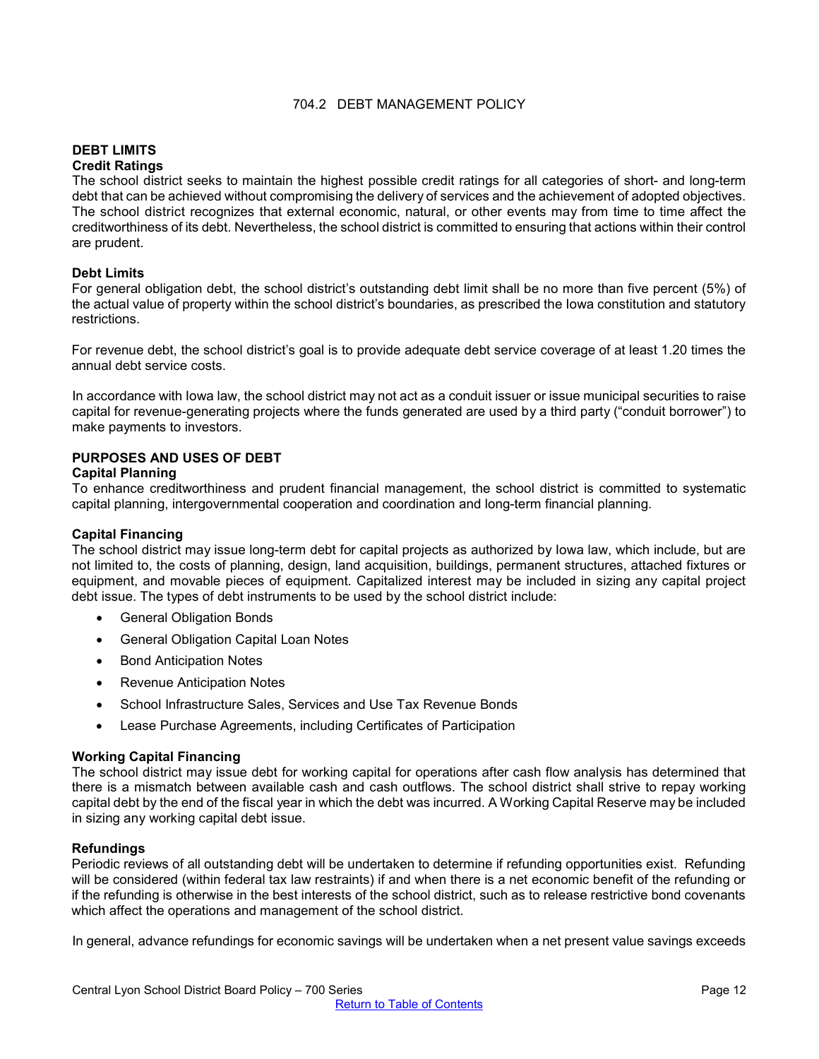## 704.2 DEBT MANAGEMENT POLICY

#### <span id="page-11-0"></span>**DEBT LIMITS Credit Ratings**

The school district seeks to maintain the highest possible credit ratings for all categories of short- and long-term debt that can be achieved without compromising the delivery of services and the achievement of adopted objectives. The school district recognizes that external economic, natural, or other events may from time to time affect the creditworthiness of its debt. Nevertheless, the school district is committed to ensuring that actions within their control are prudent.

## **Debt Limits**

For general obligation debt, the school district's outstanding debt limit shall be no more than five percent (5%) of the actual value of property within the school district's boundaries, as prescribed the Iowa constitution and statutory restrictions.

For revenue debt, the school district's goal is to provide adequate debt service coverage of at least 1.20 times the annual debt service costs.

In accordance with Iowa law, the school district may not act as a conduit issuer or issue municipal securities to raise capital for revenue-generating projects where the funds generated are used by a third party ("conduit borrower") to make payments to investors.

## **PURPOSES AND USES OF DEBT**

#### **Capital Planning**

To enhance creditworthiness and prudent financial management, the school district is committed to systematic capital planning, intergovernmental cooperation and coordination and long-term financial planning.

#### **Capital Financing**

The school district may issue long-term debt for capital projects as authorized by Iowa law, which include, but are not limited to, the costs of planning, design, land acquisition, buildings, permanent structures, attached fixtures or equipment, and movable pieces of equipment. Capitalized interest may be included in sizing any capital project debt issue. The types of debt instruments to be used by the school district include:

- General Obligation Bonds
- General Obligation Capital Loan Notes
- Bond Anticipation Notes
- Revenue Anticipation Notes
- School Infrastructure Sales, Services and Use Tax Revenue Bonds
- Lease Purchase Agreements, including Certificates of Participation

#### **Working Capital Financing**

The school district may issue debt for working capital for operations after cash flow analysis has determined that there is a mismatch between available cash and cash outflows. The school district shall strive to repay working capital debt by the end of the fiscal year in which the debt was incurred. A Working Capital Reserve may be included in sizing any working capital debt issue.

#### **Refundings**

Periodic reviews of all outstanding debt will be undertaken to determine if refunding opportunities exist. Refunding will be considered (within federal tax law restraints) if and when there is a net economic benefit of the refunding or if the refunding is otherwise in the best interests of the school district, such as to release restrictive bond covenants which affect the operations and management of the school district.

In general, advance refundings for economic savings will be undertaken when a net present value savings exceeds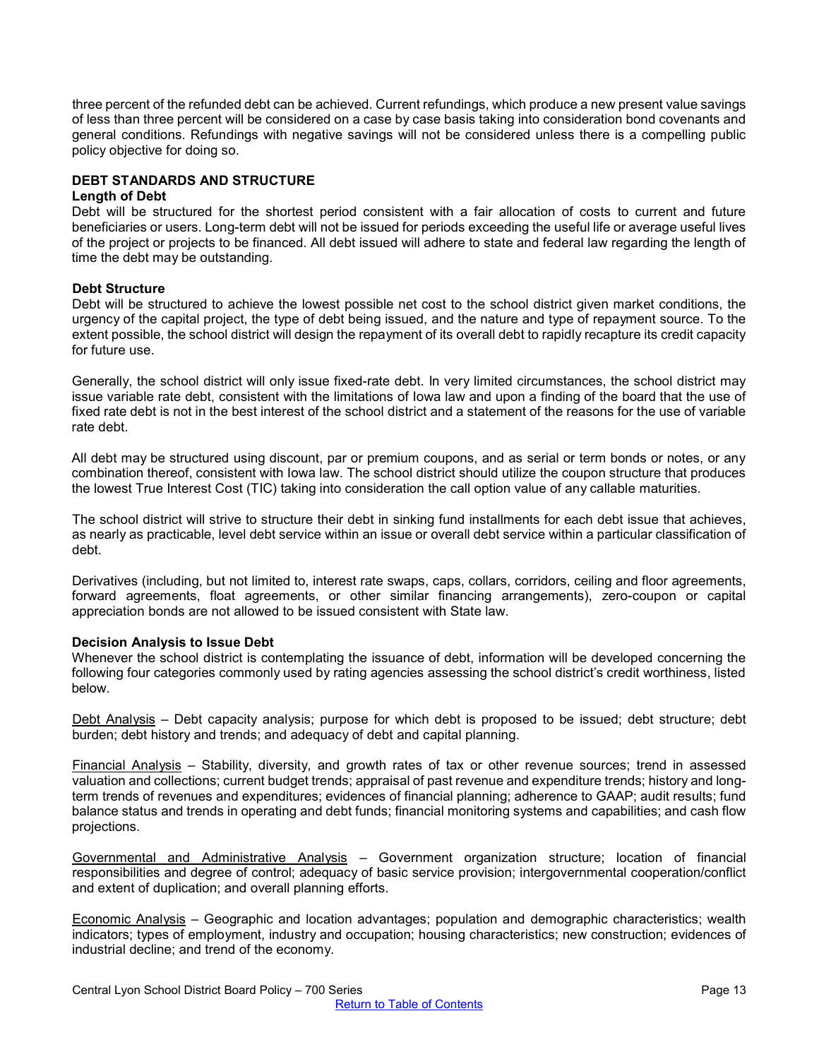three percent of the refunded debt can be achieved. Current refundings, which produce a new present value savings of less than three percent will be considered on a case by case basis taking into consideration bond covenants and general conditions. Refundings with negative savings will not be considered unless there is a compelling public policy objective for doing so.

## **DEBT STANDARDS AND STRUCTURE**

#### **Length of Debt**

Debt will be structured for the shortest period consistent with a fair allocation of costs to current and future beneficiaries or users. Long-term debt will not be issued for periods exceeding the useful life or average useful lives of the project or projects to be financed. All debt issued will adhere to state and federal law regarding the length of time the debt may be outstanding.

#### **Debt Structure**

Debt will be structured to achieve the lowest possible net cost to the school district given market conditions, the urgency of the capital project, the type of debt being issued, and the nature and type of repayment source. To the extent possible, the school district will design the repayment of its overall debt to rapidly recapture its credit capacity for future use.

Generally, the school district will only issue fixed-rate debt. In very limited circumstances, the school district may issue variable rate debt, consistent with the limitations of Iowa law and upon a finding of the board that the use of fixed rate debt is not in the best interest of the school district and a statement of the reasons for the use of variable rate debt.

All debt may be structured using discount, par or premium coupons, and as serial or term bonds or notes, or any combination thereof, consistent with Iowa law. The school district should utilize the coupon structure that produces the lowest True Interest Cost (TIC) taking into consideration the call option value of any callable maturities.

The school district will strive to structure their debt in sinking fund installments for each debt issue that achieves, as nearly as practicable, level debt service within an issue or overall debt service within a particular classification of debt.

Derivatives (including, but not limited to, interest rate swaps, caps, collars, corridors, ceiling and floor agreements, forward agreements, float agreements, or other similar financing arrangements), zero-coupon or capital appreciation bonds are not allowed to be issued consistent with State law.

#### **Decision Analysis to Issue Debt**

Whenever the school district is contemplating the issuance of debt, information will be developed concerning the following four categories commonly used by rating agencies assessing the school district's credit worthiness, listed below.

Debt Analysis – Debt capacity analysis; purpose for which debt is proposed to be issued; debt structure; debt burden; debt history and trends; and adequacy of debt and capital planning.

Financial Analysis – Stability, diversity, and growth rates of tax or other revenue sources; trend in assessed valuation and collections; current budget trends; appraisal of past revenue and expenditure trends; history and longterm trends of revenues and expenditures; evidences of financial planning; adherence to GAAP; audit results; fund balance status and trends in operating and debt funds; financial monitoring systems and capabilities; and cash flow projections.

Governmental and Administrative Analysis – Government organization structure; location of financial responsibilities and degree of control; adequacy of basic service provision; intergovernmental cooperation/conflict and extent of duplication; and overall planning efforts.

Economic Analysis – Geographic and location advantages; population and demographic characteristics; wealth indicators; types of employment, industry and occupation; housing characteristics; new construction; evidences of industrial decline; and trend of the economy.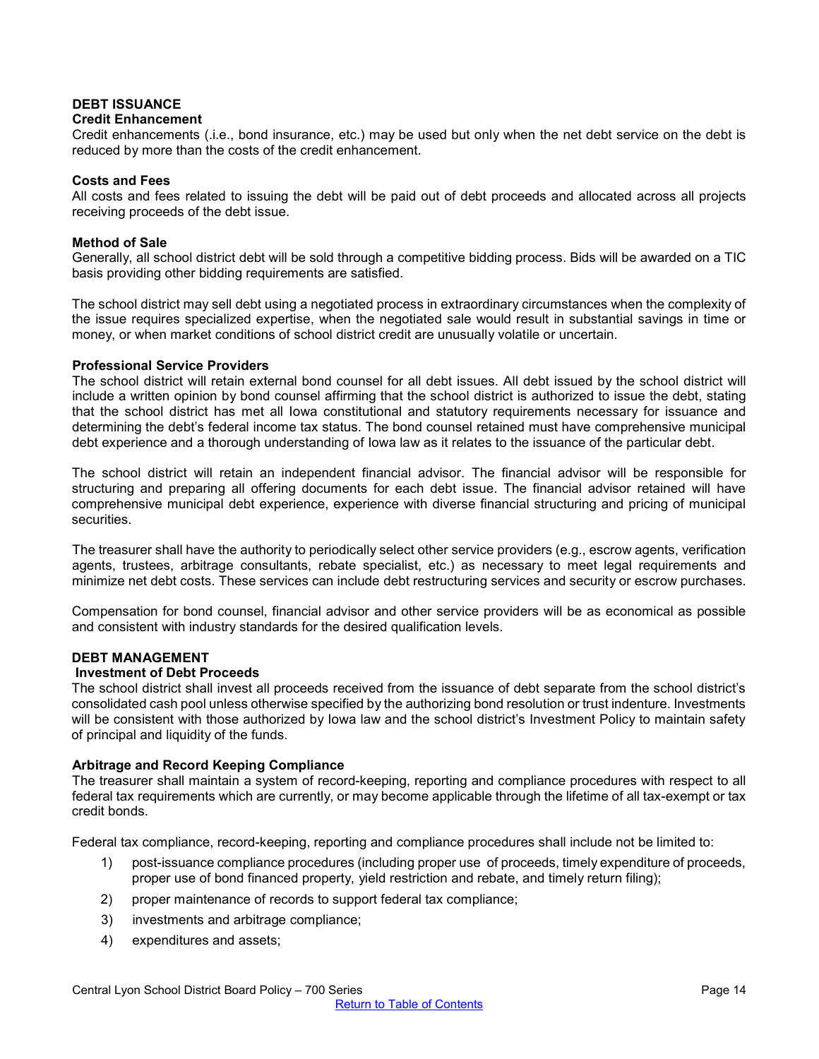# **DEBT ISSUANCE**

#### **Credit Enhancement**

Credit enhancements (.i.e., bond insurance, etc.) may be used but only when the net debt service on the debt is reduced by more than the costs of the credit enhancement.

#### **Costs and Fees**

All costs and fees related to issuing the debt will be paid out of debt proceeds and allocated across all projects receiving proceeds of the debt issue.

#### **Method of Sale**

Generally, all school district debt will be sold through a competitive bidding process. Bids will be awarded on a TIC basis providing other bidding requirements are satisfied.

The school district may sell debt using a negotiated process in extraordinary circumstances when the complexity of the issue requires specialized expertise, when the negotiated sale would result in substantial savings in time or money, or when market conditions of school district credit are unusually volatile or uncertain.

#### **Professional Service Providers**

The school district will retain external bond counsel for all debt issues. All debt issued by the school district will include a written opinion by bond counsel affirming that the school district is authorized to issue the debt, stating that the school district has met all Iowa constitutional and statutory requirements necessary for issuance and determining the debt's federal income tax status. The bond counsel retained must have comprehensive municipal debt experience and a thorough understanding of Iowa law as it relates to the issuance of the particular debt.

The school district will retain an independent financial advisor. The financial advisor will be responsible for structuring and preparing all offering documents for each debt issue. The financial advisor retained will have comprehensive municipal debt experience, experience with diverse financial structuring and pricing of municipal securities.

The treasurer shall have the authority to periodically select other service providers (e.g., escrow agents, verification agents, trustees, arbitrage consultants, rebate specialist, etc.) as necessary to meet legal requirements and minimize net debt costs. These services can include debt restructuring services and security or escrow purchases.

Compensation for bond counsel, financial advisor and other service providers will be as economical as possible and consistent with industry standards for the desired qualification levels.

#### **DEBT MANAGEMENT**

#### **Investment of Debt Proceeds**

The school district shall invest all proceeds received from the issuance of debt separate from the school district's consolidated cash pool unless otherwise specified by the authorizing bond resolution or trust indenture. Investments will be consistent with those authorized by Iowa law and the school district's Investment Policy to maintain safety of principal and liquidity of the funds.

#### **Arbitrage and Record Keeping Compliance**

The treasurer shall maintain a system of record-keeping, reporting and compliance procedures with respect to all federal tax requirements which are currently, or may become applicable through the lifetime of all tax-exempt or tax credit bonds.

Federal tax compliance, record-keeping, reporting and compliance procedures shall include not be limited to:

- 1) post-issuance compliance procedures (including proper use of proceeds, timely expenditure of proceeds, proper use of bond financed property, yield restriction and rebate, and timely return filing);
- 2) proper maintenance of records to support federal tax compliance;
- 3) investments and arbitrage compliance;
- 4) expenditures and assets;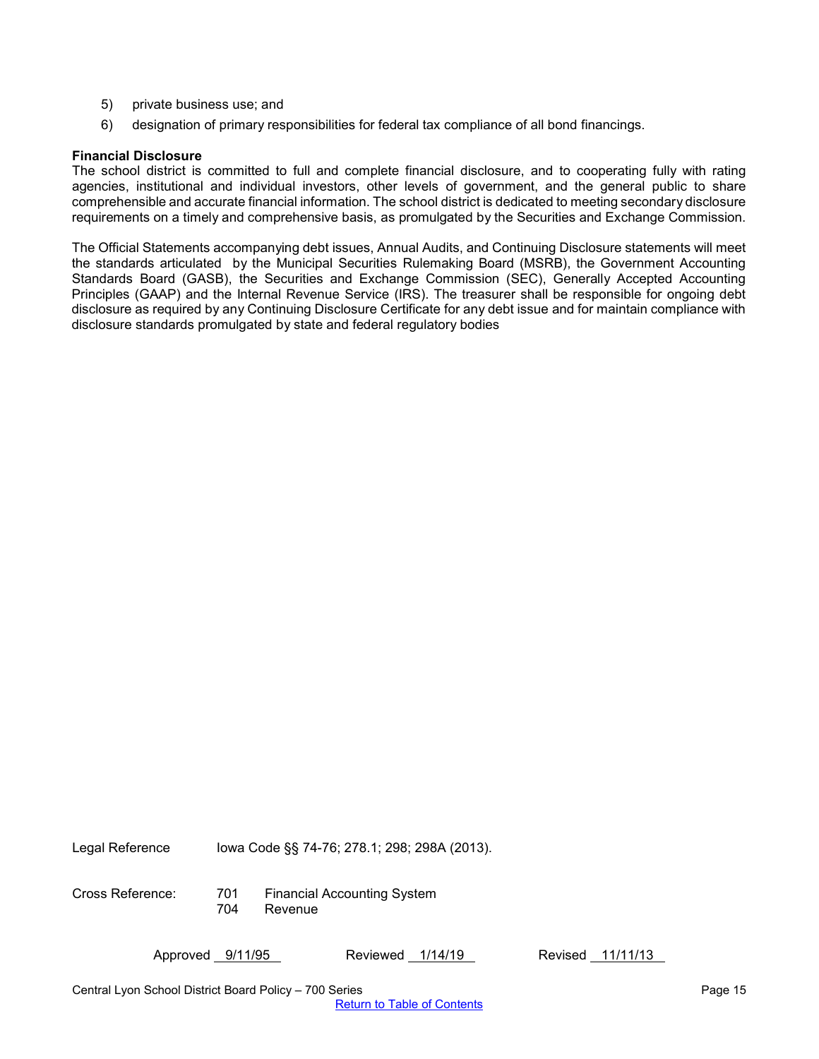- 5) private business use; and
- 6) designation of primary responsibilities for federal tax compliance of all bond financings.

#### **Financial Disclosure**

The school district is committed to full and complete financial disclosure, and to cooperating fully with rating agencies, institutional and individual investors, other levels of government, and the general public to share comprehensible and accurate financial information. The school district is dedicated to meeting secondary disclosure requirements on a timely and comprehensive basis, as promulgated by the Securities and Exchange Commission.

The Official Statements accompanying debt issues, Annual Audits, and Continuing Disclosure statements will meet the standards articulated by the Municipal Securities Rulemaking Board (MSRB), the Government Accounting Standards Board (GASB), the Securities and Exchange Commission (SEC), Generally Accepted Accounting Principles (GAAP) and the Internal Revenue Service (IRS). The treasurer shall be responsible for ongoing debt disclosure as required by any Continuing Disclosure Certificate for any debt issue and for maintain compliance with disclosure standards promulgated by state and federal regulatory bodies

Legal Reference Iowa Code §§ 74-76; 278.1; 298; 298A (2013).

Cross Reference: 701 Financial Accounting System **Revenue**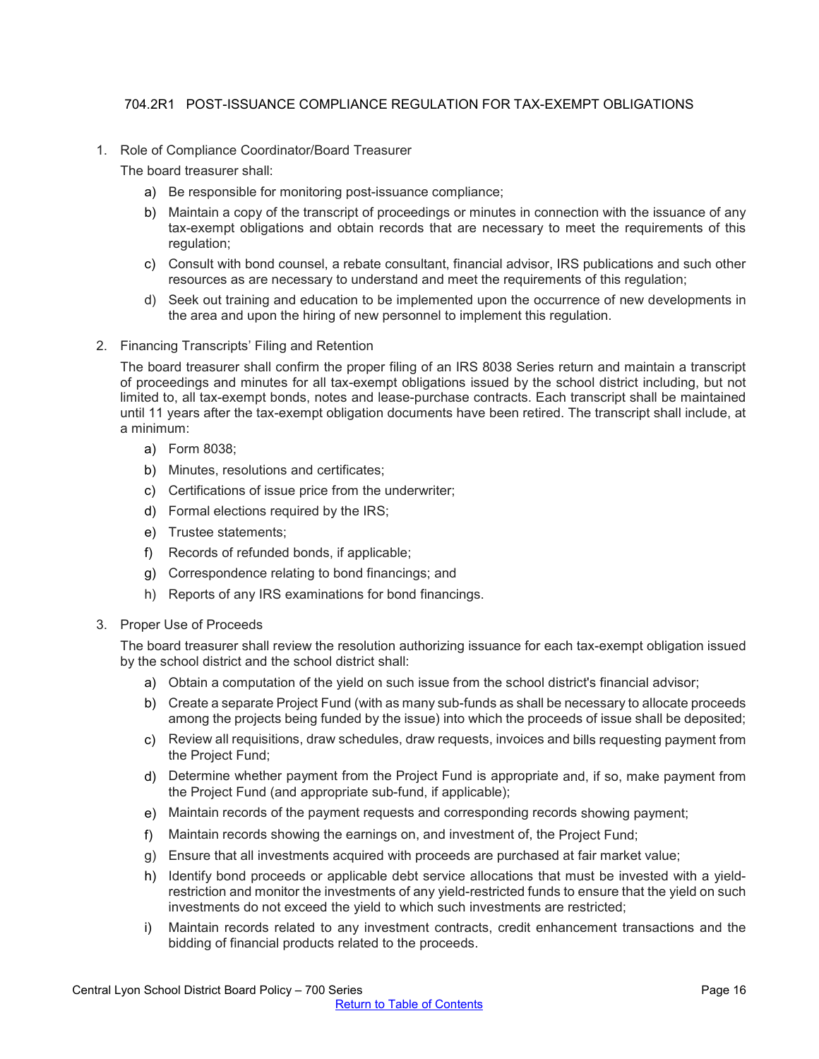# 704.2R1 POST-ISSUANCE COMPLIANCE REGULATION FOR TAX-EXEMPT OBLIGATIONS

<span id="page-15-0"></span>1. Role of Compliance Coordinator/Board Treasurer

The board treasurer shall:

- a) Be responsible for monitoring post-issuance compliance;
- b) Maintain a copy of the transcript of proceedings or minutes in connection with the issuance of any tax-exempt obligations and obtain records that are necessary to meet the requirements of this regulation;
- c) Consult with bond counsel, a rebate consultant, financial advisor, IRS publications and such other resources as are necessary to understand and meet the requirements of this regulation;
- d) Seek out training and education to be implemented upon the occurrence of new developments in the area and upon the hiring of new personnel to implement this regulation.
- 2. Financing Transcripts' Filing and Retention

The board treasurer shall confirm the proper filing of an IRS 8038 Series return and maintain a transcript of proceedings and minutes for all tax-exempt obligations issued by the school district including, but not limited to, all tax-exempt bonds, notes and lease-purchase contracts. Each transcript shall be maintained until 11 years after the tax-exempt obligation documents have been retired. The transcript shall include, at a minimum:

- a) Form 8038;
- b) Minutes, resolutions and certificates;
- c) Certifications of issue price from the underwriter;
- d) Formal elections required by the IRS;
- e) Trustee statements;
- f) Records of refunded bonds, if applicable;
- g) Correspondence relating to bond financings; and
- h) Reports of any IRS examinations for bond financings.
- 3. Proper Use of Proceeds

The board treasurer shall review the resolution authorizing issuance for each tax-exempt obligation issued by the school district and the school district shall:

- a) Obtain a computation of the yield on such issue from the school district's financial advisor;
- b) Create a separate Project Fund (with as many sub-funds as shall be necessary to allocate proceeds among the projects being funded by the issue) into which the proceeds of issue shall be deposited;
- c) Review all requisitions, draw schedules, draw requests, invoices and bills requesting payment from the Project Fund;
- d) Determine whether payment from the Project Fund is appropriate and, if so, make payment from the Project Fund (and appropriate sub-fund, if applicable);
- e) Maintain records of the payment requests and corresponding records showing payment;
- f) Maintain records showing the earnings on, and investment of, the Project Fund;
- g) Ensure that all investments acquired with proceeds are purchased at fair market value;
- h) Identify bond proceeds or applicable debt service allocations that must be invested with a yieldrestriction and monitor the investments of any yield-restricted funds to ensure that the yield on such investments do not exceed the yield to which such investments are restricted;
- i) Maintain records related to any investment contracts, credit enhancement transactions and the bidding of financial products related to the proceeds.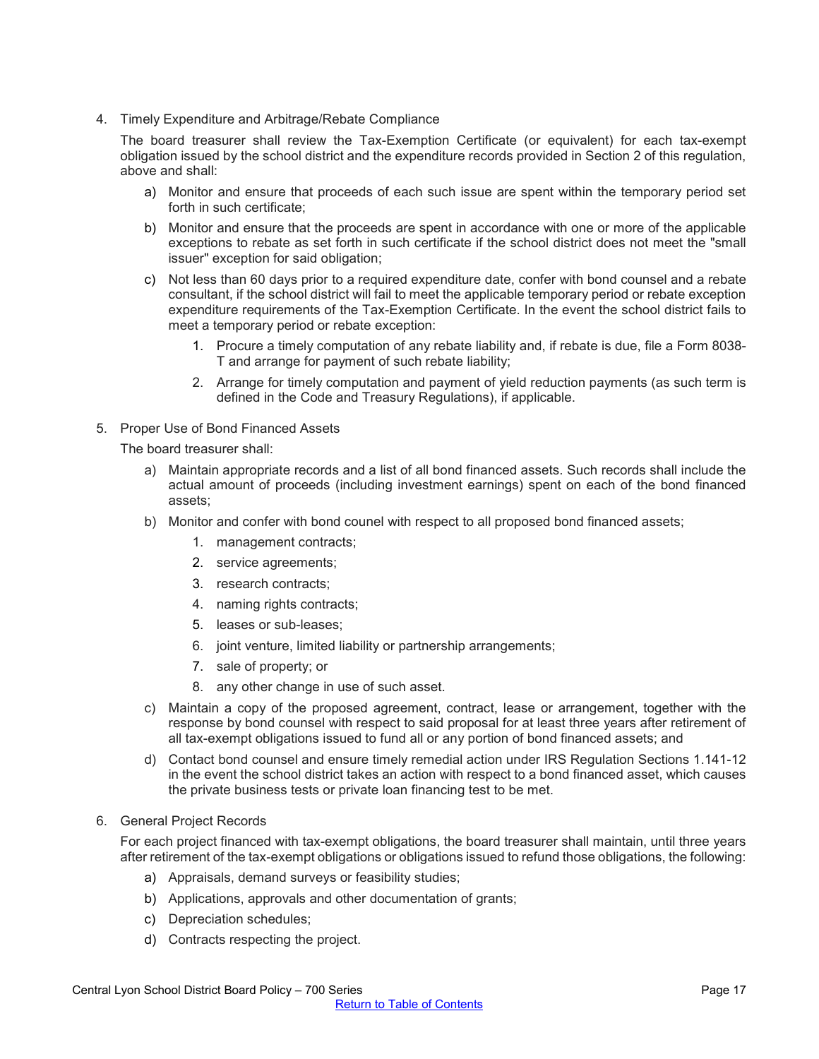4. Timely Expenditure and Arbitrage/Rebate Compliance

The board treasurer shall review the Tax-Exemption Certificate (or equivalent) for each tax-exempt obligation issued by the school district and the expenditure records provided in Section 2 of this regulation, above and shall:

- a) Monitor and ensure that proceeds of each such issue are spent within the temporary period set forth in such certificate;
- b) Monitor and ensure that the proceeds are spent in accordance with one or more of the applicable exceptions to rebate as set forth in such certificate if the school district does not meet the "small issuer" exception for said obligation;
- c) Not less than 60 days prior to a required expenditure date, confer with bond counsel and a rebate consultant, if the school district will fail to meet the applicable temporary period or rebate exception expenditure requirements of the Tax-Exemption Certificate. In the event the school district fails to meet a temporary period or rebate exception:
	- 1. Procure a timely computation of any rebate liability and, if rebate is due, file a Form 8038- T and arrange for payment of such rebate liability;
	- 2. Arrange for timely computation and payment of yield reduction payments (as such term is defined in the Code and Treasury Regulations), if applicable.
- 5. Proper Use of Bond Financed Assets

The board treasurer shall:

- a) Maintain appropriate records and a list of all bond financed assets. Such records shall include the actual amount of proceeds (including investment earnings) spent on each of the bond financed assets;
- b) Monitor and confer with bond counel with respect to all proposed bond financed assets;
	- 1. management contracts;
	- 2. service agreements;
	- 3. research contracts;
	- 4. naming rights contracts;
	- 5. leases or sub-leases;
	- 6. joint venture, limited liability or partnership arrangements;
	- 7. sale of property; or
	- 8. any other change in use of such asset.
- c) Maintain a copy of the proposed agreement, contract, lease or arrangement, together with the response by bond counsel with respect to said proposal for at least three years after retirement of all tax-exempt obligations issued to fund all or any portion of bond financed assets; and
- d) Contact bond counsel and ensure timely remedial action under IRS Regulation Sections 1.141-12 in the event the school district takes an action with respect to a bond financed asset, which causes the private business tests or private loan financing test to be met.

#### 6. General Project Records

For each project financed with tax-exempt obligations, the board treasurer shall maintain, until three years after retirement of the tax-exempt obligations or obligations issued to refund those obligations, the following:

- a) Appraisals, demand surveys or feasibility studies;
- b) Applications, approvals and other documentation of grants;
- c) Depreciation schedules;
- d) Contracts respecting the project.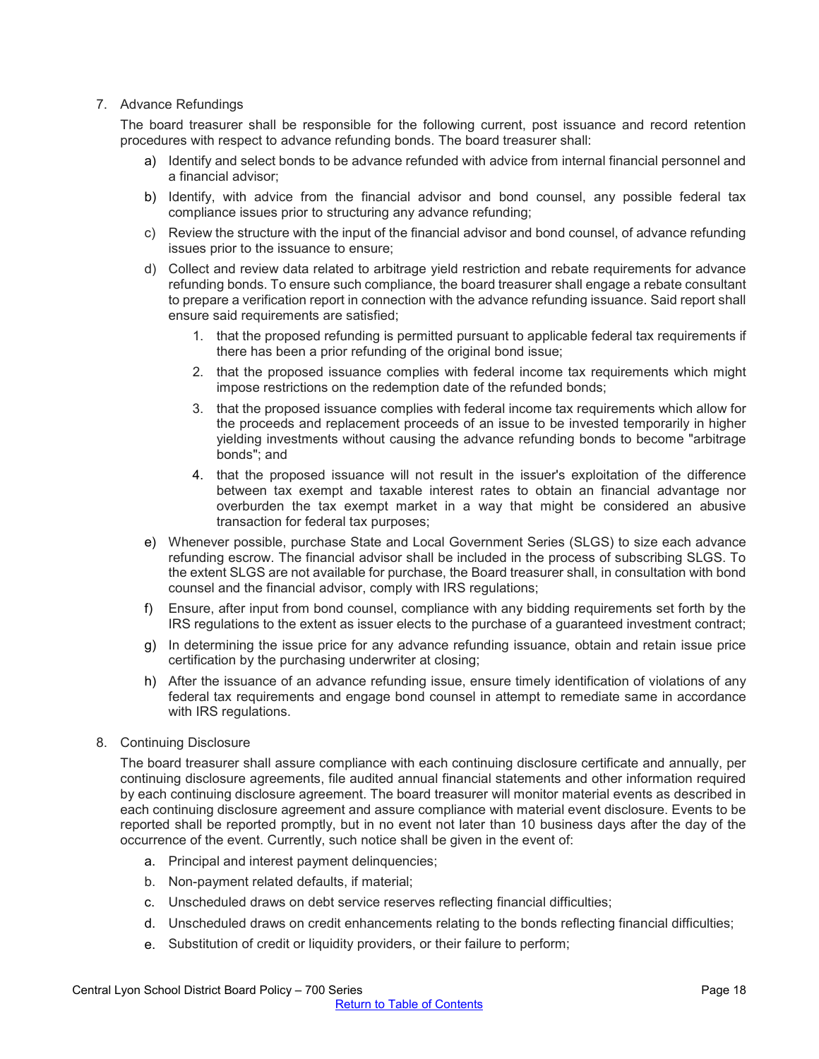## 7. Advance Refundings

The board treasurer shall be responsible for the following current, post issuance and record retention procedures with respect to advance refunding bonds. The board treasurer shall:

- a) Identify and select bonds to be advance refunded with advice from internal financial personnel and a financial advisor;
- b) Identify, with advice from the financial advisor and bond counsel, any possible federal tax compliance issues prior to structuring any advance refunding;
- c) Review the structure with the input of the financial advisor and bond counsel, of advance refunding issues prior to the issuance to ensure;
- d) Collect and review data related to arbitrage yield restriction and rebate requirements for advance refunding bonds. To ensure such compliance, the board treasurer shall engage a rebate consultant to prepare a verification report in connection with the advance refunding issuance. Said report shall ensure said requirements are satisfied;
	- 1. that the proposed refunding is permitted pursuant to applicable federal tax requirements if there has been a prior refunding of the original bond issue;
	- 2. that the proposed issuance complies with federal income tax requirements which might impose restrictions on the redemption date of the refunded bonds;
	- 3. that the proposed issuance complies with federal income tax requirements which allow for the proceeds and replacement proceeds of an issue to be invested temporarily in higher yielding investments without causing the advance refunding bonds to become "arbitrage bonds"; and
	- 4. that the proposed issuance will not result in the issuer's exploitation of the difference between tax exempt and taxable interest rates to obtain an financial advantage nor overburden the tax exempt market in a way that might be considered an abusive transaction for federal tax purposes;
- e) Whenever possible, purchase State and Local Government Series (SLGS) to size each advance refunding escrow. The financial advisor shall be included in the process of subscribing SLGS. To the extent SLGS are not available for purchase, the Board treasurer shall, in consultation with bond counsel and the financial advisor, comply with IRS regulations;
- f) Ensure, after input from bond counsel, compliance with any bidding requirements set forth by the IRS regulations to the extent as issuer elects to the purchase of a guaranteed investment contract;
- g) In determining the issue price for any advance refunding issuance, obtain and retain issue price certification by the purchasing underwriter at closing;
- h) After the issuance of an advance refunding issue, ensure timely identification of violations of any federal tax requirements and engage bond counsel in attempt to remediate same in accordance with IRS regulations.
- 8. Continuing Disclosure

The board treasurer shall assure compliance with each continuing disclosure certificate and annually, per continuing disclosure agreements, file audited annual financial statements and other information required by each continuing disclosure agreement. The board treasurer will monitor material events as described in each continuing disclosure agreement and assure compliance with material event disclosure. Events to be reported shall be reported promptly, but in no event not later than 10 business days after the day of the occurrence of the event. Currently, such notice shall be given in the event of:

- a. Principal and interest payment delinquencies;
- b. Non-payment related defaults, if material;
- c. Unscheduled draws on debt service reserves reflecting financial difficulties;
- d. Unscheduled draws on credit enhancements relating to the bonds reflecting financial difficulties;
- e. Substitution of credit or liquidity providers, or their failure to perform;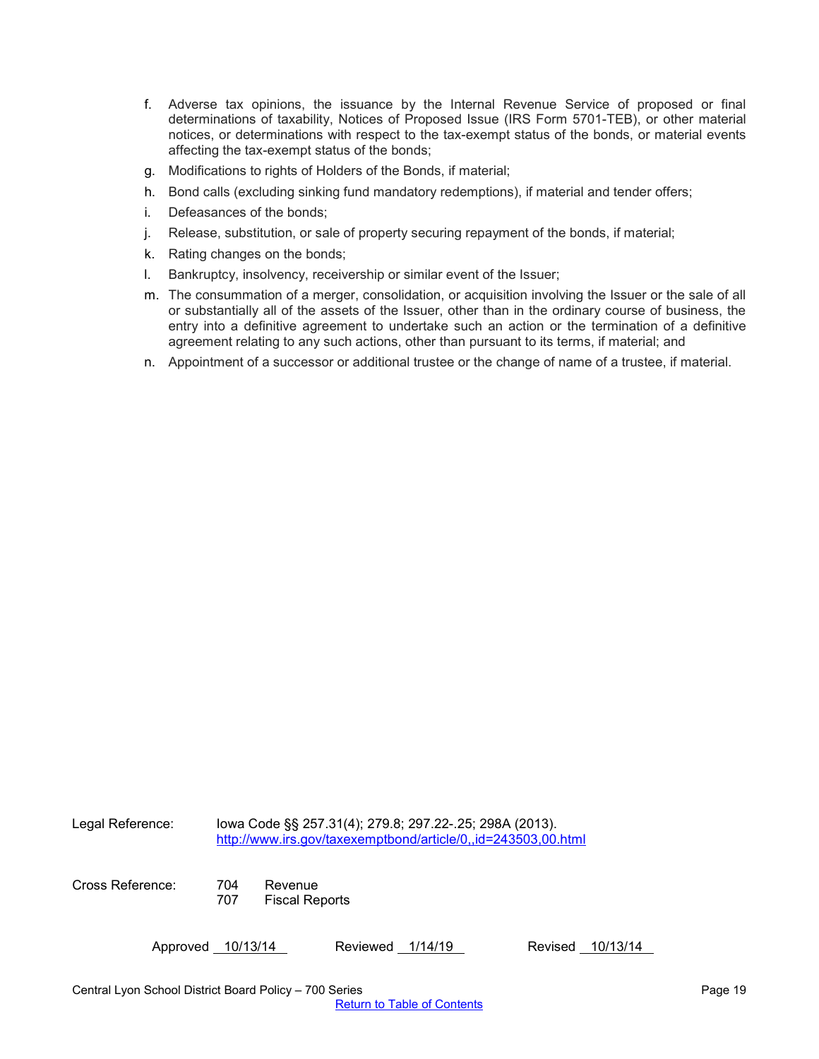- f. Adverse tax opinions, the issuance by the Internal Revenue Service of proposed or final determinations of taxability, Notices of Proposed Issue (IRS Form 5701-TEB), or other material notices, or determinations with respect to the tax-exempt status of the bonds, or material events affecting the tax-exempt status of the bonds;
- g. Modifications to rights of Holders of the Bonds, if material;
- h. Bond calls (excluding sinking fund mandatory redemptions), if material and tender offers;
- i. Defeasances of the bonds;
- j. Release, substitution, or sale of property securing repayment of the bonds, if material;
- k. Rating changes on the bonds;
- l. Bankruptcy, insolvency, receivership or similar event of the Issuer;
- m. The consummation of a merger, consolidation, or acquisition involving the Issuer or the sale of all or substantially all of the assets of the Issuer, other than in the ordinary course of business, the entry into a definitive agreement to undertake such an action or the termination of a definitive agreement relating to any such actions, other than pursuant to its terms, if material; and
- n. Appointment of a successor or additional trustee or the change of name of a trustee, if material.

Legal Reference: Iowa Code §§ 257.31(4); 279.8; 297.22-.25; 298A (2013). <http://www.irs.gov/taxexemptbond/article/0,,id=243503,00.html>

Cross Reference: 704 Revenue

707 Fiscal Reports

Approved 10/13/14 Reviewed 1/14/19 Revised 10/13/14

Central Lyon School District Board Policy – 700 Series Page 19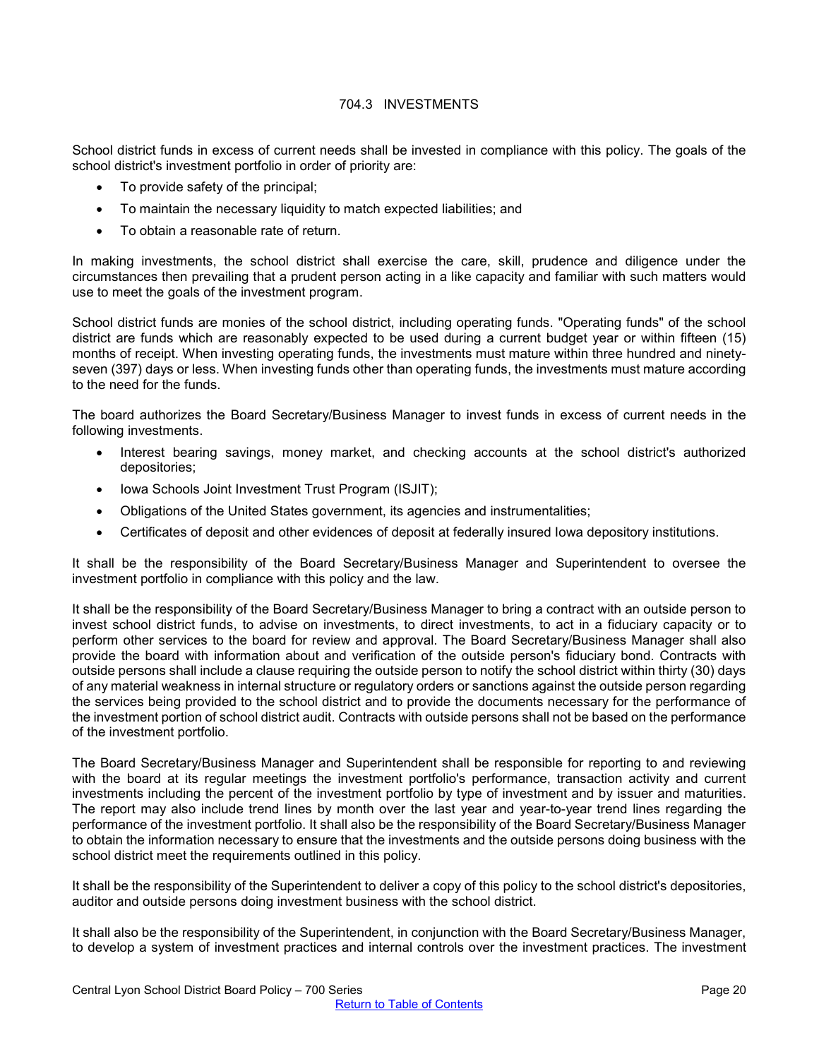## 704.3 INVESTMENTS

<span id="page-19-0"></span>School district funds in excess of current needs shall be invested in compliance with this policy. The goals of the school district's investment portfolio in order of priority are:

- To provide safety of the principal;
- To maintain the necessary liquidity to match expected liabilities; and
- To obtain a reasonable rate of return.

In making investments, the school district shall exercise the care, skill, prudence and diligence under the circumstances then prevailing that a prudent person acting in a like capacity and familiar with such matters would use to meet the goals of the investment program.

School district funds are monies of the school district, including operating funds. "Operating funds" of the school district are funds which are reasonably expected to be used during a current budget year or within fifteen (15) months of receipt. When investing operating funds, the investments must mature within three hundred and ninetyseven (397) days or less. When investing funds other than operating funds, the investments must mature according to the need for the funds.

The board authorizes the Board Secretary/Business Manager to invest funds in excess of current needs in the following investments.

- Interest bearing savings, money market, and checking accounts at the school district's authorized depositories;
- Iowa Schools Joint Investment Trust Program (ISJIT);
- Obligations of the United States government, its agencies and instrumentalities;
- Certificates of deposit and other evidences of deposit at federally insured Iowa depository institutions.

It shall be the responsibility of the Board Secretary/Business Manager and Superintendent to oversee the investment portfolio in compliance with this policy and the law.

It shall be the responsibility of the Board Secretary/Business Manager to bring a contract with an outside person to invest school district funds, to advise on investments, to direct investments, to act in a fiduciary capacity or to perform other services to the board for review and approval. The Board Secretary/Business Manager shall also provide the board with information about and verification of the outside person's fiduciary bond. Contracts with outside persons shall include a clause requiring the outside person to notify the school district within thirty (30) days of any material weakness in internal structure or regulatory orders or sanctions against the outside person regarding the services being provided to the school district and to provide the documents necessary for the performance of the investment portion of school district audit. Contracts with outside persons shall not be based on the performance of the investment portfolio.

The Board Secretary/Business Manager and Superintendent shall be responsible for reporting to and reviewing with the board at its regular meetings the investment portfolio's performance, transaction activity and current investments including the percent of the investment portfolio by type of investment and by issuer and maturities. The report may also include trend lines by month over the last year and year-to-year trend lines regarding the performance of the investment portfolio. It shall also be the responsibility of the Board Secretary/Business Manager to obtain the information necessary to ensure that the investments and the outside persons doing business with the school district meet the requirements outlined in this policy.

It shall be the responsibility of the Superintendent to deliver a copy of this policy to the school district's depositories, auditor and outside persons doing investment business with the school district.

It shall also be the responsibility of the Superintendent, in conjunction with the Board Secretary/Business Manager, to develop a system of investment practices and internal controls over the investment practices. The investment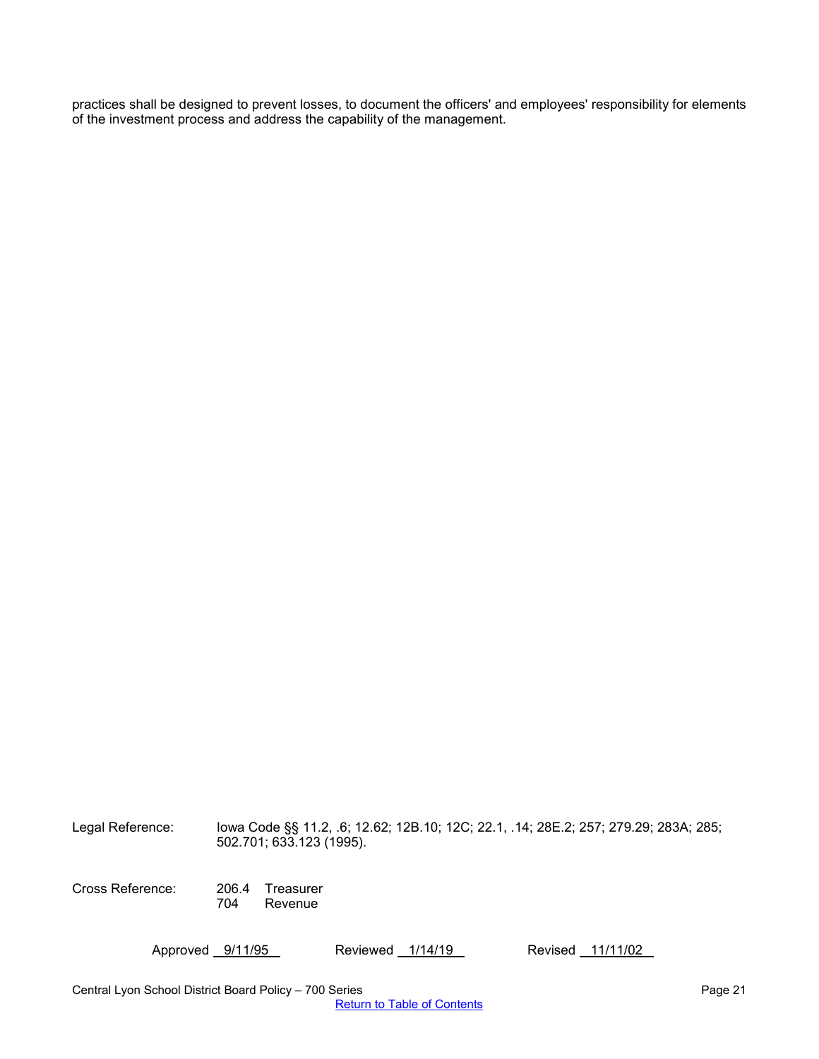practices shall be designed to prevent losses, to document the officers' and employees' responsibility for elements of the investment process and address the capability of the management.

Legal Reference: Iowa Code §§ 11.2, .6; 12.62; 12B.10; 12C; 22.1, .14; 28E.2; 257; 279.29; 283A; 285; 502.701; 633.123 (1995).

Cross Reference: 206.4 Treasurer Revenue

Approved 9/11/95 Reviewed 1/14/19 Revised 11/11/02

Central Lyon School District Board Policy – 700 Series Page 21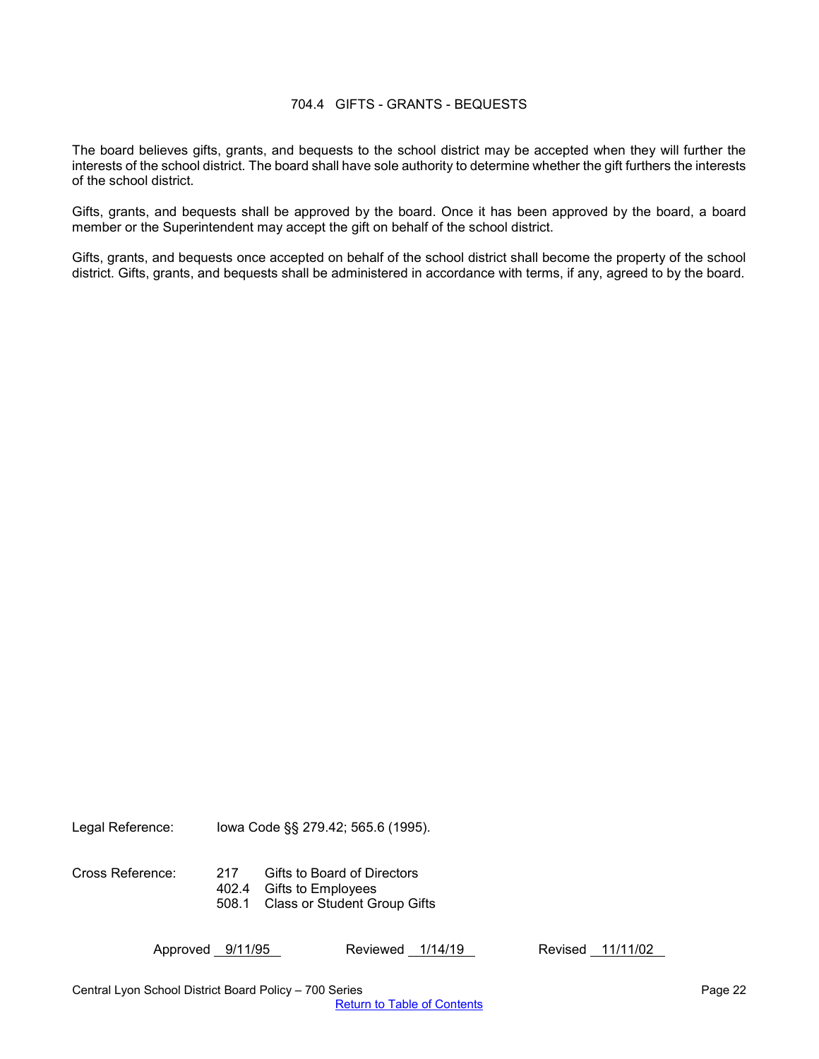#### 704.4 GIFTS - GRANTS - BEQUESTS

<span id="page-21-0"></span>The board believes gifts, grants, and bequests to the school district may be accepted when they will further the interests of the school district. The board shall have sole authority to determine whether the gift furthers the interests of the school district.

Gifts, grants, and bequests shall be approved by the board. Once it has been approved by the board, a board member or the Superintendent may accept the gift on behalf of the school district.

Gifts, grants, and bequests once accepted on behalf of the school district shall become the property of the school district. Gifts, grants, and bequests shall be administered in accordance with terms, if any, agreed to by the board.

Legal Reference: Iowa Code §§ 279.42; 565.6 (1995).

Cross Reference: 217 Gifts to Board of Directors 402.4 Gifts to Employees 508.1 Class or Student Group Gifts

Approved 9/11/95 Reviewed 1/14/19 Revised 11/11/02

Central Lyon School District Board Policy – 700 Series Page 22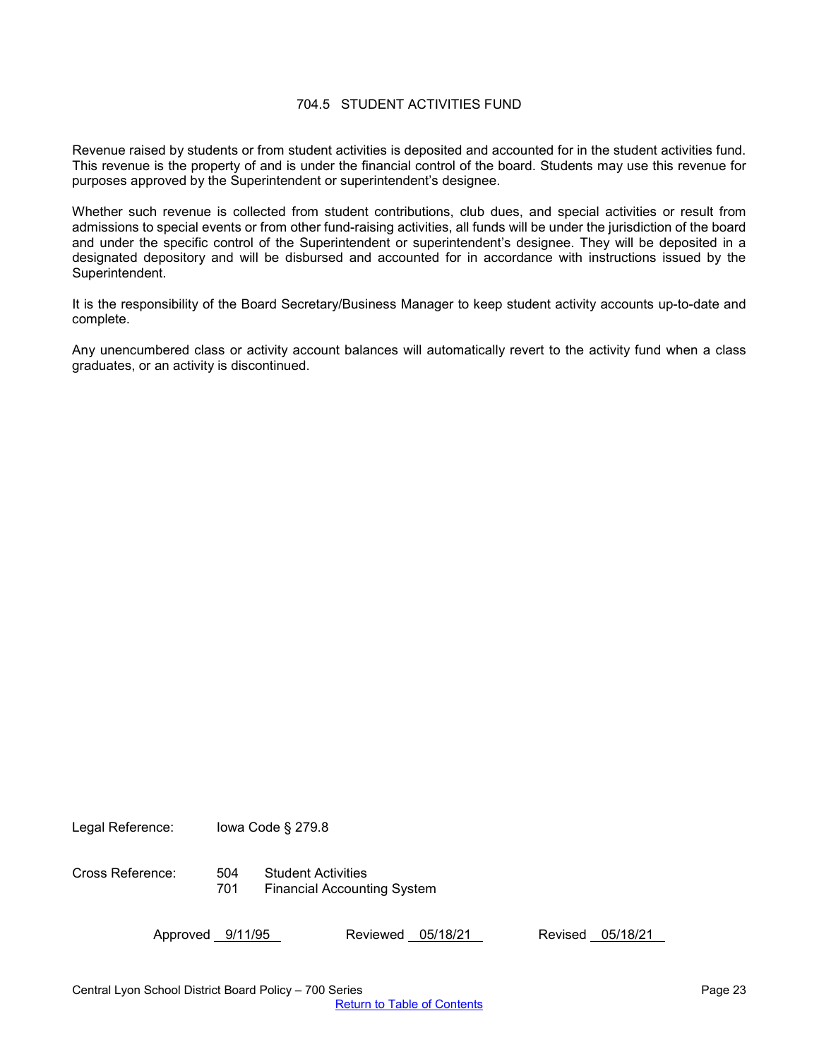## 704.5 STUDENT ACTIVITIES FUND

<span id="page-22-0"></span>Revenue raised by students or from student activities is deposited and accounted for in the student activities fund. This revenue is the property of and is under the financial control of the board. Students may use this revenue for purposes approved by the Superintendent or superintendent's designee.

Whether such revenue is collected from student contributions, club dues, and special activities or result from admissions to special events or from other fund-raising activities, all funds will be under the jurisdiction of the board and under the specific control of the Superintendent or superintendent's designee. They will be deposited in a designated depository and will be disbursed and accounted for in accordance with instructions issued by the Superintendent.

It is the responsibility of the Board Secretary/Business Manager to keep student activity accounts up-to-date and complete.

Any unencumbered class or activity account balances will automatically revert to the activity fund when a class graduates, or an activity is discontinued.

Legal Reference: Iowa Code § 279.8

Cross Reference: 504 Student Activities 701 Financial Accounting System

Approved 9/11/95 Reviewed 05/18/21 Revised 05/18/21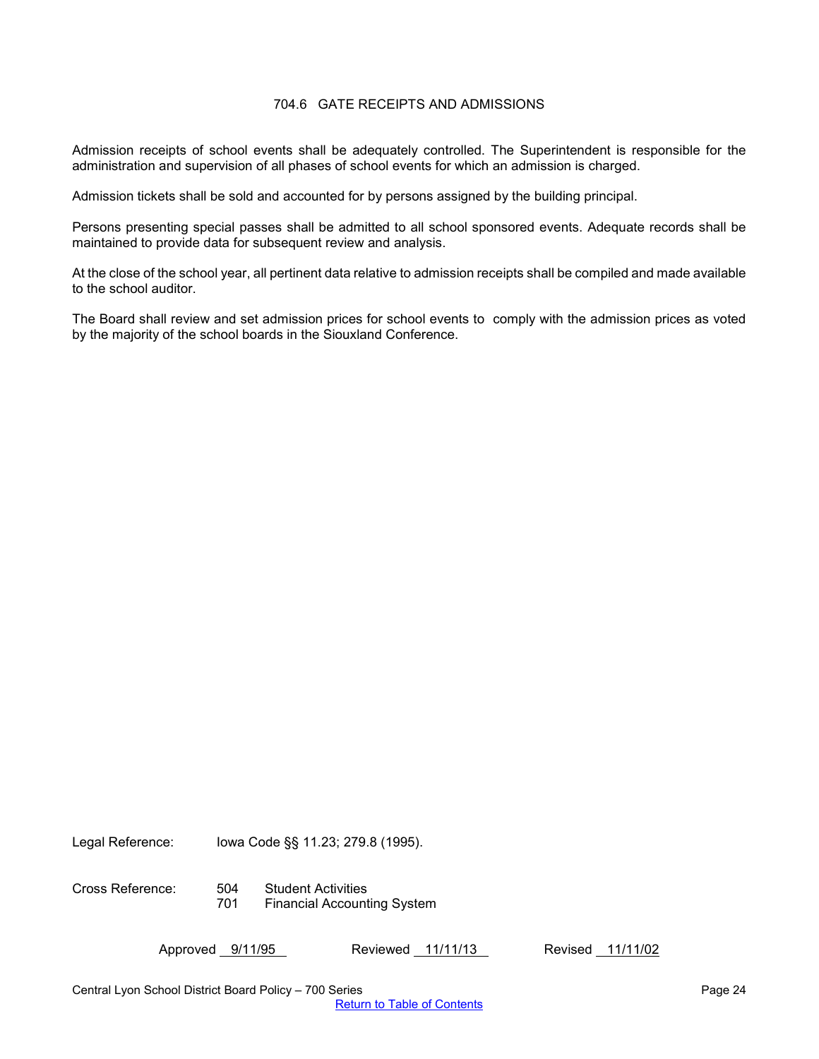## 704.6 GATE RECEIPTS AND ADMISSIONS

<span id="page-23-0"></span>Admission receipts of school events shall be adequately controlled. The Superintendent is responsible for the administration and supervision of all phases of school events for which an admission is charged.

Admission tickets shall be sold and accounted for by persons assigned by the building principal.

Persons presenting special passes shall be admitted to all school sponsored events. Adequate records shall be maintained to provide data for subsequent review and analysis.

At the close of the school year, all pertinent data relative to admission receipts shall be compiled and made available to the school auditor.

The Board shall review and set admission prices for school events to comply with the admission prices as voted by the majority of the school boards in the Siouxland Conference.

Legal Reference: Iowa Code §§ 11.23; 279.8 (1995).

Cross Reference: 504 Student Activities 701 Financial Accounting System

Approved 9/11/95 Reviewed 11/11/13 Revised 11/11/02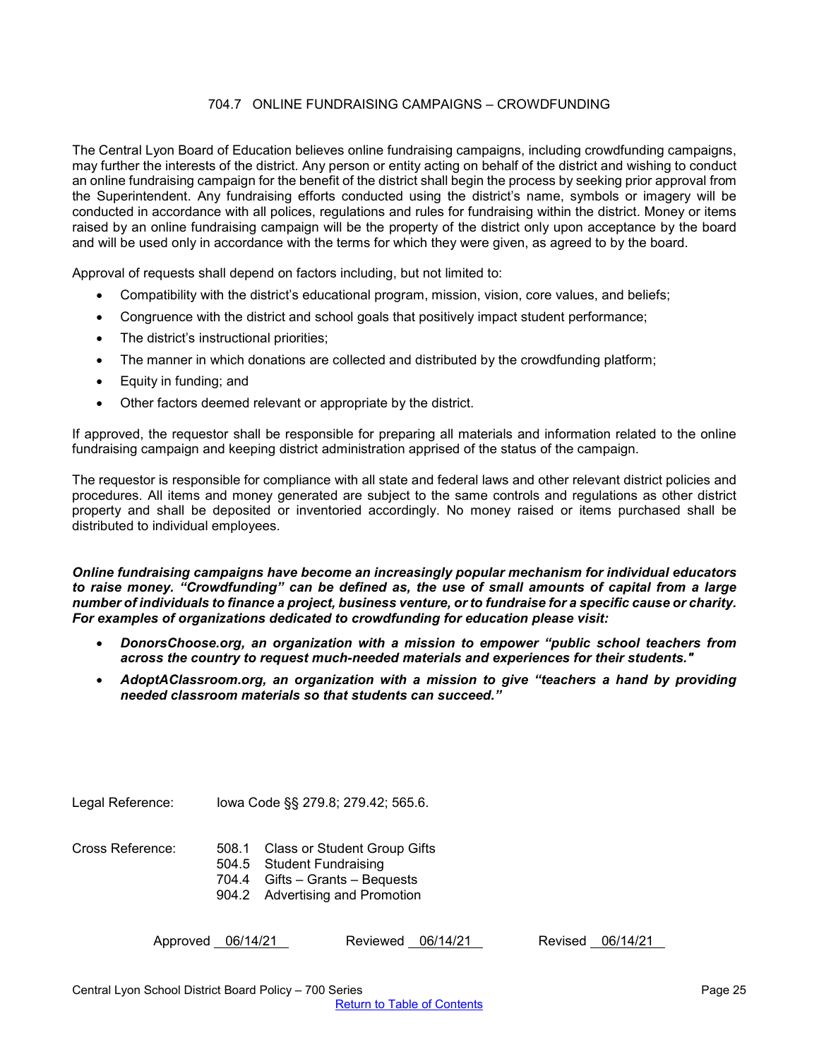## 704.7 ONLINE FUNDRAISING CAMPAIGNS – CROWDFUNDING

<span id="page-24-0"></span>The Central Lyon Board of Education believes online fundraising campaigns, including crowdfunding campaigns, may further the interests of the district. Any person or entity acting on behalf of the district and wishing to conduct an online fundraising campaign for the benefit of the district shall begin the process by seeking prior approval from the Superintendent. Any fundraising efforts conducted using the district's name, symbols or imagery will be conducted in accordance with all polices, regulations and rules for fundraising within the district. Money or items raised by an online fundraising campaign will be the property of the district only upon acceptance by the board and will be used only in accordance with the terms for which they were given, as agreed to by the board.

Approval of requests shall depend on factors including, but not limited to:

- Compatibility with the district's educational program, mission, vision, core values, and beliefs;
- Congruence with the district and school goals that positively impact student performance;
- The district's instructional priorities;
- The manner in which donations are collected and distributed by the crowdfunding platform;
- Equity in funding; and
- Other factors deemed relevant or appropriate by the district.

If approved, the requestor shall be responsible for preparing all materials and information related to the online fundraising campaign and keeping district administration apprised of the status of the campaign.

The requestor is responsible for compliance with all state and federal laws and other relevant district policies and procedures. All items and money generated are subject to the same controls and regulations as other district property and shall be deposited or inventoried accordingly. No money raised or items purchased shall be distributed to individual employees.

*Online fundraising campaigns have become an increasingly popular mechanism for individual educators to raise money. "Crowdfunding" can be defined as, the use of small amounts of capital from a large number of individuals to finance a project, business venture, or to fundraise for a specific cause or charity. For examples of organizations dedicated to crowdfunding for education please visit:*

- *DonorsChoose.org, an organization with a mission to empower "public school teachers from across the country to request much-needed materials and experiences for their students."*
- *AdoptAClassroom.org, an organization with a mission to give "teachers a hand by providing needed classroom materials so that students can succeed."*

Legal Reference: Iowa Code §§ 279.8; 279.42; 565.6.

Cross Reference: 508.1 Class or Student Group Gifts

- 504.5 Student Fundraising
- 704.4 Gifts Grants Bequests
- 904.2 Advertising and Promotion

| Approved 06/14/21 | Reviewed 06/14/21 | Revised 06/14/21 |
|-------------------|-------------------|------------------|
|-------------------|-------------------|------------------|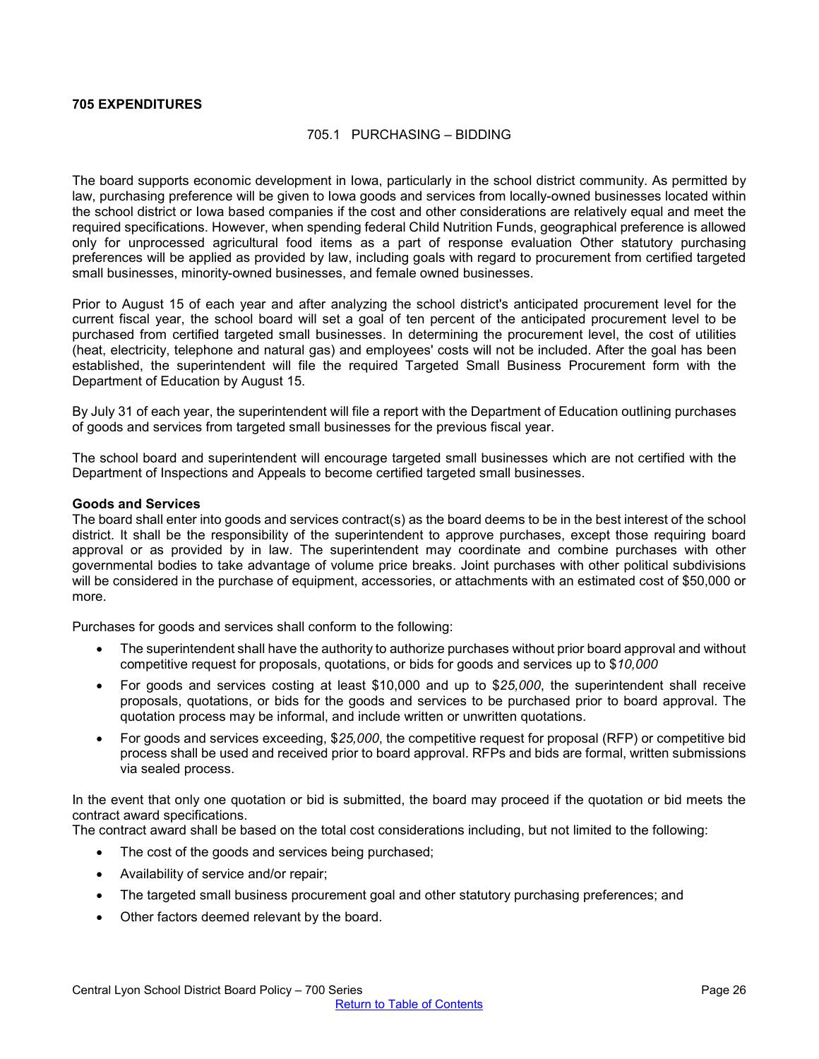## <span id="page-25-1"></span><span id="page-25-0"></span>**705 EXPENDITURES**

## 705.1 PURCHASING – BIDDING

The board supports economic development in Iowa, particularly in the school district community. As permitted by law, purchasing preference will be given to Iowa goods and services from locally-owned businesses located within the school district or Iowa based companies if the cost and other considerations are relatively equal and meet the required specifications. However, when spending federal Child Nutrition Funds, geographical preference is allowed only for unprocessed agricultural food items as a part of response evaluation Other statutory purchasing preferences will be applied as provided by law, including goals with regard to procurement from certified targeted small businesses, minority-owned businesses, and female owned businesses.

Prior to August 15 of each year and after analyzing the school district's anticipated procurement level for the current fiscal year, the school board will set a goal of ten percent of the anticipated procurement level to be purchased from certified targeted small businesses. In determining the procurement level, the cost of utilities (heat, electricity, telephone and natural gas) and employees' costs will not be included. After the goal has been established, the superintendent will file the required Targeted Small Business Procurement form with the Department of Education by August 15.

By July 31 of each year, the superintendent will file a report with the Department of Education outlining purchases of goods and services from targeted small businesses for the previous fiscal year.

The school board and superintendent will encourage targeted small businesses which are not certified with the Department of Inspections and Appeals to become certified targeted small businesses.

#### **Goods and Services**

The board shall enter into goods and services contract(s) as the board deems to be in the best interest of the school district. It shall be the responsibility of the superintendent to approve purchases, except those requiring board approval or as provided by in law. The superintendent may coordinate and combine purchases with other governmental bodies to take advantage of volume price breaks. Joint purchases with other political subdivisions will be considered in the purchase of equipment, accessories, or attachments with an estimated cost of \$50,000 or more.

Purchases for goods and services shall conform to the following:

- The superintendent shall have the authority to authorize purchases without prior board approval and without competitive request for proposals, quotations, or bids for goods and services up to \$*10,000*
- For goods and services costing at least \$10,000 and up to \$*25,000*, the superintendent shall receive proposals, quotations, or bids for the goods and services to be purchased prior to board approval. The quotation process may be informal, and include written or unwritten quotations.
- For goods and services exceeding, \$*25,000*, the competitive request for proposal (RFP) or competitive bid process shall be used and received prior to board approval. RFPs and bids are formal, written submissions via sealed process.

In the event that only one quotation or bid is submitted, the board may proceed if the quotation or bid meets the contract award specifications.

The contract award shall be based on the total cost considerations including, but not limited to the following:

- The cost of the goods and services being purchased;
- Availability of service and/or repair;
- The targeted small business procurement goal and other statutory purchasing preferences; and
- Other factors deemed relevant by the board.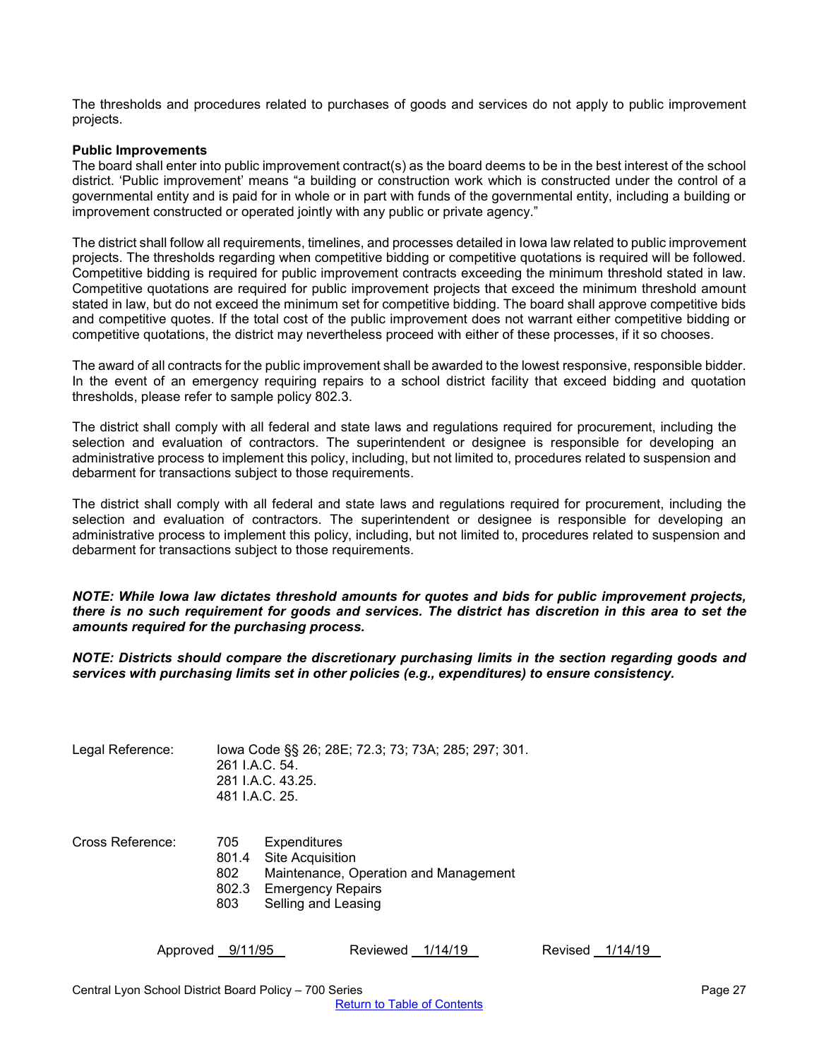The thresholds and procedures related to purchases of goods and services do not apply to public improvement projects.

#### **Public Improvements**

The board shall enter into public improvement contract(s) as the board deems to be in the best interest of the school district. 'Public improvement' means "a building or construction work which is constructed under the control of a governmental entity and is paid for in whole or in part with funds of the governmental entity, including a building or improvement constructed or operated jointly with any public or private agency."

The district shall follow all requirements, timelines, and processes detailed in Iowa law related to public improvement projects. The thresholds regarding when competitive bidding or competitive quotations is required will be followed. Competitive bidding is required for public improvement contracts exceeding the minimum threshold stated in law. Competitive quotations are required for public improvement projects that exceed the minimum threshold amount stated in law, but do not exceed the minimum set for competitive bidding. The board shall approve competitive bids and competitive quotes. If the total cost of the public improvement does not warrant either competitive bidding or competitive quotations, the district may nevertheless proceed with either of these processes, if it so chooses.

The award of all contracts for the public improvement shall be awarded to the lowest responsive, responsible bidder. In the event of an emergency requiring repairs to a school district facility that exceed bidding and quotation thresholds, please refer to sample policy 802.3.

The district shall comply with all federal and state laws and regulations required for procurement, including the selection and evaluation of contractors. The superintendent or designee is responsible for developing an administrative process to implement this policy, including, but not limited to, procedures related to suspension and debarment for transactions subject to those requirements.

The district shall comply with all federal and state laws and regulations required for procurement, including the selection and evaluation of contractors. The superintendent or designee is responsible for developing an administrative process to implement this policy, including, but not limited to, procedures related to suspension and debarment for transactions subject to those requirements.

*NOTE: While Iowa law dictates threshold amounts for quotes and bids for public improvement projects, there is no such requirement for goods and services. The district has discretion in this area to set the amounts required for the purchasing process.* 

*NOTE: Districts should compare the discretionary purchasing limits in the section regarding goods and services with purchasing limits set in other policies (e.g., expenditures) to ensure consistency.* 

| Legal Reference: | lowa Code §§ 26; 28E; 72.3; 73; 73A; 285; 297; 301. |
|------------------|-----------------------------------------------------|
|                  | 261 J.A.C. 54.                                      |
|                  | 281 I.A.C. 43.25.                                   |
|                  | 481 I.A.C. 25.                                      |
|                  |                                                     |

| Maintenance, Operation and Management |
|---------------------------------------|
|                                       |
|                                       |
|                                       |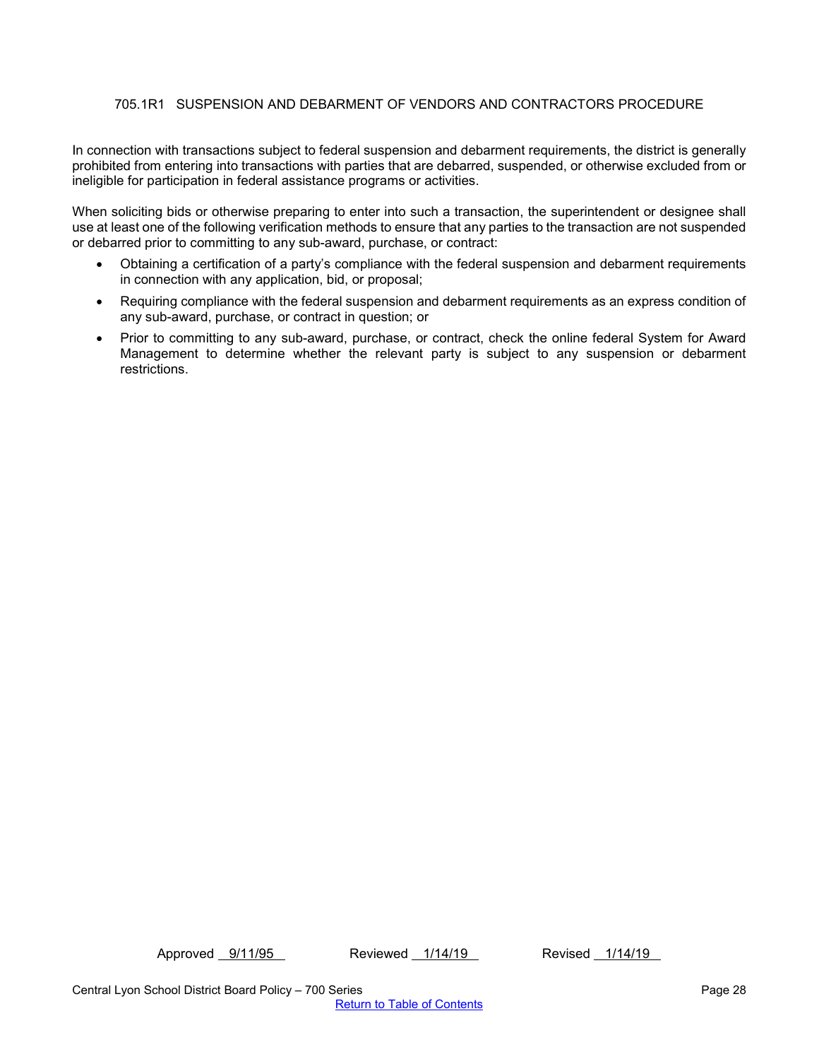# <span id="page-27-0"></span>705.1R1 SUSPENSION AND DEBARMENT OF VENDORS AND CONTRACTORS PROCEDURE

In connection with transactions subject to federal suspension and debarment requirements, the district is generally prohibited from entering into transactions with parties that are debarred, suspended, or otherwise excluded from or ineligible for participation in federal assistance programs or activities.

When soliciting bids or otherwise preparing to enter into such a transaction, the superintendent or designee shall use at least one of the following verification methods to ensure that any parties to the transaction are not suspended or debarred prior to committing to any sub-award, purchase, or contract:

- Obtaining a certification of a party's compliance with the federal suspension and debarment requirements in connection with any application, bid, or proposal;
- Requiring compliance with the federal suspension and debarment requirements as an express condition of any sub-award, purchase, or contract in question; or
- Prior to committing to any sub-award, purchase, or contract, check the online federal System for Award Management to determine whether the relevant party is subject to any suspension or debarment restrictions.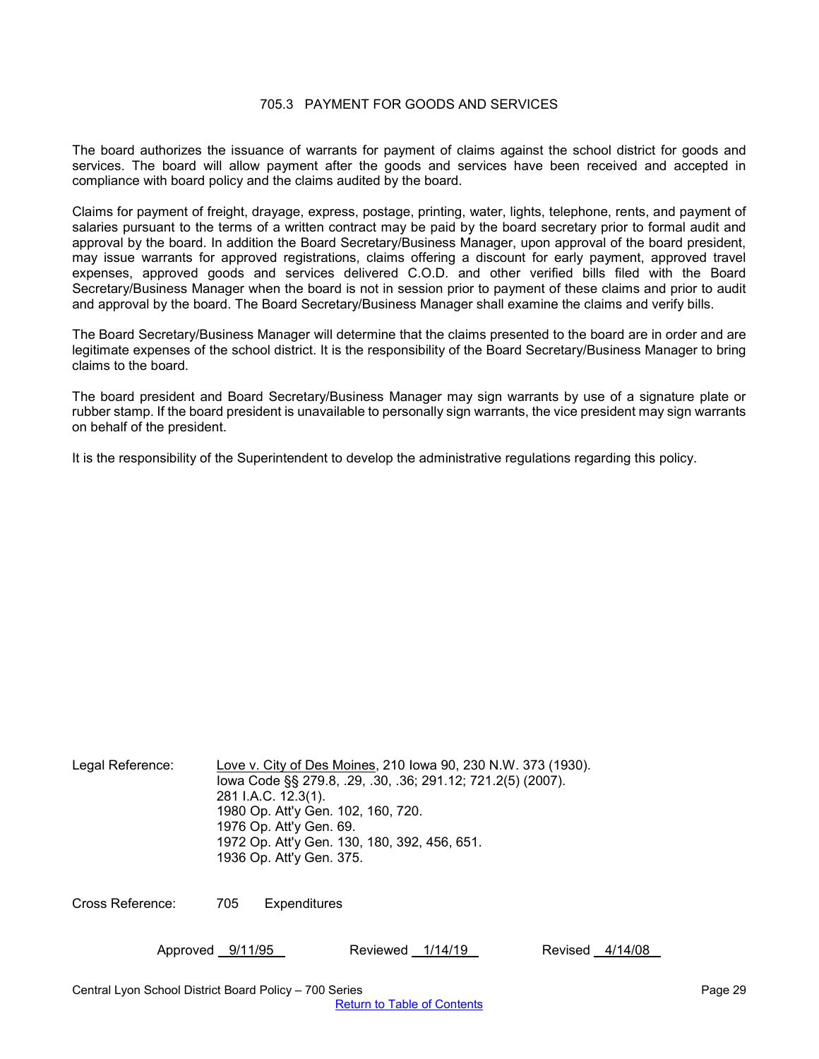## 705.3 PAYMENT FOR GOODS AND SERVICES

<span id="page-28-0"></span>The board authorizes the issuance of warrants for payment of claims against the school district for goods and services. The board will allow payment after the goods and services have been received and accepted in compliance with board policy and the claims audited by the board.

Claims for payment of freight, drayage, express, postage, printing, water, lights, telephone, rents, and payment of salaries pursuant to the terms of a written contract may be paid by the board secretary prior to formal audit and approval by the board. In addition the Board Secretary/Business Manager, upon approval of the board president, may issue warrants for approved registrations, claims offering a discount for early payment, approved travel expenses, approved goods and services delivered C.O.D. and other verified bills filed with the Board Secretary/Business Manager when the board is not in session prior to payment of these claims and prior to audit and approval by the board. The Board Secretary/Business Manager shall examine the claims and verify bills.

The Board Secretary/Business Manager will determine that the claims presented to the board are in order and are legitimate expenses of the school district. It is the responsibility of the Board Secretary/Business Manager to bring claims to the board.

The board president and Board Secretary/Business Manager may sign warrants by use of a signature plate or rubber stamp. If the board president is unavailable to personally sign warrants, the vice president may sign warrants on behalf of the president.

It is the responsibility of the Superintendent to develop the administrative regulations regarding this policy.

| Legal Reference: | Love v. City of Des Moines, 210 Iowa 90, 230 N.W. 373 (1930).<br>lowa Code §§ 279.8, .29, .30, .36; 291.12; 721.2(5) (2007).<br>281 I.A.C. 12.3(1).<br>1980 Op. Att'y Gen. 102, 160, 720.<br>1976 Op. Att'y Gen. 69.<br>1972 Op. Att'y Gen. 130, 180, 392, 456, 651. |
|------------------|----------------------------------------------------------------------------------------------------------------------------------------------------------------------------------------------------------------------------------------------------------------------|
|                  | 1936 Op. Att'y Gen. 375.                                                                                                                                                                                                                                             |

Cross Reference: 705 Expenditures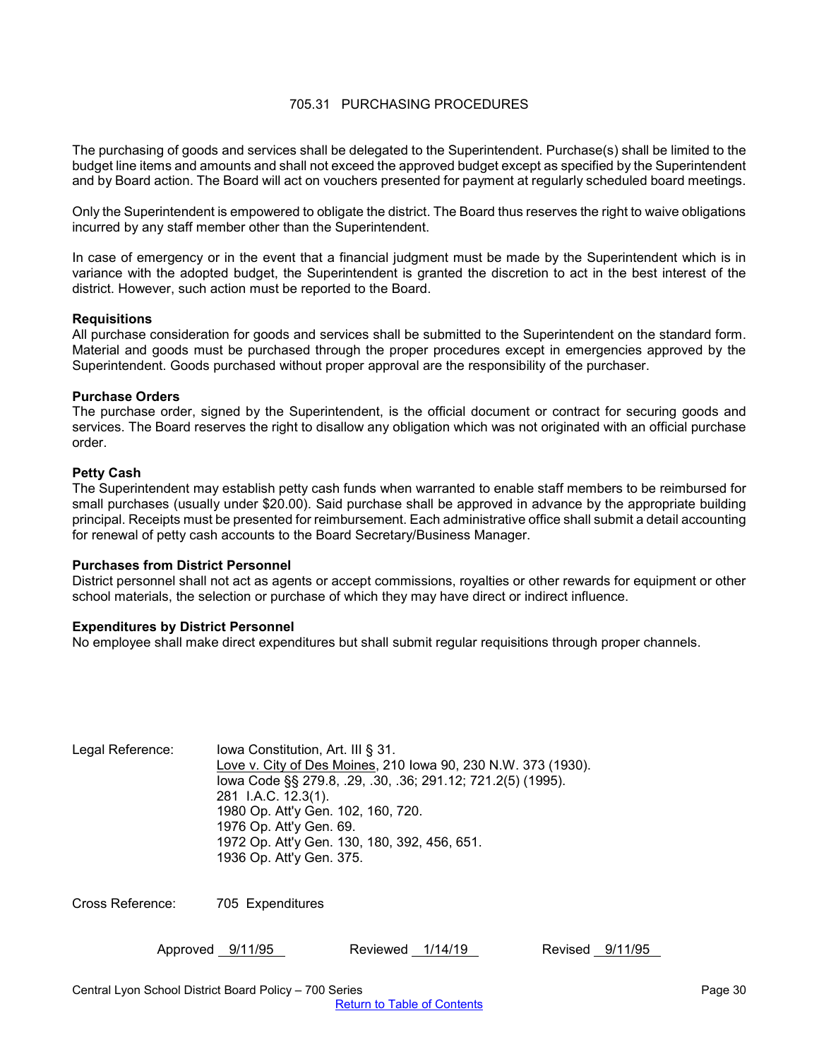## 705.31 PURCHASING PROCEDURES

<span id="page-29-0"></span>The purchasing of goods and services shall be delegated to the Superintendent. Purchase(s) shall be limited to the budget line items and amounts and shall not exceed the approved budget except as specified by the Superintendent and by Board action. The Board will act on vouchers presented for payment at regularly scheduled board meetings.

Only the Superintendent is empowered to obligate the district. The Board thus reserves the right to waive obligations incurred by any staff member other than the Superintendent.

In case of emergency or in the event that a financial judgment must be made by the Superintendent which is in variance with the adopted budget, the Superintendent is granted the discretion to act in the best interest of the district. However, such action must be reported to the Board.

#### **Requisitions**

All purchase consideration for goods and services shall be submitted to the Superintendent on the standard form. Material and goods must be purchased through the proper procedures except in emergencies approved by the Superintendent. Goods purchased without proper approval are the responsibility of the purchaser.

#### **Purchase Orders**

The purchase order, signed by the Superintendent, is the official document or contract for securing goods and services. The Board reserves the right to disallow any obligation which was not originated with an official purchase order.

#### **Petty Cash**

The Superintendent may establish petty cash funds when warranted to enable staff members to be reimbursed for small purchases (usually under \$20.00). Said purchase shall be approved in advance by the appropriate building principal. Receipts must be presented for reimbursement. Each administrative office shall submit a detail accounting for renewal of petty cash accounts to the Board Secretary/Business Manager.

#### **Purchases from District Personnel**

District personnel shall not act as agents or accept commissions, royalties or other rewards for equipment or other school materials, the selection or purchase of which they may have direct or indirect influence.

#### **Expenditures by District Personnel**

No employee shall make direct expenditures but shall submit regular requisitions through proper channels.

| Legal Reference: | lowa Constitution, Art. III § 31.                             |
|------------------|---------------------------------------------------------------|
|                  | Love v. City of Des Moines, 210 Iowa 90, 230 N.W. 373 (1930). |
|                  | lowa Code §§ 279.8, .29, .30, .36; 291.12; 721.2(5) (1995).   |
|                  | 281 I.A.C. 12.3(1).                                           |
|                  | 1980 Op. Att'y Gen. 102, 160, 720.                            |
|                  | 1976 Op. Att'y Gen. 69.                                       |
|                  | 1972 Op. Att'y Gen. 130, 180, 392, 456, 651.                  |
|                  | 1936 Op. Att'y Gen. 375.                                      |
|                  |                                                               |

Cross Reference: 705 Expenditures

| Approved | 9/11/95 |
|----------|---------|
|          |         |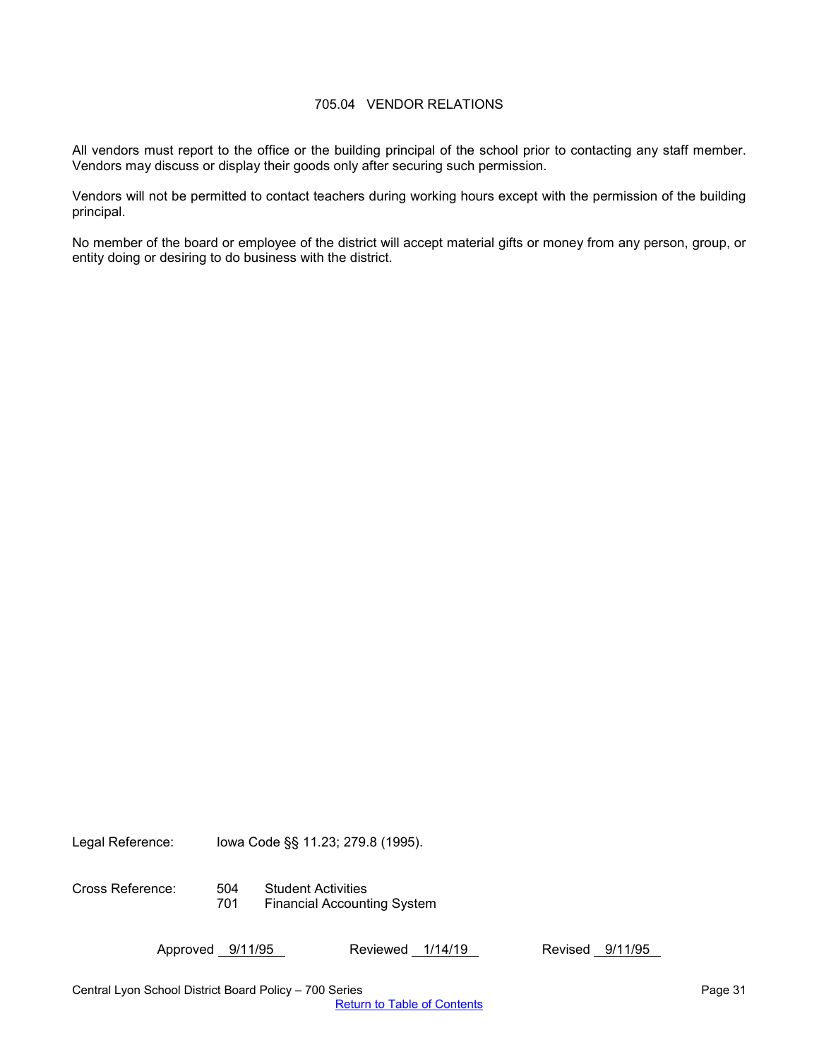## 705.04 VENDOR RELATIONS

<span id="page-30-0"></span>All vendors must report to the office or the building principal of the school prior to contacting any staff member. Vendors may discuss or display their goods only after securing such permission.

Vendors will not be permitted to contact teachers during working hours except with the permission of the building principal.

No member of the board or employee of the district will accept material gifts or money from any person, group, or entity doing or desiring to do business with the district.

Legal Reference: Iowa Code §§ 11.23; 279.8 (1995).

Cross Reference: 504 Student Activities 701 Financial Accounting System

Approved 9/11/95 Reviewed 1/14/19 Revised 9/11/95

Central Lyon School District Board Policy – 700 Series Page 31 November 2012 12:30 November 2013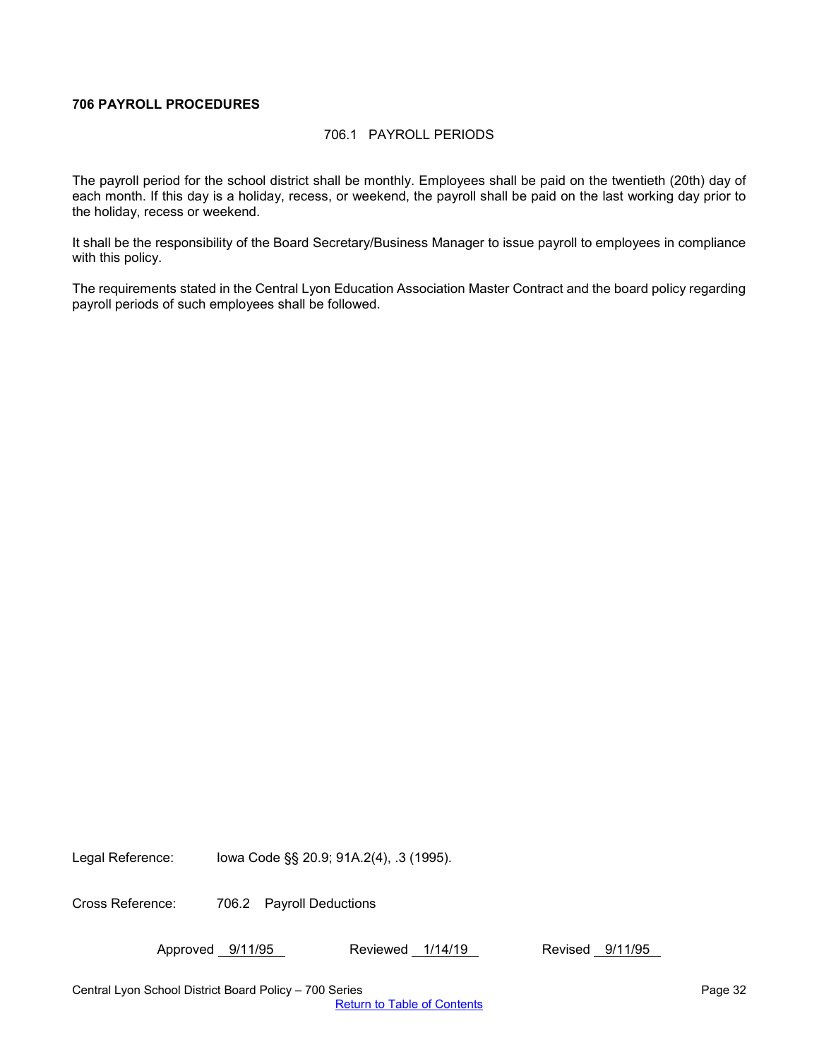## <span id="page-31-1"></span><span id="page-31-0"></span>**706 PAYROLL PROCEDURES**

## 706.1 PAYROLL PERIODS

The payroll period for the school district shall be monthly. Employees shall be paid on the twentieth (20th) day of each month. If this day is a holiday, recess, or weekend, the payroll shall be paid on the last working day prior to the holiday, recess or weekend.

It shall be the responsibility of the Board Secretary/Business Manager to issue payroll to employees in compliance with this policy.

The requirements stated in the Central Lyon Education Association Master Contract and the board policy regarding payroll periods of such employees shall be followed.

Legal Reference: Iowa Code §§ 20.9; 91A.2(4), .3 (1995).

Cross Reference: 706.2 Payroll Deductions

Approved 9/11/95 Reviewed 1/14/19 Revised 9/11/95

Central Lyon School District Board Policy – 700 Series Page 32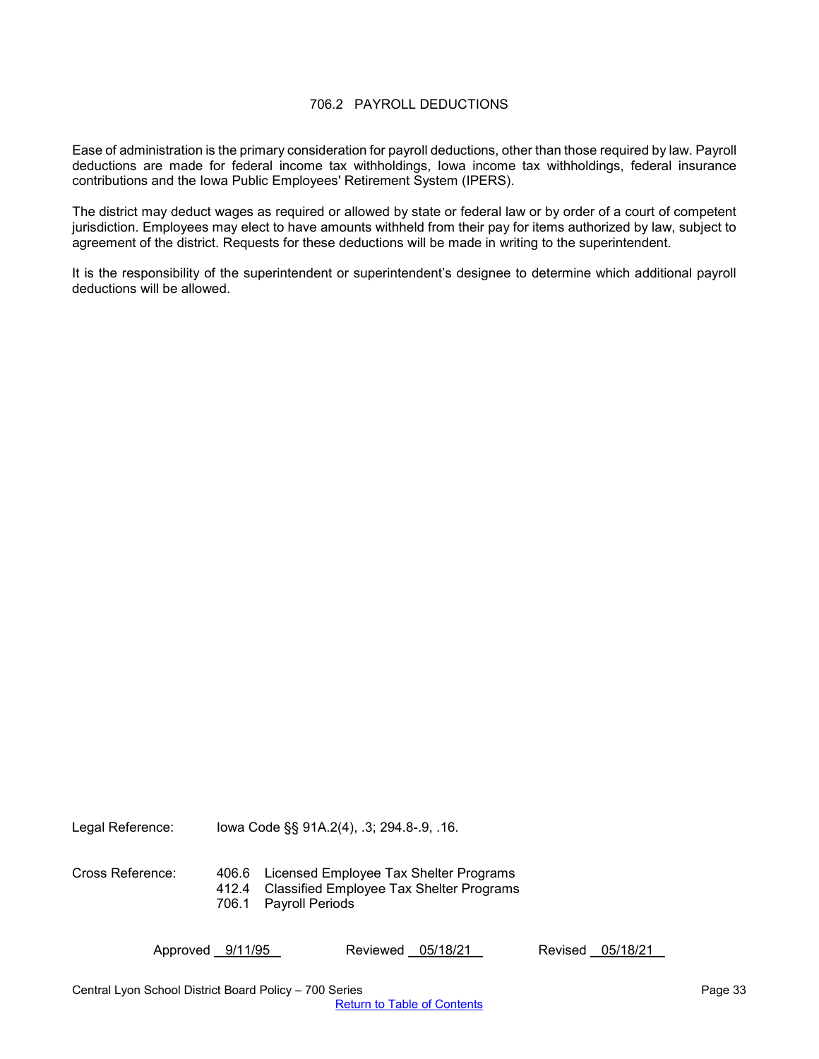## 706.2 PAYROLL DEDUCTIONS

<span id="page-32-0"></span>Ease of administration is the primary consideration for payroll deductions, other than those required by law. Payroll deductions are made for federal income tax withholdings, Iowa income tax withholdings, federal insurance contributions and the Iowa Public Employees' Retirement System (IPERS).

The district may deduct wages as required or allowed by state or federal law or by order of a court of competent jurisdiction. Employees may elect to have amounts withheld from their pay for items authorized by law, subject to agreement of the district. Requests for these deductions will be made in writing to the superintendent.

It is the responsibility of the superintendent or superintendent's designee to determine which additional payroll deductions will be allowed.

Legal Reference: Iowa Code §§ 91A.2(4), .3; 294.8-.9, .16.

Cross Reference: 406.6 Licensed Employee Tax Shelter Programs 412.4 Classified Employee Tax Shelter Programs 706.1 Payroll Periods

Approved 9/11/95 Reviewed 05/18/21 Revised 05/18/21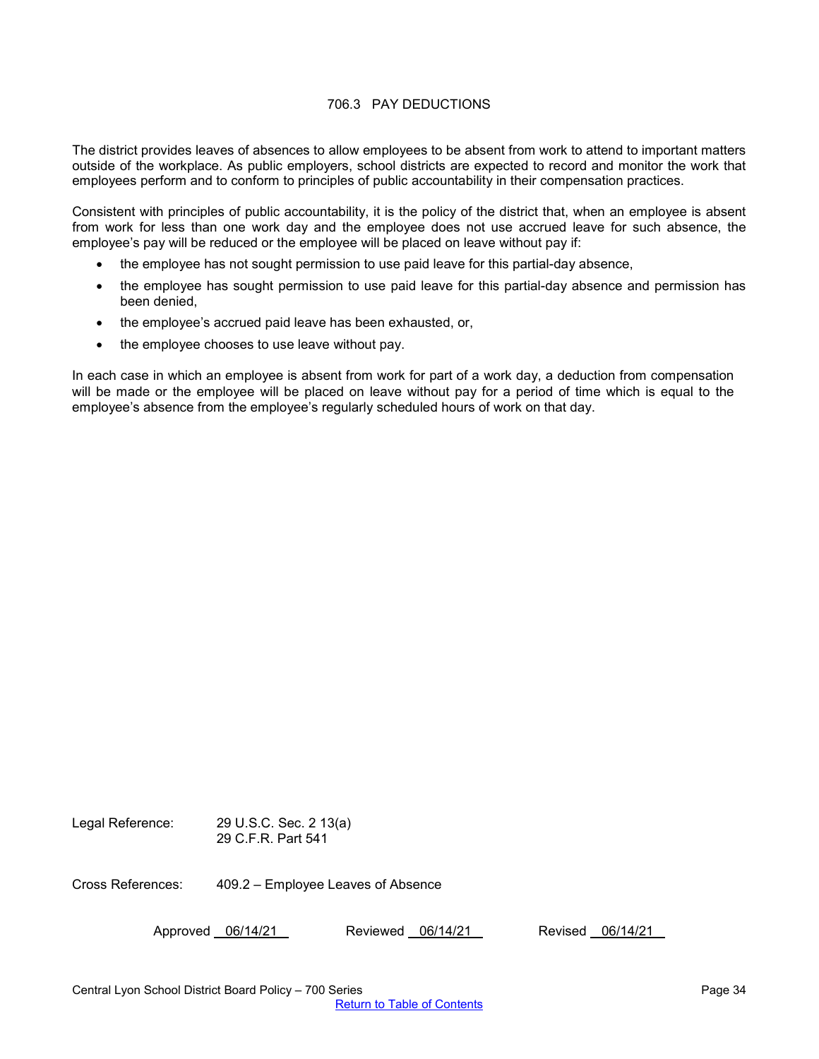## 706.3 PAY DEDUCTIONS

<span id="page-33-0"></span>The district provides leaves of absences to allow employees to be absent from work to attend to important matters outside of the workplace. As public employers, school districts are expected to record and monitor the work that employees perform and to conform to principles of public accountability in their compensation practices.

Consistent with principles of public accountability, it is the policy of the district that, when an employee is absent from work for less than one work day and the employee does not use accrued leave for such absence, the employee's pay will be reduced or the employee will be placed on leave without pay if:

- the employee has not sought permission to use paid leave for this partial-day absence,
- the employee has sought permission to use paid leave for this partial-day absence and permission has been denied,
- the employee's accrued paid leave has been exhausted, or,
- the employee chooses to use leave without pay.

In each case in which an employee is absent from work for part of a work day, a deduction from compensation will be made or the employee will be placed on leave without pay for a period of time which is equal to the employee's absence from the employee's regularly scheduled hours of work on that day.

Legal Reference: 29 U.S.C. Sec. 2 13(a) 29 C.F.R. Part 541

Cross References: 409.2 – Employee Leaves of Absence

Approved 06/14/21 Reviewed 06/14/21 Revised 06/14/21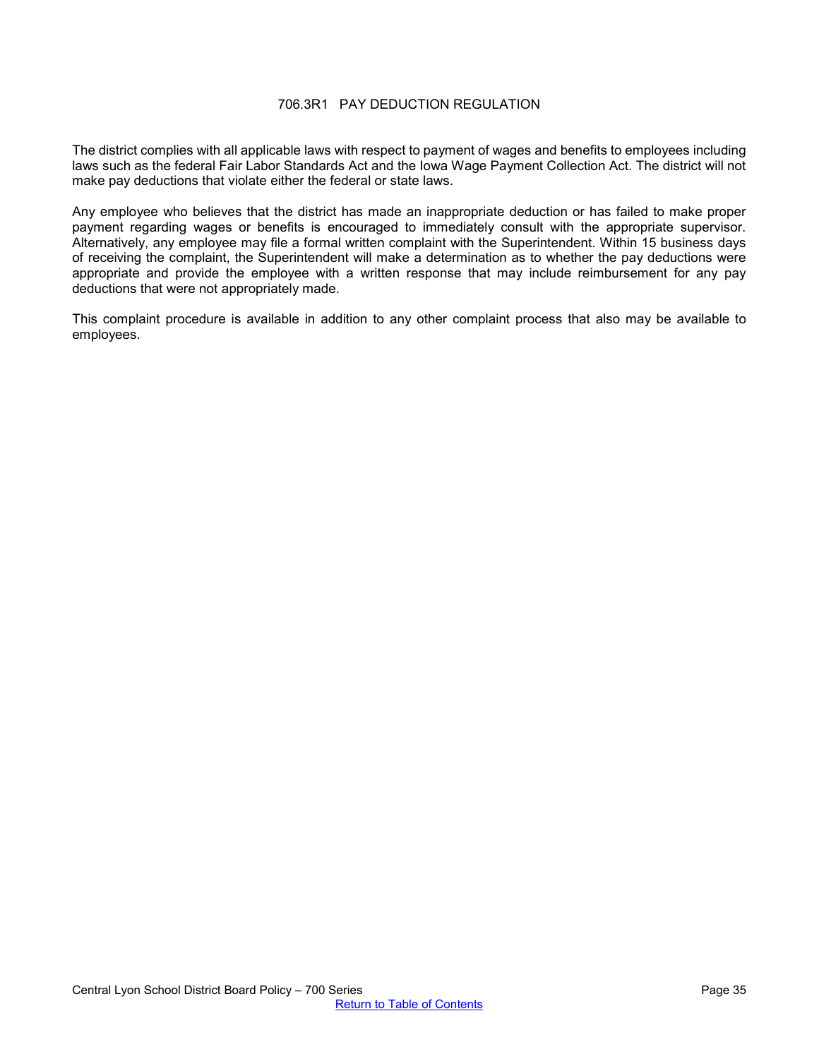## 706.3R1 PAY DEDUCTION REGULATION

<span id="page-34-0"></span>The district complies with all applicable laws with respect to payment of wages and benefits to employees including laws such as the federal Fair Labor Standards Act and the Iowa Wage Payment Collection Act. The district will not make pay deductions that violate either the federal or state laws.

Any employee who believes that the district has made an inappropriate deduction or has failed to make proper payment regarding wages or benefits is encouraged to immediately consult with the appropriate supervisor. Alternatively, any employee may file a formal written complaint with the Superintendent. Within 15 business days of receiving the complaint, the Superintendent will make a determination as to whether the pay deductions were appropriate and provide the employee with a written response that may include reimbursement for any pay deductions that were not appropriately made.

This complaint procedure is available in addition to any other complaint process that also may be available to employees.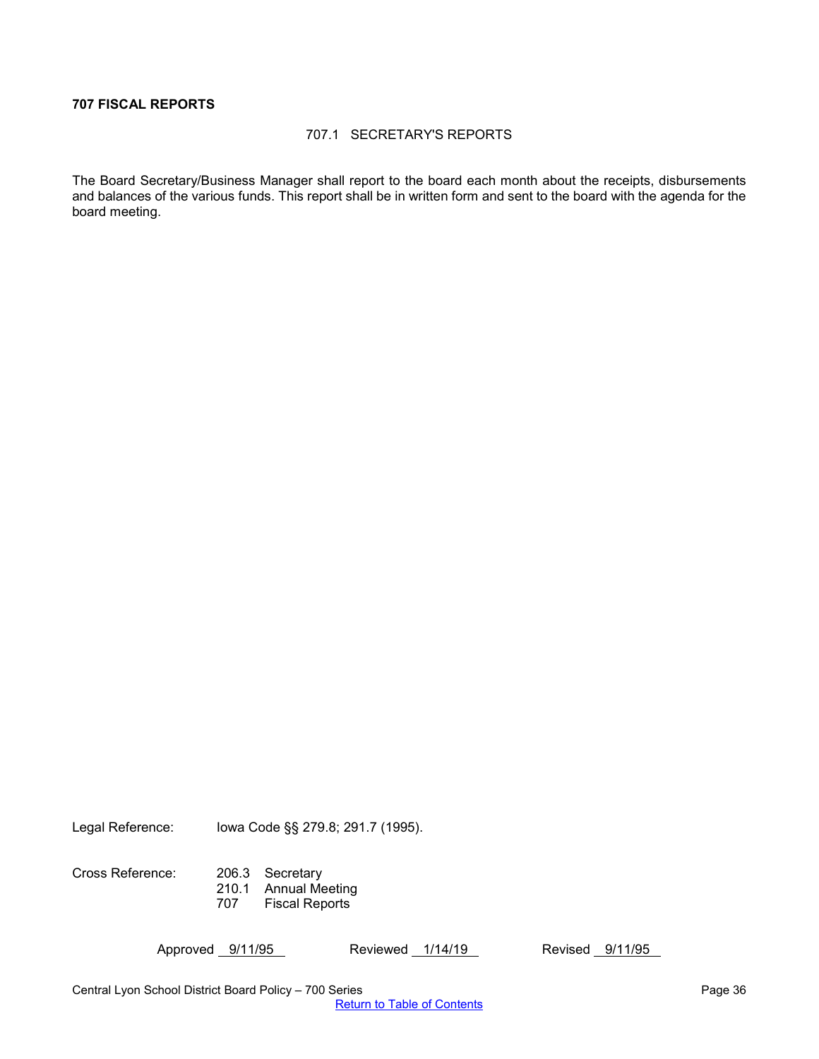## <span id="page-35-1"></span><span id="page-35-0"></span>**707 FISCAL REPORTS**

#### 707.1 SECRETARY'S REPORTS

The Board Secretary/Business Manager shall report to the board each month about the receipts, disbursements and balances of the various funds. This report shall be in written form and sent to the board with the agenda for the board meeting.

Legal Reference: Iowa Code §§ 279.8; 291.7 (1995).

Cross Reference: 206.3 Secretary 210.1 Annual Meeting 707 Fiscal Reports

Approved 9/11/95 Reviewed 1/14/19 Revised 9/11/95

Central Lyon School District Board Policy – 700 Series **Page 36** Page 36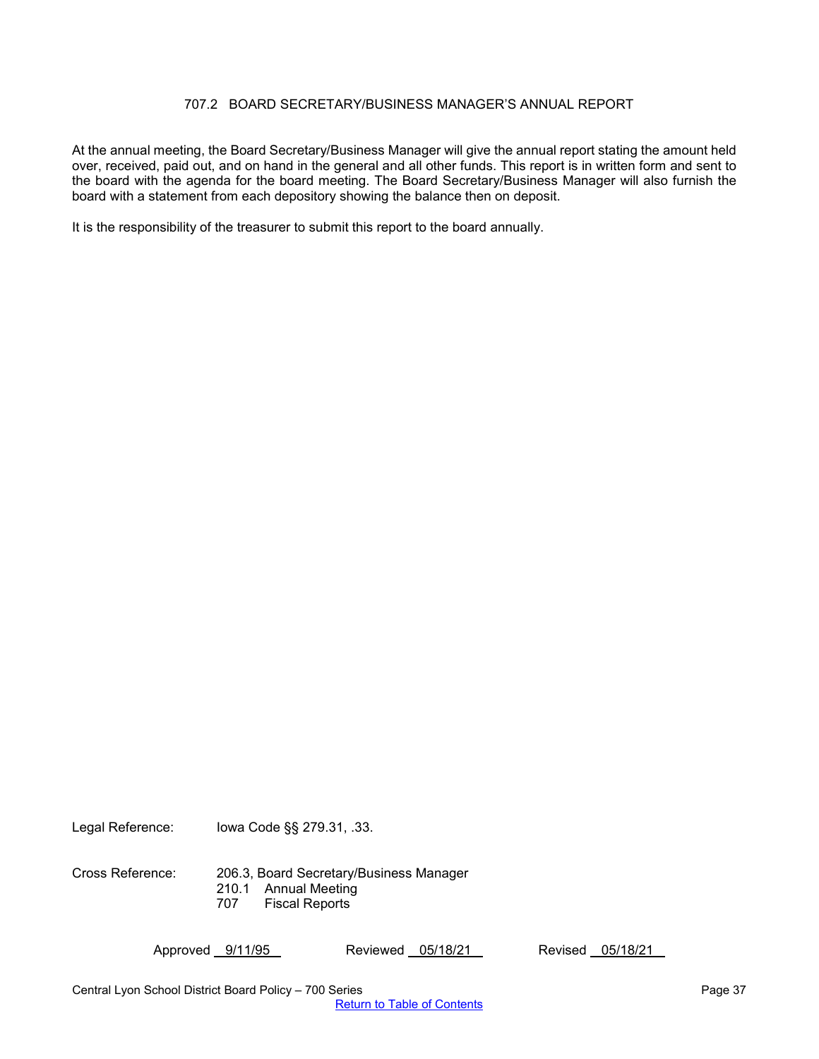## 707.2 BOARD SECRETARY/BUSINESS MANAGER'S ANNUAL REPORT

<span id="page-36-0"></span>At the annual meeting, the Board Secretary/Business Manager will give the annual report stating the amount held over, received, paid out, and on hand in the general and all other funds. This report is in written form and sent to the board with the agenda for the board meeting. The Board Secretary/Business Manager will also furnish the board with a statement from each depository showing the balance then on deposit.

It is the responsibility of the treasurer to submit this report to the board annually.

Legal Reference: Iowa Code §§ 279.31, .33.

Cross Reference: 206.3, Board Secretary/Business Manager 210.1 Annual Meeting 707 Fiscal Reports

Approved 9/11/95 Reviewed 05/18/21 Revised 05/18/21

Central Lyon School District Board Policy – 700 Series Page 37 November 2012 12:00 Series Page 37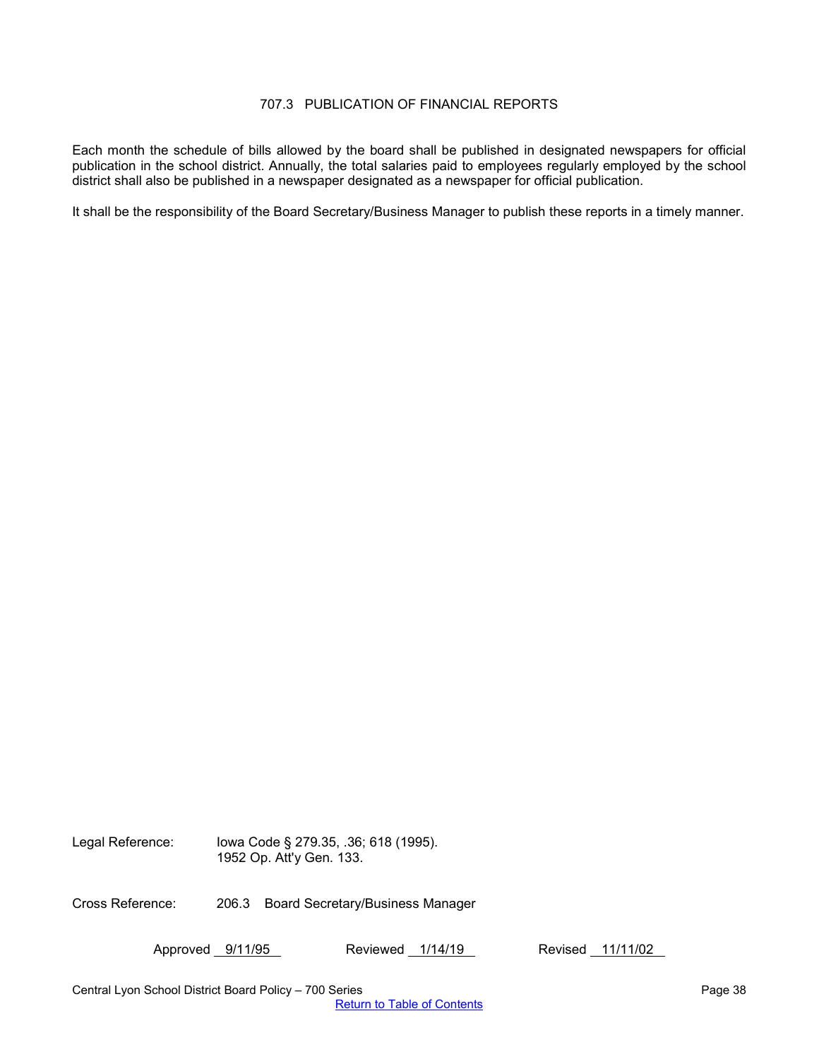## 707.3 PUBLICATION OF FINANCIAL REPORTS

<span id="page-37-0"></span>Each month the schedule of bills allowed by the board shall be published in designated newspapers for official publication in the school district. Annually, the total salaries paid to employees regularly employed by the school district shall also be published in a newspaper designated as a newspaper for official publication.

It shall be the responsibility of the Board Secretary/Business Manager to publish these reports in a timely manner.

Legal Reference: Iowa Code § 279.35, .36; 618 (1995). 1952 Op. Att'y Gen. 133.

Cross Reference: 206.3 Board Secretary/Business Manager

Approved 9/11/95 Reviewed 1/14/19 Revised 11/11/02

Central Lyon School District Board Policy – 700 Series Page 38 and 2012 12:30 Page 38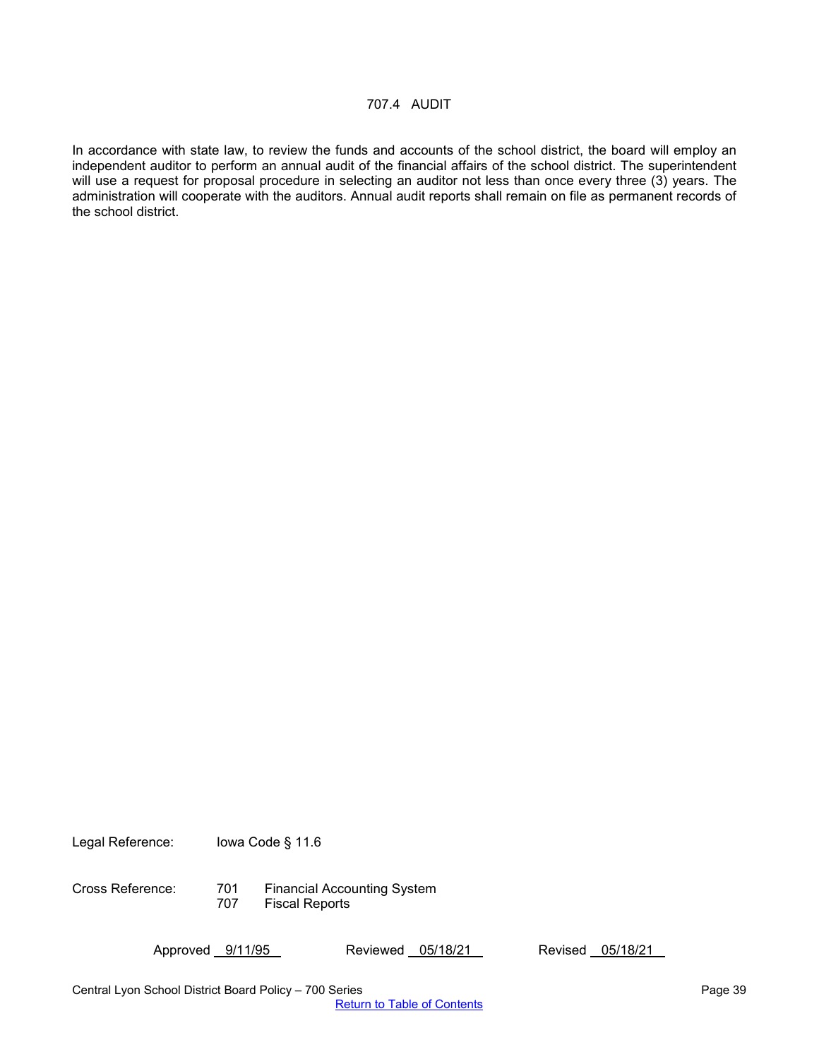<span id="page-38-0"></span>In accordance with state law, to review the funds and accounts of the school district, the board will employ an independent auditor to perform an annual audit of the financial affairs of the school district. The superintendent will use a request for proposal procedure in selecting an auditor not less than once every three (3) years. The administration will cooperate with the auditors. Annual audit reports shall remain on file as permanent records of the school district.

Legal Reference: Iowa Code § 11.6

Cross Reference: 701 Financial Accounting System 707 Fiscal Reports

Approved 9/11/95 Reviewed 05/18/21 Revised 05/18/21

Central Lyon School District Board Policy – 700 Series Page 39 Page 39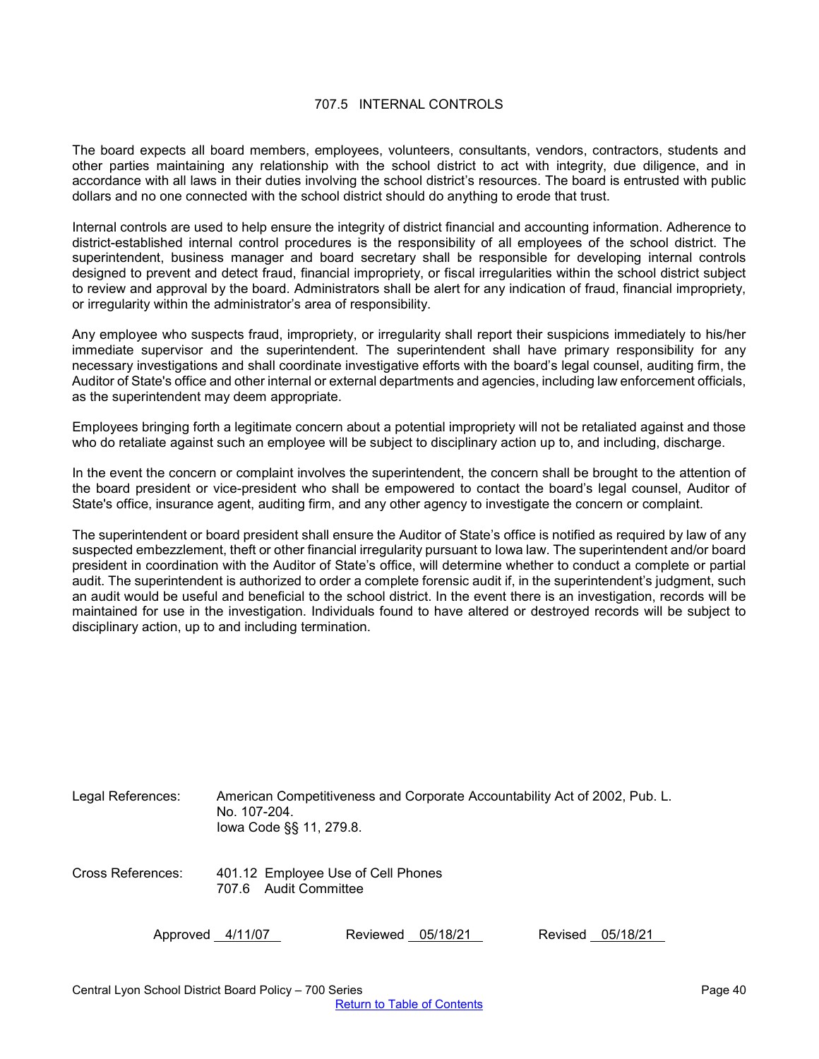## 707.5 INTERNAL CONTROLS

<span id="page-39-0"></span>The board expects all board members, employees, volunteers, consultants, vendors, contractors, students and other parties maintaining any relationship with the school district to act with integrity, due diligence, and in accordance with all laws in their duties involving the school district's resources. The board is entrusted with public dollars and no one connected with the school district should do anything to erode that trust.

Internal controls are used to help ensure the integrity of district financial and accounting information. Adherence to district-established internal control procedures is the responsibility of all employees of the school district. The superintendent, business manager and board secretary shall be responsible for developing internal controls designed to prevent and detect fraud, financial impropriety, or fiscal irregularities within the school district subject to review and approval by the board. Administrators shall be alert for any indication of fraud, financial impropriety, or irregularity within the administrator's area of responsibility.

Any employee who suspects fraud, impropriety, or irregularity shall report their suspicions immediately to his/her immediate supervisor and the superintendent. The superintendent shall have primary responsibility for any necessary investigations and shall coordinate investigative efforts with the board's legal counsel, auditing firm, the Auditor of State's office and other internal or external departments and agencies, including law enforcement officials, as the superintendent may deem appropriate.

Employees bringing forth a legitimate concern about a potential impropriety will not be retaliated against and those who do retaliate against such an employee will be subject to disciplinary action up to, and including, discharge.

In the event the concern or complaint involves the superintendent, the concern shall be brought to the attention of the board president or vice-president who shall be empowered to contact the board's legal counsel, Auditor of State's office, insurance agent, auditing firm, and any other agency to investigate the concern or complaint.

The superintendent or board president shall ensure the Auditor of State's office is notified as required by law of any suspected embezzlement, theft or other financial irregularity pursuant to Iowa law. The superintendent and/or board president in coordination with the Auditor of State's office, will determine whether to conduct a complete or partial audit. The superintendent is authorized to order a complete forensic audit if, in the superintendent's judgment, such an audit would be useful and beneficial to the school district. In the event there is an investigation, records will be maintained for use in the investigation. Individuals found to have altered or destroyed records will be subject to disciplinary action, up to and including termination.

| Legal References: | American Competitiveness and Corporate Accountability Act of 2002, Pub. L.<br>No. 107-204.<br>lowa Code §§ 11, 279.8. |          |          |         |          |
|-------------------|-----------------------------------------------------------------------------------------------------------------------|----------|----------|---------|----------|
| Cross References: | 401.12 Employee Use of Cell Phones<br>Audit Committee<br>707.6                                                        |          |          |         |          |
| Approved 4/11/07  |                                                                                                                       | Reviewed | 05/18/21 | Revised | 05/18/21 |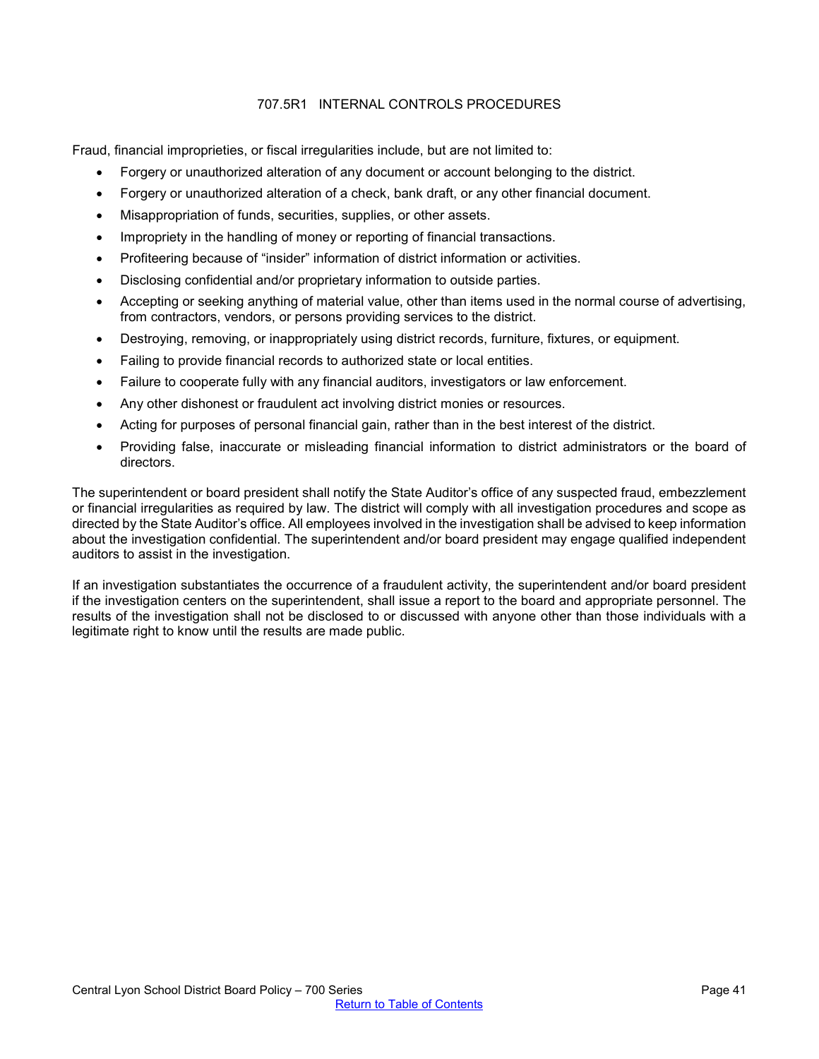# 707.5R1 INTERNAL CONTROLS PROCEDURES

<span id="page-40-0"></span>Fraud, financial improprieties, or fiscal irregularities include, but are not limited to:

- Forgery or unauthorized alteration of any document or account belonging to the district.
- Forgery or unauthorized alteration of a check, bank draft, or any other financial document.
- Misappropriation of funds, securities, supplies, or other assets.
- Impropriety in the handling of money or reporting of financial transactions.
- Profiteering because of "insider" information of district information or activities.
- Disclosing confidential and/or proprietary information to outside parties.
- Accepting or seeking anything of material value, other than items used in the normal course of advertising, from contractors, vendors, or persons providing services to the district.
- Destroying, removing, or inappropriately using district records, furniture, fixtures, or equipment.
- Failing to provide financial records to authorized state or local entities.
- Failure to cooperate fully with any financial auditors, investigators or law enforcement.
- Any other dishonest or fraudulent act involving district monies or resources.
- Acting for purposes of personal financial gain, rather than in the best interest of the district.
- Providing false, inaccurate or misleading financial information to district administrators or the board of directors.

The superintendent or board president shall notify the State Auditor's office of any suspected fraud, embezzlement or financial irregularities as required by law. The district will comply with all investigation procedures and scope as directed by the State Auditor's office. All employees involved in the investigation shall be advised to keep information about the investigation confidential. The superintendent and/or board president may engage qualified independent auditors to assist in the investigation.

If an investigation substantiates the occurrence of a fraudulent activity, the superintendent and/or board president if the investigation centers on the superintendent, shall issue a report to the board and appropriate personnel. The results of the investigation shall not be disclosed to or discussed with anyone other than those individuals with a legitimate right to know until the results are made public.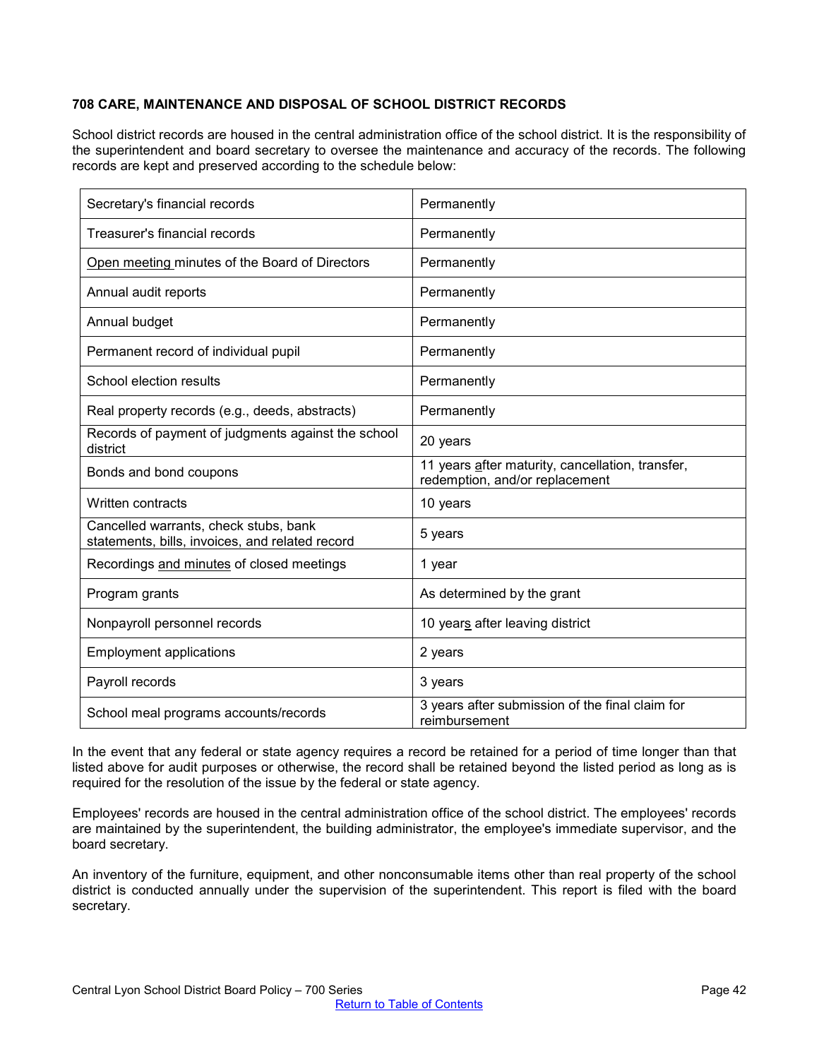# <span id="page-41-0"></span>**708 CARE, MAINTENANCE AND DISPOSAL OF SCHOOL DISTRICT RECORDS**

School district records are housed in the central administration office of the school district. It is the responsibility of the superintendent and board secretary to oversee the maintenance and accuracy of the records. The following records are kept and preserved according to the schedule below:

| Secretary's financial records                                                            | Permanently                                                                        |
|------------------------------------------------------------------------------------------|------------------------------------------------------------------------------------|
| Treasurer's financial records                                                            | Permanently                                                                        |
| Open meeting minutes of the Board of Directors                                           | Permanently                                                                        |
| Annual audit reports                                                                     | Permanently                                                                        |
| Annual budget                                                                            | Permanently                                                                        |
| Permanent record of individual pupil                                                     | Permanently                                                                        |
| School election results                                                                  | Permanently                                                                        |
| Real property records (e.g., deeds, abstracts)                                           | Permanently                                                                        |
| Records of payment of judgments against the school<br>district                           | 20 years                                                                           |
| Bonds and bond coupons                                                                   | 11 years after maturity, cancellation, transfer,<br>redemption, and/or replacement |
| Written contracts                                                                        | 10 years                                                                           |
| Cancelled warrants, check stubs, bank<br>statements, bills, invoices, and related record | 5 years                                                                            |
| Recordings and minutes of closed meetings                                                | 1 year                                                                             |
| Program grants                                                                           | As determined by the grant                                                         |
| Nonpayroll personnel records                                                             | 10 years after leaving district                                                    |
| <b>Employment applications</b>                                                           | 2 years                                                                            |
| Payroll records                                                                          | 3 years                                                                            |
| School meal programs accounts/records                                                    | 3 years after submission of the final claim for<br>reimbursement                   |

In the event that any federal or state agency requires a record be retained for a period of time longer than that listed above for audit purposes or otherwise, the record shall be retained beyond the listed period as long as is required for the resolution of the issue by the federal or state agency.

Employees' records are housed in the central administration office of the school district. The employees' records are maintained by the superintendent, the building administrator, the employee's immediate supervisor, and the board secretary.

An inventory of the furniture, equipment, and other nonconsumable items other than real property of the school district is conducted annually under the supervision of the superintendent. This report is filed with the board secretary.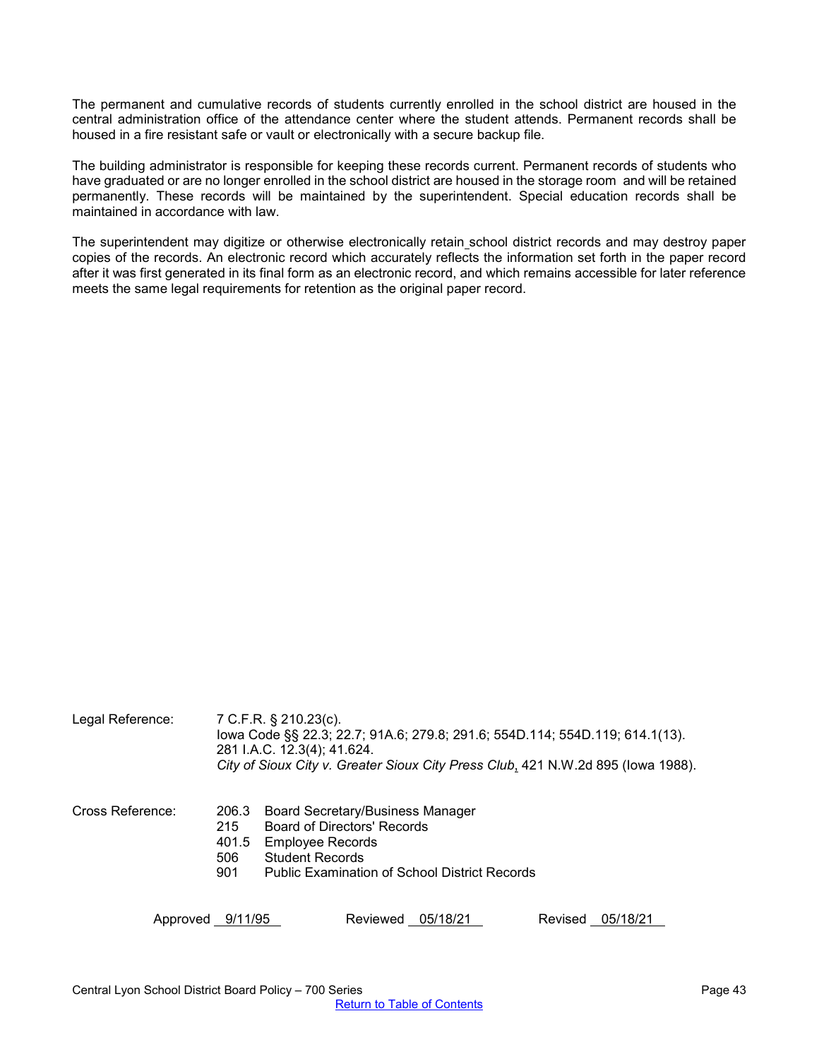The permanent and cumulative records of students currently enrolled in the school district are housed in the central administration office of the attendance center where the student attends. Permanent records shall be housed in a fire resistant safe or vault or electronically with a secure backup file.

The building administrator is responsible for keeping these records current. Permanent records of students who have graduated or are no longer enrolled in the school district are housed in the storage room and will be retained permanently. These records will be maintained by the superintendent. Special education records shall be maintained in accordance with law.

The superintendent may digitize or otherwise electronically retain school district records and may destroy paper copies of the records. An electronic record which accurately reflects the information set forth in the paper record after it was first generated in its final form as an electronic record, and which remains accessible for later reference meets the same legal requirements for retention as the original paper record.

| Legal Reference: |                                     | 7 C.F.R. § 210.23(c).<br>lowa Code §§ 22.3; 22.7; 91A.6; 279.8; 291.6; 554D.114; 554D.119; 614.1(13).<br>281 I.A.C. 12.3(4); 41.624.<br>City of Sioux City v. Greater Sioux City Press Club, 421 N.W.2d 895 (lowa 1988). |  |
|------------------|-------------------------------------|--------------------------------------------------------------------------------------------------------------------------------------------------------------------------------------------------------------------------|--|
| Cross Reference: | 206.3<br>215<br>401.5<br>506<br>901 | <b>Board Secretary/Business Manager</b><br><b>Board of Directors' Records</b><br><b>Employee Records</b><br><b>Student Records</b><br><b>Public Examination of School District Records</b>                               |  |
| Approved 9/11/95 |                                     | Reviewed 05/18/21<br>Revised<br>05/18/21                                                                                                                                                                                 |  |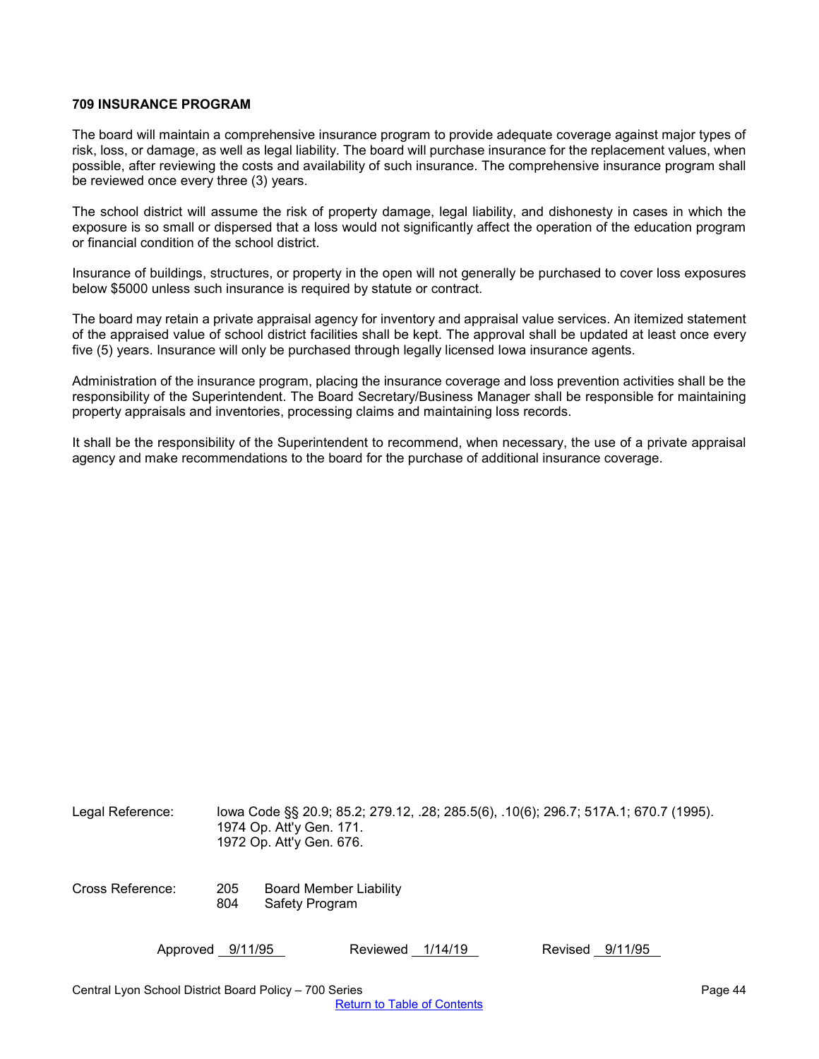## <span id="page-43-0"></span>**709 INSURANCE PROGRAM**

The board will maintain a comprehensive insurance program to provide adequate coverage against major types of risk, loss, or damage, as well as legal liability. The board will purchase insurance for the replacement values, when possible, after reviewing the costs and availability of such insurance. The comprehensive insurance program shall be reviewed once every three (3) years.

The school district will assume the risk of property damage, legal liability, and dishonesty in cases in which the exposure is so small or dispersed that a loss would not significantly affect the operation of the education program or financial condition of the school district.

Insurance of buildings, structures, or property in the open will not generally be purchased to cover loss exposures below \$5000 unless such insurance is required by statute or contract.

The board may retain a private appraisal agency for inventory and appraisal value services. An itemized statement of the appraised value of school district facilities shall be kept. The approval shall be updated at least once every five (5) years. Insurance will only be purchased through legally licensed Iowa insurance agents.

Administration of the insurance program, placing the insurance coverage and loss prevention activities shall be the responsibility of the Superintendent. The Board Secretary/Business Manager shall be responsible for maintaining property appraisals and inventories, processing claims and maintaining loss records.

It shall be the responsibility of the Superintendent to recommend, when necessary, the use of a private appraisal agency and make recommendations to the board for the purchase of additional insurance coverage.

| Legal Reference: |            | lowa Code §§ 20.9; 85.2; 279.12, .28; 285.5(6), .10(6); 296.7; 517A.1; 670.7 (1995).<br>1974 Op. Att'y Gen. 171.<br>1972 Op. Att'y Gen. 676. |
|------------------|------------|----------------------------------------------------------------------------------------------------------------------------------------------|
| Cross Reference: | 205<br>804 | <b>Board Member Liability</b><br>Safety Program                                                                                              |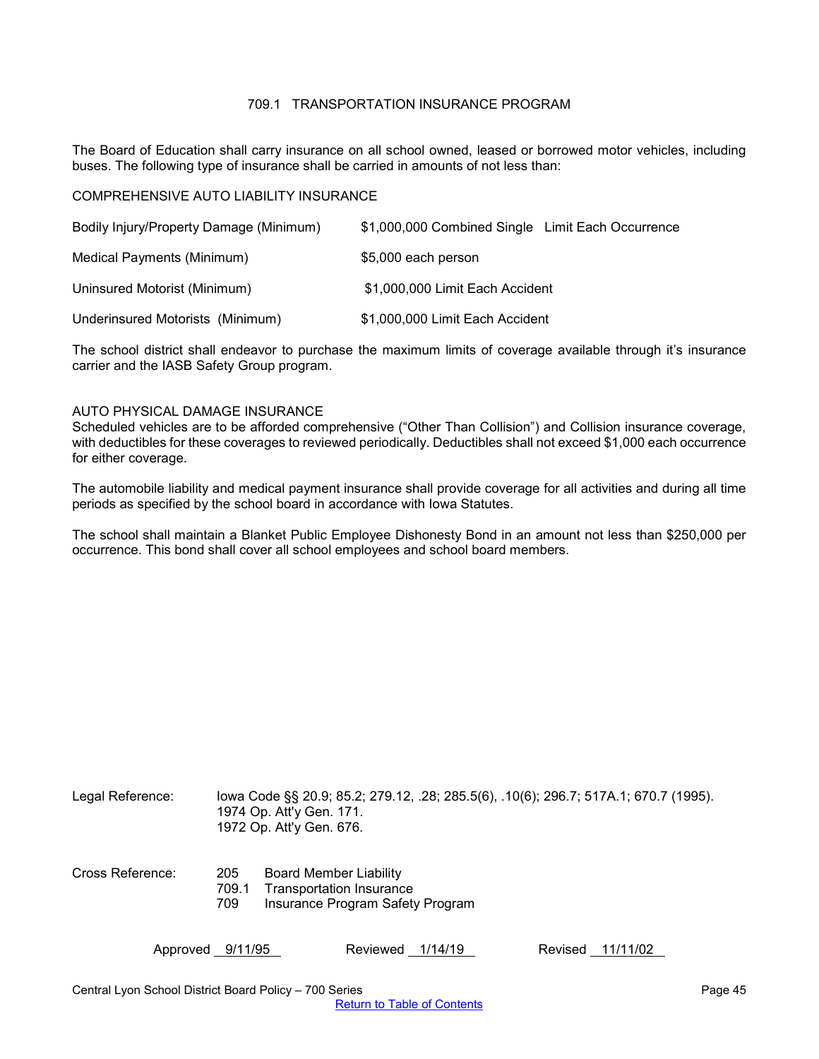## 709.1 TRANSPORTATION INSURANCE PROGRAM

<span id="page-44-0"></span>The Board of Education shall carry insurance on all school owned, leased or borrowed motor vehicles, including buses. The following type of insurance shall be carried in amounts of not less than:

COMPREHENSIVE AUTO LIABILITY INSURANCE

| Bodily Injury/Property Damage (Minimum) | \$1,000,000 Combined Single Limit Each Occurrence |
|-----------------------------------------|---------------------------------------------------|
| Medical Payments (Minimum)              | \$5,000 each person                               |
| Uninsured Motorist (Minimum)            | \$1,000,000 Limit Each Accident                   |
| Underinsured Motorists (Minimum)        | \$1,000,000 Limit Each Accident                   |

The school district shall endeavor to purchase the maximum limits of coverage available through it's insurance carrier and the IASB Safety Group program.

### AUTO PHYSICAL DAMAGE INSURANCE

Scheduled vehicles are to be afforded comprehensive ("Other Than Collision") and Collision insurance coverage, with deductibles for these coverages to reviewed periodically. Deductibles shall not exceed \$1,000 each occurrence for either coverage.

The automobile liability and medical payment insurance shall provide coverage for all activities and during all time periods as specified by the school board in accordance with Iowa Statutes.

The school shall maintain a Blanket Public Employee Dishonesty Bond in an amount not less than \$250,000 per occurrence. This bond shall cover all school employees and school board members.

| Legal Reference: | lowa Code §§ 20.9; 85.2; 279.12, .28; 285.5(6), .10(6); 296.7; 517A.1; 670.7 (1995).<br>1974 Op. Att'y Gen. 171.<br>1972 Op. Att'y Gen. 676. |
|------------------|----------------------------------------------------------------------------------------------------------------------------------------------|
| Cross Reference: | 205<br><b>Board Member Liability</b><br><b>Transportation Insurance</b><br>709.1<br>Insurance Program Safety Program<br>709                  |

Central Lyon School District Board Policy – 700 Series **Page 15** Page 45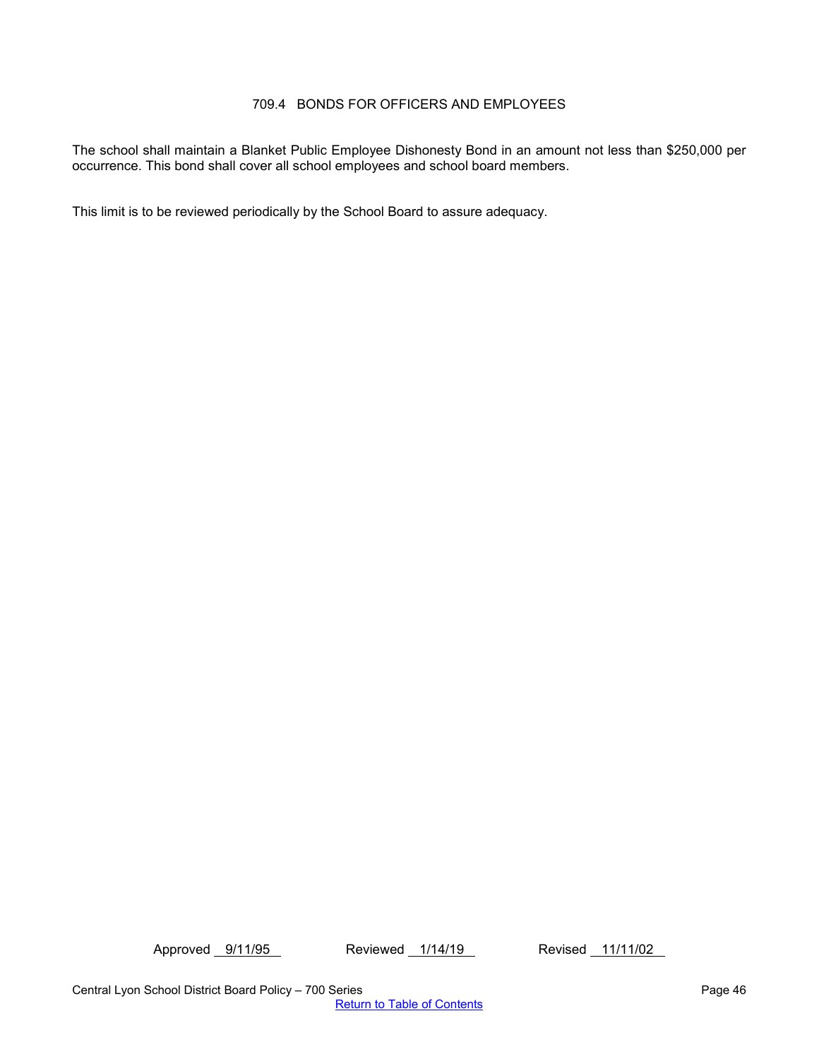# 709.4 BONDS FOR OFFICERS AND EMPLOYEES

<span id="page-45-0"></span>The school shall maintain a Blanket Public Employee Dishonesty Bond in an amount not less than \$250,000 per occurrence. This bond shall cover all school employees and school board members.

This limit is to be reviewed periodically by the School Board to assure adequacy.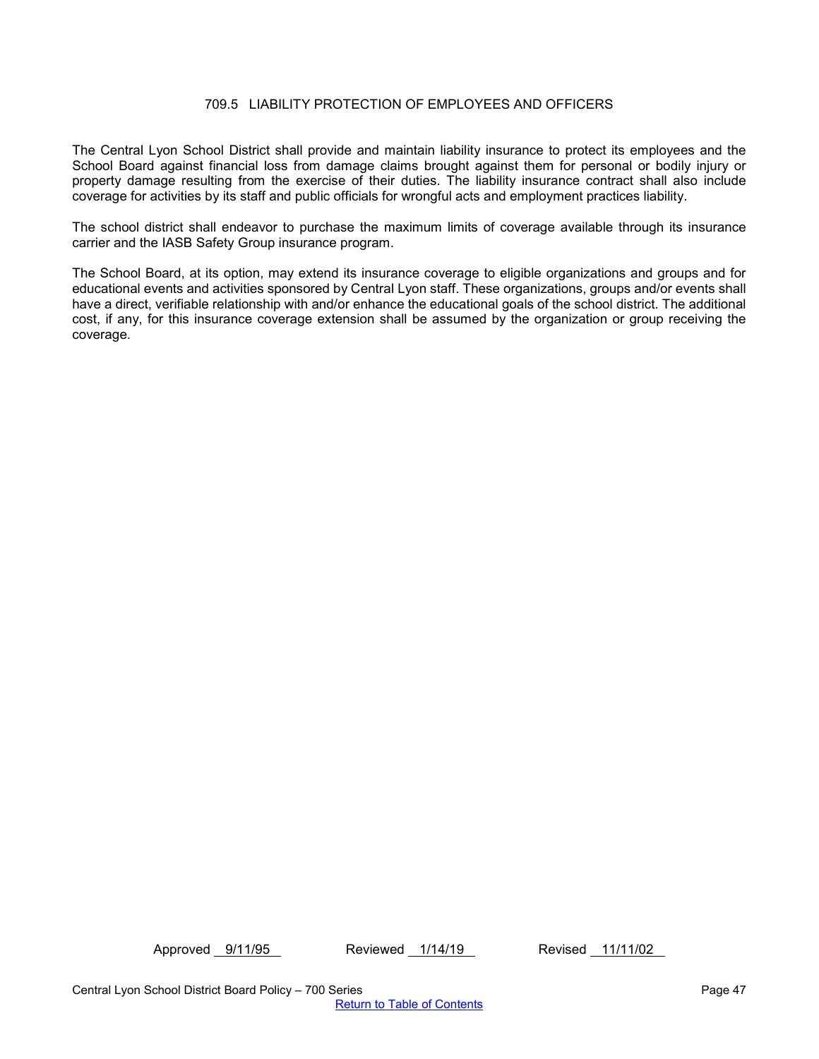## 709.5 LIABILITY PROTECTION OF EMPLOYEES AND OFFICERS

<span id="page-46-0"></span>The Central Lyon School District shall provide and maintain liability insurance to protect its employees and the School Board against financial loss from damage claims brought against them for personal or bodily injury or property damage resulting from the exercise of their duties. The liability insurance contract shall also include coverage for activities by its staff and public officials for wrongful acts and employment practices liability.

The school district shall endeavor to purchase the maximum limits of coverage available through its insurance carrier and the IASB Safety Group insurance program.

The School Board, at its option, may extend its insurance coverage to eligible organizations and groups and for educational events and activities sponsored by Central Lyon staff. These organizations, groups and/or events shall have a direct, verifiable relationship with and/or enhance the educational goals of the school district. The additional cost, if any, for this insurance coverage extension shall be assumed by the organization or group receiving the coverage.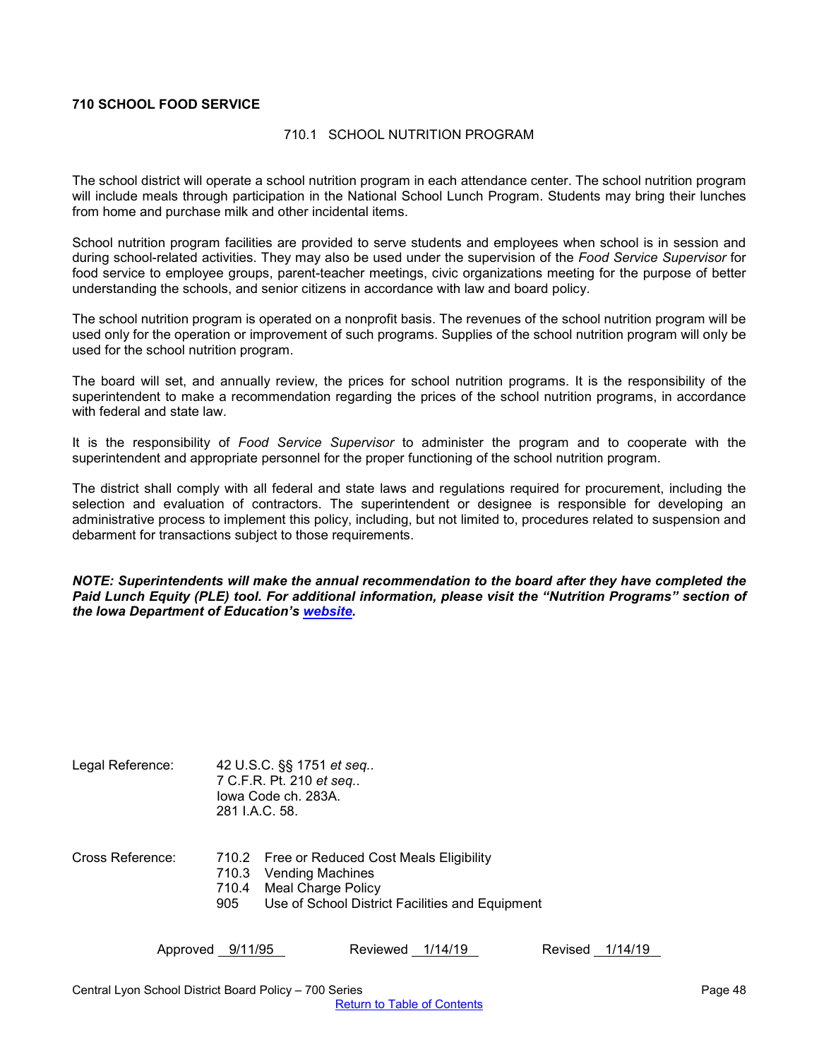## <span id="page-47-1"></span><span id="page-47-0"></span>**710 SCHOOL FOOD SERVICE**

#### 710.1 SCHOOL NUTRITION PROGRAM

The school district will operate a school nutrition program in each attendance center. The school nutrition program will include meals through participation in the National School Lunch Program. Students may bring their lunches from home and purchase milk and other incidental items.

School nutrition program facilities are provided to serve students and employees when school is in session and during school-related activities. They may also be used under the supervision of the *Food Service Supervisor* for food service to employee groups, parent-teacher meetings, civic organizations meeting for the purpose of better understanding the schools, and senior citizens in accordance with law and board policy.

The school nutrition program is operated on a nonprofit basis. The revenues of the school nutrition program will be used only for the operation or improvement of such programs. Supplies of the school nutrition program will only be used for the school nutrition program.

The board will set, and annually review, the prices for school nutrition programs. It is the responsibility of the superintendent to make a recommendation regarding the prices of the school nutrition programs, in accordance with federal and state law.

It is the responsibility of *Food Service Supervisor* to administer the program and to cooperate with the superintendent and appropriate personnel for the proper functioning of the school nutrition program.

The district shall comply with all federal and state laws and regulations required for procurement, including the selection and evaluation of contractors. The superintendent or designee is responsible for developing an administrative process to implement this policy, including, but not limited to, procedures related to suspension and debarment for transactions subject to those requirements.

*NOTE: Superintendents will make the annual recommendation to the board after they have completed the Paid Lunch Equity (PLE) tool. For additional information, please visit the "Nutrition Programs" section of the Iowa Department of Education's [website.](https://www.educateiowa.gov/pk-12/nutrition-programs)* 

| Legal Reference: |     | 42 U.S.C. §§ 1751 et seq<br>7 C.F.R. Pt. 210 et seq<br>lowa Code ch. 283A.<br>281 I.A.C. 58.                                                          |
|------------------|-----|-------------------------------------------------------------------------------------------------------------------------------------------------------|
| Cross Reference: | 905 | 710.2 Free or Reduced Cost Meals Eligibility<br>710.3 Vending Machines<br>710.4 Meal Charge Policy<br>Use of School District Facilities and Equipment |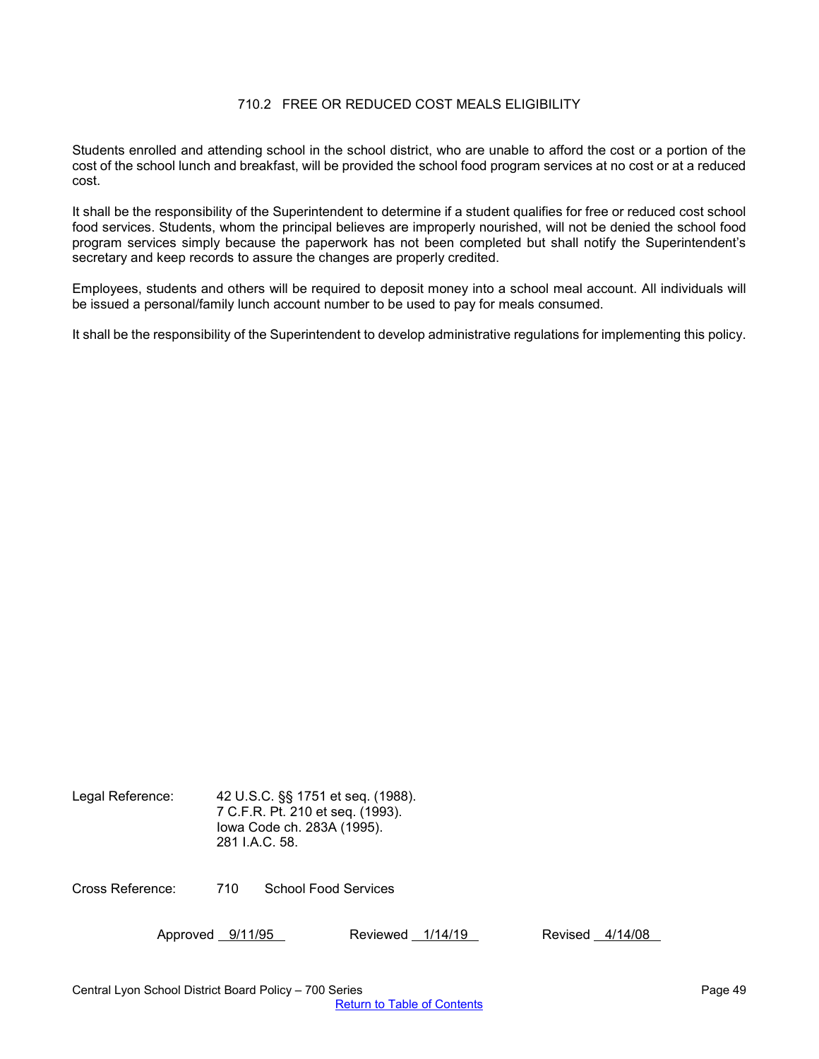# 710.2 FREE OR REDUCED COST MEALS ELIGIBILITY

<span id="page-48-0"></span>Students enrolled and attending school in the school district, who are unable to afford the cost or a portion of the cost of the school lunch and breakfast, will be provided the school food program services at no cost or at a reduced cost.

It shall be the responsibility of the Superintendent to determine if a student qualifies for free or reduced cost school food services. Students, whom the principal believes are improperly nourished, will not be denied the school food program services simply because the paperwork has not been completed but shall notify the Superintendent's secretary and keep records to assure the changes are properly credited.

Employees, students and others will be required to deposit money into a school meal account. All individuals will be issued a personal/family lunch account number to be used to pay for meals consumed.

It shall be the responsibility of the Superintendent to develop administrative regulations for implementing this policy.

Legal Reference: 42 U.S.C. §§ 1751 et seq. (1988). 7 C.F.R. Pt. 210 et seq. (1993). Iowa Code ch. 283A (1995). 281 I.A.C. 58.

Cross Reference: 710 School Food Services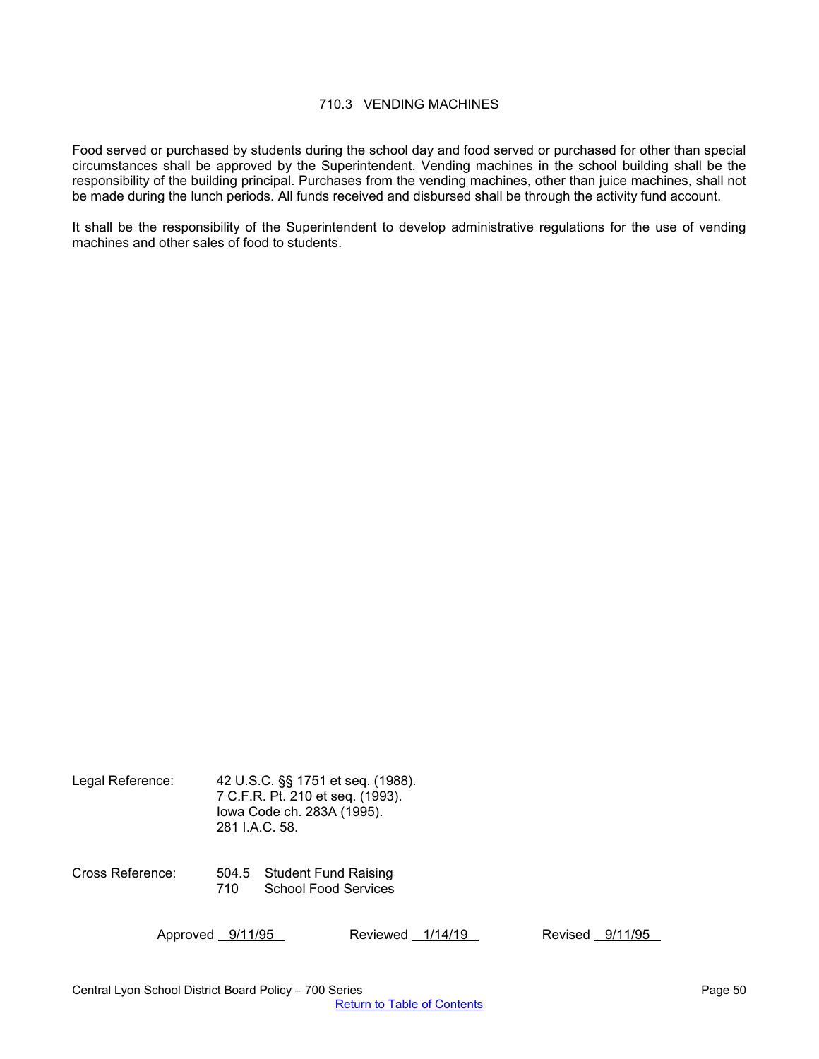## 710.3 VENDING MACHINES

<span id="page-49-0"></span>Food served or purchased by students during the school day and food served or purchased for other than special circumstances shall be approved by the Superintendent. Vending machines in the school building shall be the responsibility of the building principal. Purchases from the vending machines, other than juice machines, shall not be made during the lunch periods. All funds received and disbursed shall be through the activity fund account.

It shall be the responsibility of the Superintendent to develop administrative regulations for the use of vending machines and other sales of food to students.

| Legal Reference: | 42 U.S.C. §§ 1751 et seq. (1988).<br>7 C.F.R. Pt. 210 et seq. (1993).<br>lowa Code ch. 283A (1995).<br>281 I.A.C. 58. |                                                    |          |         |         |         |
|------------------|-----------------------------------------------------------------------------------------------------------------------|----------------------------------------------------|----------|---------|---------|---------|
| Cross Reference: | 710                                                                                                                   | 504.5 Student Fund Raising<br>School Food Services |          |         |         |         |
| Approved 9/11/95 |                                                                                                                       |                                                    | Reviewed | 1/14/19 | Revised | 9/11/95 |

Central Lyon School District Board Policy – 700 Series Page 50 Page 50 [Return to Table of Contents](#page-0-0)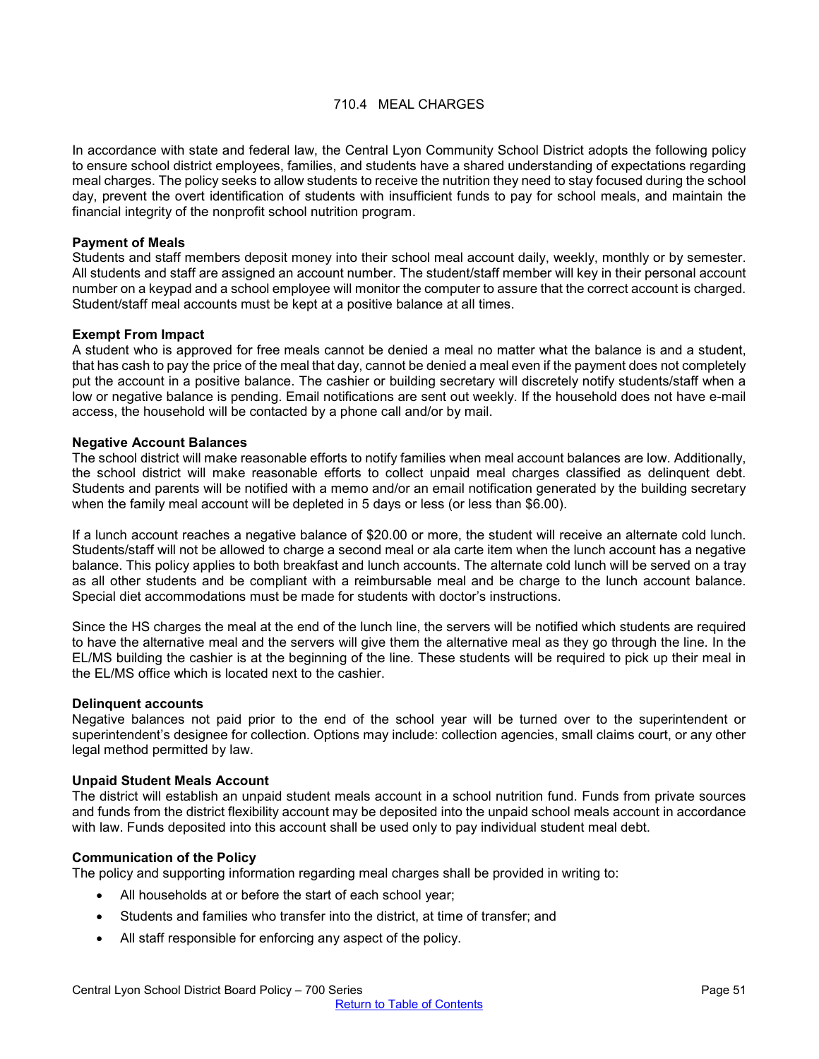# 710.4 MEAL CHARGES

<span id="page-50-0"></span>In accordance with state and federal law, the Central Lyon Community School District adopts the following policy to ensure school district employees, families, and students have a shared understanding of expectations regarding meal charges. The policy seeks to allow students to receive the nutrition they need to stay focused during the school day, prevent the overt identification of students with insufficient funds to pay for school meals, and maintain the financial integrity of the nonprofit school nutrition program.

#### **Payment of Meals**

Students and staff members deposit money into their school meal account daily, weekly, monthly or by semester. All students and staff are assigned an account number. The student/staff member will key in their personal account number on a keypad and a school employee will monitor the computer to assure that the correct account is charged. Student/staff meal accounts must be kept at a positive balance at all times.

#### **Exempt From Impact**

A student who is approved for free meals cannot be denied a meal no matter what the balance is and a student, that has cash to pay the price of the meal that day, cannot be denied a meal even if the payment does not completely put the account in a positive balance. The cashier or building secretary will discretely notify students/staff when a low or negative balance is pending. Email notifications are sent out weekly. If the household does not have e-mail access, the household will be contacted by a phone call and/or by mail.

#### **Negative Account Balances**

The school district will make reasonable efforts to notify families when meal account balances are low. Additionally, the school district will make reasonable efforts to collect unpaid meal charges classified as delinquent debt. Students and parents will be notified with a memo and/or an email notification generated by the building secretary when the family meal account will be depleted in 5 days or less (or less than \$6.00).

If a lunch account reaches a negative balance of \$20.00 or more, the student will receive an alternate cold lunch. Students/staff will not be allowed to charge a second meal or ala carte item when the lunch account has a negative balance. This policy applies to both breakfast and lunch accounts. The alternate cold lunch will be served on a tray as all other students and be compliant with a reimbursable meal and be charge to the lunch account balance. Special diet accommodations must be made for students with doctor's instructions.

Since the HS charges the meal at the end of the lunch line, the servers will be notified which students are required to have the alternative meal and the servers will give them the alternative meal as they go through the line. In the EL/MS building the cashier is at the beginning of the line. These students will be required to pick up their meal in the EL/MS office which is located next to the cashier.

#### **Delinquent accounts**

Negative balances not paid prior to the end of the school year will be turned over to the superintendent or superintendent's designee for collection. Options may include: collection agencies, small claims court, or any other legal method permitted by law.

#### **Unpaid Student Meals Account**

The district will establish an unpaid student meals account in a school nutrition fund. Funds from private sources and funds from the district flexibility account may be deposited into the unpaid school meals account in accordance with law. Funds deposited into this account shall be used only to pay individual student meal debt.

#### **Communication of the Policy**

The policy and supporting information regarding meal charges shall be provided in writing to:

- All households at or before the start of each school year;
- Students and families who transfer into the district, at time of transfer; and
- All staff responsible for enforcing any aspect of the policy.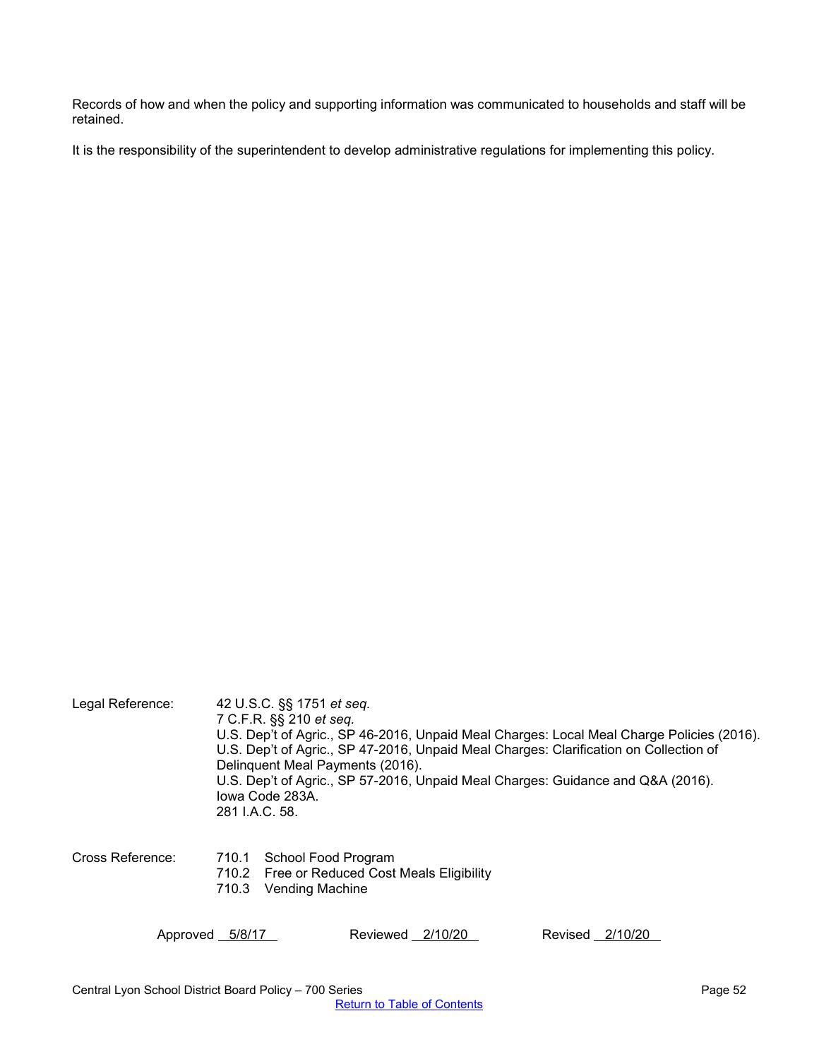Records of how and when the policy and supporting information was communicated to households and staff will be retained.

It is the responsibility of the superintendent to develop administrative regulations for implementing this policy.

| Legal Reference: | 42 U.S.C. §§ 1751 et seq.<br>7 C.F.R. §§ 210 <i>et seq.</i><br>U.S. Dep't of Agric., SP 46-2016, Unpaid Meal Charges: Local Meal Charge Policies (2016).<br>U.S. Dep't of Agric., SP 47-2016, Unpaid Meal Charges: Clarification on Collection of<br>Delinquent Meal Payments (2016).<br>U.S. Dep't of Agric., SP 57-2016, Unpaid Meal Charges: Guidance and Q&A (2016).<br>Iowa Code 283A.<br>281 I.A.C. 58. |  |  |  |
|------------------|---------------------------------------------------------------------------------------------------------------------------------------------------------------------------------------------------------------------------------------------------------------------------------------------------------------------------------------------------------------------------------------------------------------|--|--|--|
| Cross Reference: | 710.1 School Food Program<br>710.2 Free or Reduced Cost Meals Eligibility<br>Vending Machine<br>710.3                                                                                                                                                                                                                                                                                                         |  |  |  |
| Approved 5/8/17  | Reviewed 2/10/20<br>Revised 2/10/20                                                                                                                                                                                                                                                                                                                                                                           |  |  |  |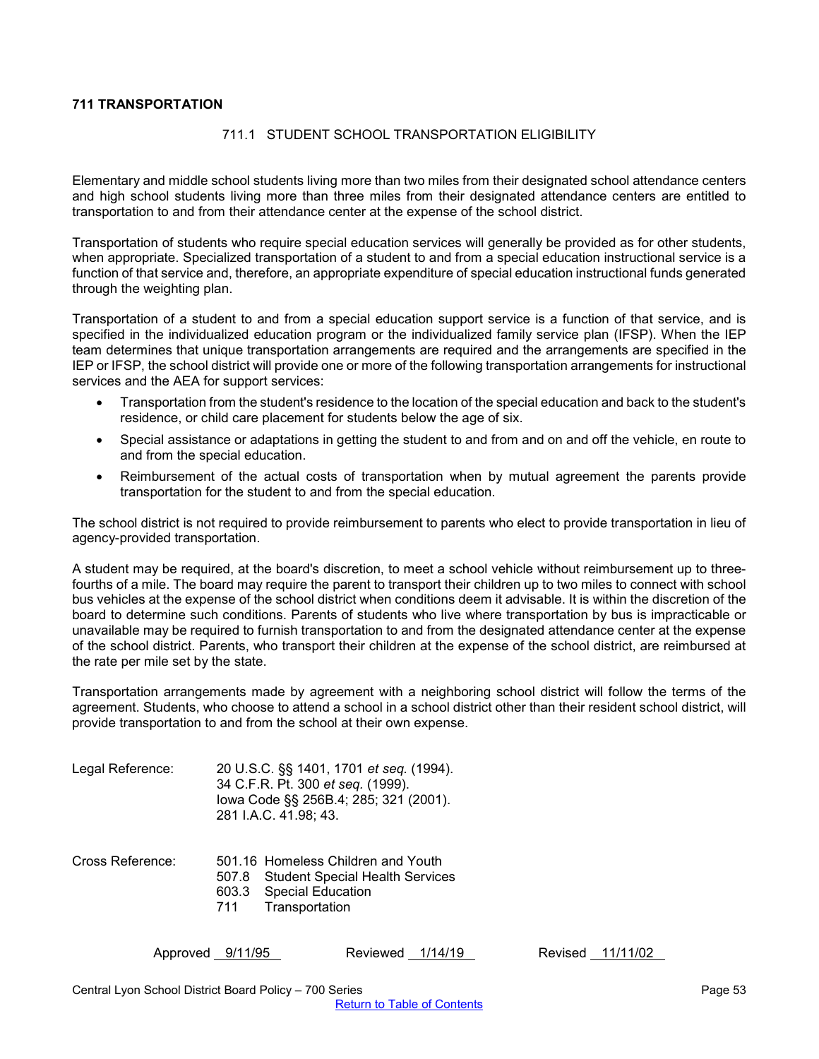# <span id="page-52-1"></span><span id="page-52-0"></span>**711 TRANSPORTATION**

## 711.1 STUDENT SCHOOL TRANSPORTATION ELIGIBILITY

Elementary and middle school students living more than two miles from their designated school attendance centers and high school students living more than three miles from their designated attendance centers are entitled to transportation to and from their attendance center at the expense of the school district.

Transportation of students who require special education services will generally be provided as for other students, when appropriate. Specialized transportation of a student to and from a special education instructional service is a function of that service and, therefore, an appropriate expenditure of special education instructional funds generated through the weighting plan.

Transportation of a student to and from a special education support service is a function of that service, and is specified in the individualized education program or the individualized family service plan (IFSP). When the IEP team determines that unique transportation arrangements are required and the arrangements are specified in the IEP or IFSP, the school district will provide one or more of the following transportation arrangements for instructional services and the AEA for support services:

- Transportation from the student's residence to the location of the special education and back to the student's residence, or child care placement for students below the age of six.
- Special assistance or adaptations in getting the student to and from and on and off the vehicle, en route to and from the special education.
- Reimbursement of the actual costs of transportation when by mutual agreement the parents provide transportation for the student to and from the special education.

The school district is not required to provide reimbursement to parents who elect to provide transportation in lieu of agency-provided transportation.

A student may be required, at the board's discretion, to meet a school vehicle without reimbursement up to threefourths of a mile. The board may require the parent to transport their children up to two miles to connect with school bus vehicles at the expense of the school district when conditions deem it advisable. It is within the discretion of the board to determine such conditions. Parents of students who live where transportation by bus is impracticable or unavailable may be required to furnish transportation to and from the designated attendance center at the expense of the school district. Parents, who transport their children at the expense of the school district, are reimbursed at the rate per mile set by the state.

Transportation arrangements made by agreement with a neighboring school district will follow the terms of the agreement. Students, who choose to attend a school in a school district other than their resident school district, will provide transportation to and from the school at their own expense.

| Legal Reference: |              | 20 U.S.C. §§ 1401, 1701 et seq. (1994).<br>34 C.F.R. Pt. 300 et seq. (1999).<br>lowa Code §§ 256B.4; 285; 321 (2001).<br>281 I.A.C. 41.98; 43. |
|------------------|--------------|------------------------------------------------------------------------------------------------------------------------------------------------|
| Cross Reference: | 507.8<br>711 | 501.16 Homeless Children and Youth<br><b>Student Special Health Services</b><br>603.3 Special Education<br>Transportation                      |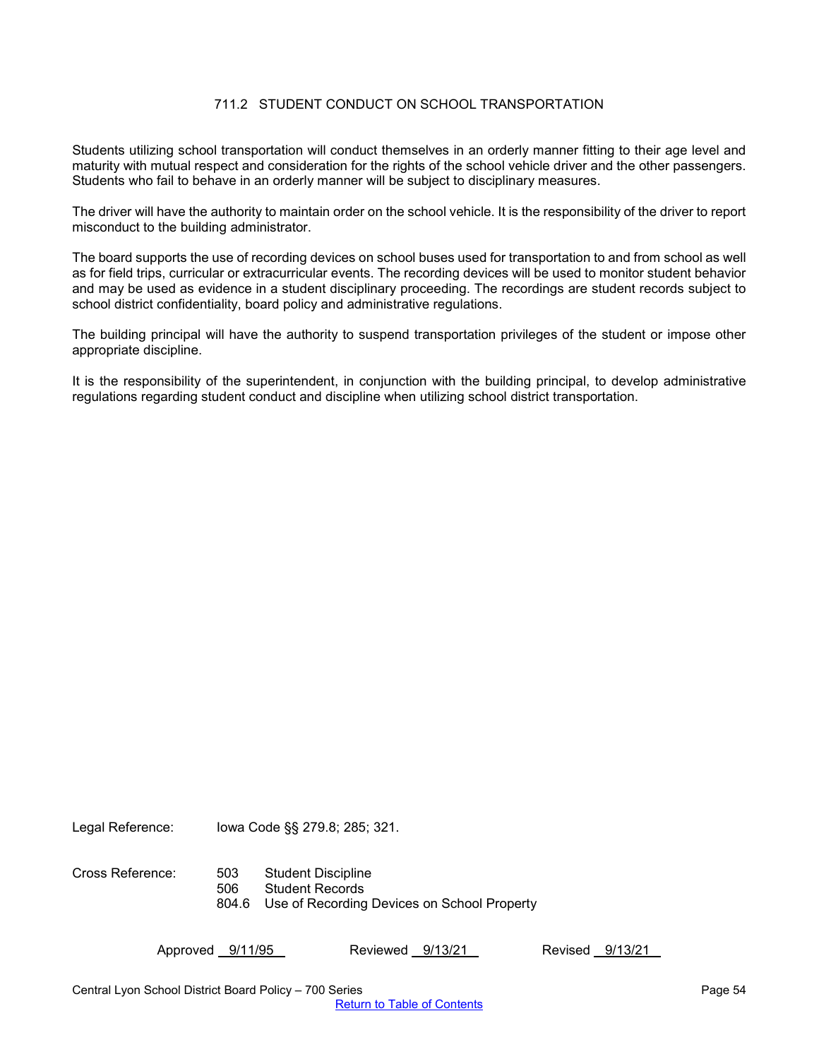# 711.2 STUDENT CONDUCT ON SCHOOL TRANSPORTATION

<span id="page-53-0"></span>Students utilizing school transportation will conduct themselves in an orderly manner fitting to their age level and maturity with mutual respect and consideration for the rights of the school vehicle driver and the other passengers. Students who fail to behave in an orderly manner will be subject to disciplinary measures.

The driver will have the authority to maintain order on the school vehicle. It is the responsibility of the driver to report misconduct to the building administrator.

The board supports the use of recording devices on school buses used for transportation to and from school as well as for field trips, curricular or extracurricular events. The recording devices will be used to monitor student behavior and may be used as evidence in a student disciplinary proceeding. The recordings are student records subject to school district confidentiality, board policy and administrative regulations.

The building principal will have the authority to suspend transportation privileges of the student or impose other appropriate discipline.

It is the responsibility of the superintendent, in conjunction with the building principal, to develop administrative regulations regarding student conduct and discipline when utilizing school district transportation.

Legal Reference: Iowa Code §§ 279.8; 285; 321.

Cross Reference: 503 Student Discipline 506 Student Records 804.6 Use of Recording Devices on School Property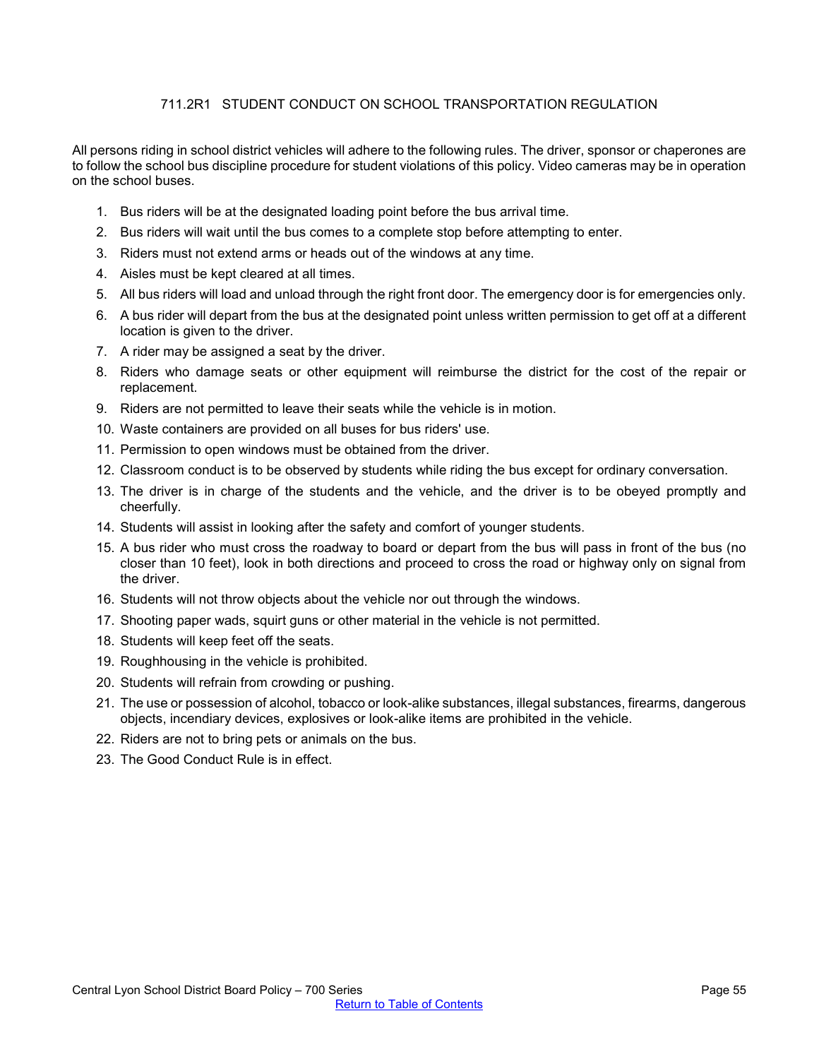# 711.2R1 STUDENT CONDUCT ON SCHOOL TRANSPORTATION REGULATION

<span id="page-54-0"></span>All persons riding in school district vehicles will adhere to the following rules. The driver, sponsor or chaperones are to follow the school bus discipline procedure for student violations of this policy. Video cameras may be in operation on the school buses.

- 1. Bus riders will be at the designated loading point before the bus arrival time.
- 2. Bus riders will wait until the bus comes to a complete stop before attempting to enter.
- 3. Riders must not extend arms or heads out of the windows at any time.
- 4. Aisles must be kept cleared at all times.
- 5. All bus riders will load and unload through the right front door. The emergency door is for emergencies only.
- 6. A bus rider will depart from the bus at the designated point unless written permission to get off at a different location is given to the driver.
- 7. A rider may be assigned a seat by the driver.
- 8. Riders who damage seats or other equipment will reimburse the district for the cost of the repair or replacement.
- 9. Riders are not permitted to leave their seats while the vehicle is in motion.
- 10. Waste containers are provided on all buses for bus riders' use.
- 11. Permission to open windows must be obtained from the driver.
- 12. Classroom conduct is to be observed by students while riding the bus except for ordinary conversation.
- 13. The driver is in charge of the students and the vehicle, and the driver is to be obeyed promptly and cheerfully.
- 14. Students will assist in looking after the safety and comfort of younger students.
- 15. A bus rider who must cross the roadway to board or depart from the bus will pass in front of the bus (no closer than 10 feet), look in both directions and proceed to cross the road or highway only on signal from the driver.
- 16. Students will not throw objects about the vehicle nor out through the windows.
- 17. Shooting paper wads, squirt guns or other material in the vehicle is not permitted.
- 18. Students will keep feet off the seats.
- 19. Roughhousing in the vehicle is prohibited.
- 20. Students will refrain from crowding or pushing.
- 21. The use or possession of alcohol, tobacco or look-alike substances, illegal substances, firearms, dangerous objects, incendiary devices, explosives or look-alike items are prohibited in the vehicle.
- 22. Riders are not to bring pets or animals on the bus.
- 23. The Good Conduct Rule is in effect.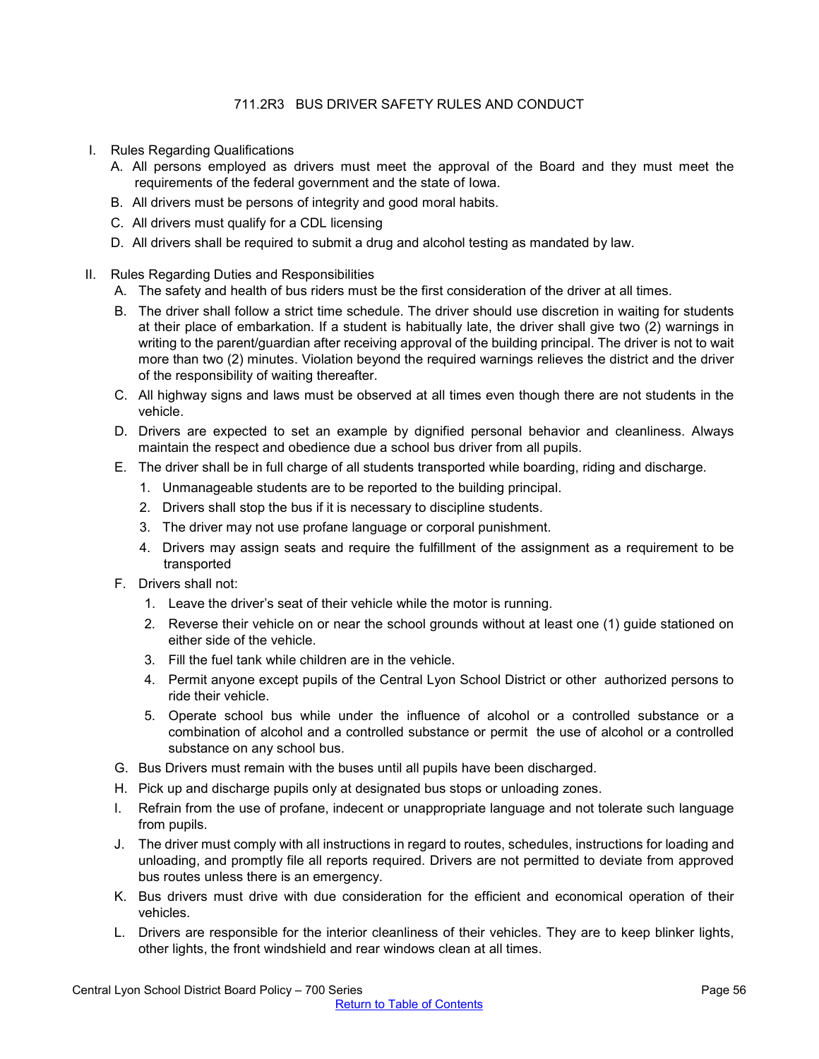# 711.2R3 BUS DRIVER SAFETY RULES AND CONDUCT

- <span id="page-55-0"></span>I. Rules Regarding Qualifications
	- A. All persons employed as drivers must meet the approval of the Board and they must meet the requirements of the federal government and the state of Iowa.
	- B. All drivers must be persons of integrity and good moral habits.
	- C. All drivers must qualify for a CDL licensing
	- D. All drivers shall be required to submit a drug and alcohol testing as mandated by law.

#### II. Rules Regarding Duties and Responsibilities

- A. The safety and health of bus riders must be the first consideration of the driver at all times.
- B. The driver shall follow a strict time schedule. The driver should use discretion in waiting for students at their place of embarkation. If a student is habitually late, the driver shall give two (2) warnings in writing to the parent/guardian after receiving approval of the building principal. The driver is not to wait more than two (2) minutes. Violation beyond the required warnings relieves the district and the driver of the responsibility of waiting thereafter.
- C. All highway signs and laws must be observed at all times even though there are not students in the vehicle.
- D. Drivers are expected to set an example by dignified personal behavior and cleanliness. Always maintain the respect and obedience due a school bus driver from all pupils.
- E. The driver shall be in full charge of all students transported while boarding, riding and discharge.
	- 1. Unmanageable students are to be reported to the building principal.
	- 2. Drivers shall stop the bus if it is necessary to discipline students.
	- 3. The driver may not use profane language or corporal punishment.
	- 4. Drivers may assign seats and require the fulfillment of the assignment as a requirement to be transported
- F. Drivers shall not:
	- 1. Leave the driver's seat of their vehicle while the motor is running.
	- 2. Reverse their vehicle on or near the school grounds without at least one (1) guide stationed on either side of the vehicle.
	- 3. Fill the fuel tank while children are in the vehicle.
	- 4. Permit anyone except pupils of the Central Lyon School District or other authorized persons to ride their vehicle.
	- 5. Operate school bus while under the influence of alcohol or a controlled substance or a combination of alcohol and a controlled substance or permit the use of alcohol or a controlled substance on any school bus.
- G. Bus Drivers must remain with the buses until all pupils have been discharged.
- H. Pick up and discharge pupils only at designated bus stops or unloading zones.
- I. Refrain from the use of profane, indecent or unappropriate language and not tolerate such language from pupils.
- J. The driver must comply with all instructions in regard to routes, schedules, instructions for loading and unloading, and promptly file all reports required. Drivers are not permitted to deviate from approved bus routes unless there is an emergency.
- K. Bus drivers must drive with due consideration for the efficient and economical operation of their vehicles.
- L. Drivers are responsible for the interior cleanliness of their vehicles. They are to keep blinker lights, other lights, the front windshield and rear windows clean at all times.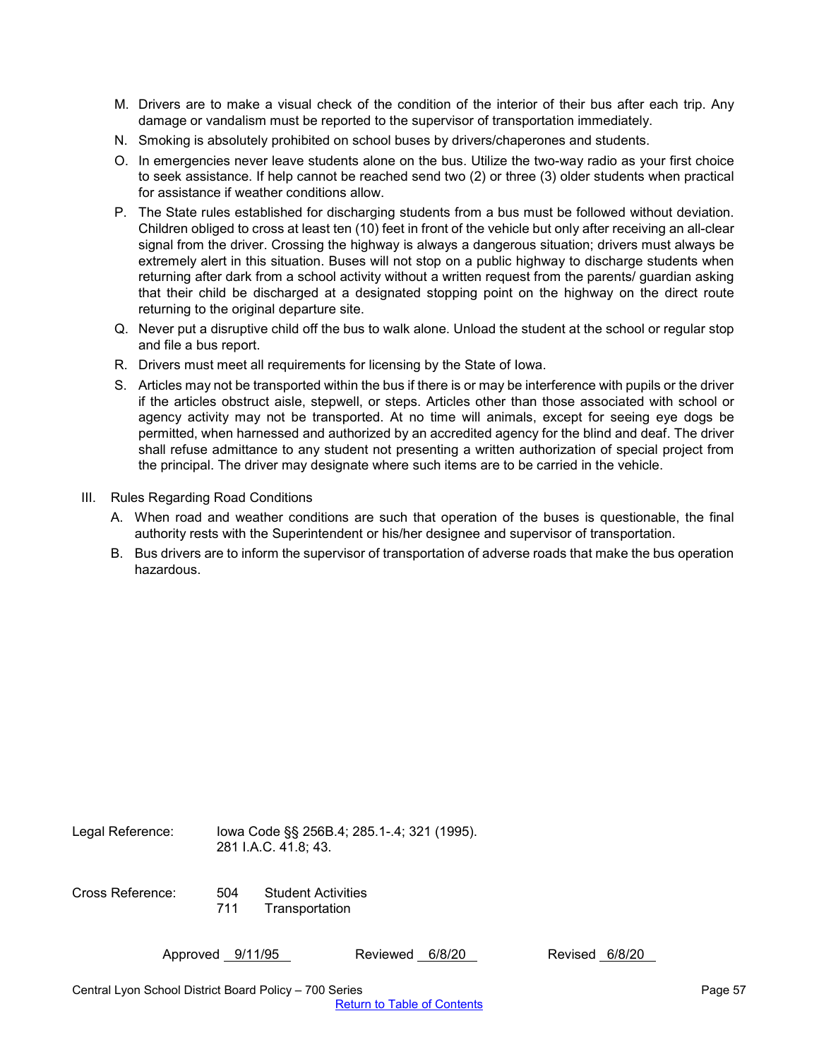- M. Drivers are to make a visual check of the condition of the interior of their bus after each trip. Any damage or vandalism must be reported to the supervisor of transportation immediately.
- N. Smoking is absolutely prohibited on school buses by drivers/chaperones and students.
- O. In emergencies never leave students alone on the bus. Utilize the two-way radio as your first choice to seek assistance. If help cannot be reached send two (2) or three (3) older students when practical for assistance if weather conditions allow.
- P. The State rules established for discharging students from a bus must be followed without deviation. Children obliged to cross at least ten (10) feet in front of the vehicle but only after receiving an all-clear signal from the driver. Crossing the highway is always a dangerous situation; drivers must always be extremely alert in this situation. Buses will not stop on a public highway to discharge students when returning after dark from a school activity without a written request from the parents/ guardian asking that their child be discharged at a designated stopping point on the highway on the direct route returning to the original departure site.
- Q. Never put a disruptive child off the bus to walk alone. Unload the student at the school or regular stop and file a bus report.
- R. Drivers must meet all requirements for licensing by the State of Iowa.
- S. Articles may not be transported within the bus if there is or may be interference with pupils or the driver if the articles obstruct aisle, stepwell, or steps. Articles other than those associated with school or agency activity may not be transported. At no time will animals, except for seeing eye dogs be permitted, when harnessed and authorized by an accredited agency for the blind and deaf. The driver shall refuse admittance to any student not presenting a written authorization of special project from the principal. The driver may designate where such items are to be carried in the vehicle.
- III. Rules Regarding Road Conditions
	- A. When road and weather conditions are such that operation of the buses is questionable, the final authority rests with the Superintendent or his/her designee and supervisor of transportation.
	- B. Bus drivers are to inform the supervisor of transportation of adverse roads that make the bus operation hazardous.

Legal Reference: Iowa Code §§ 256B.4; 285.1-.4; 321 (1995). 281 I.A.C. 41.8; 43. Cross Reference: 504 Student Activities 711 Transportation

Approved 9/11/95 Reviewed 6/8/20 Revised 6/8/20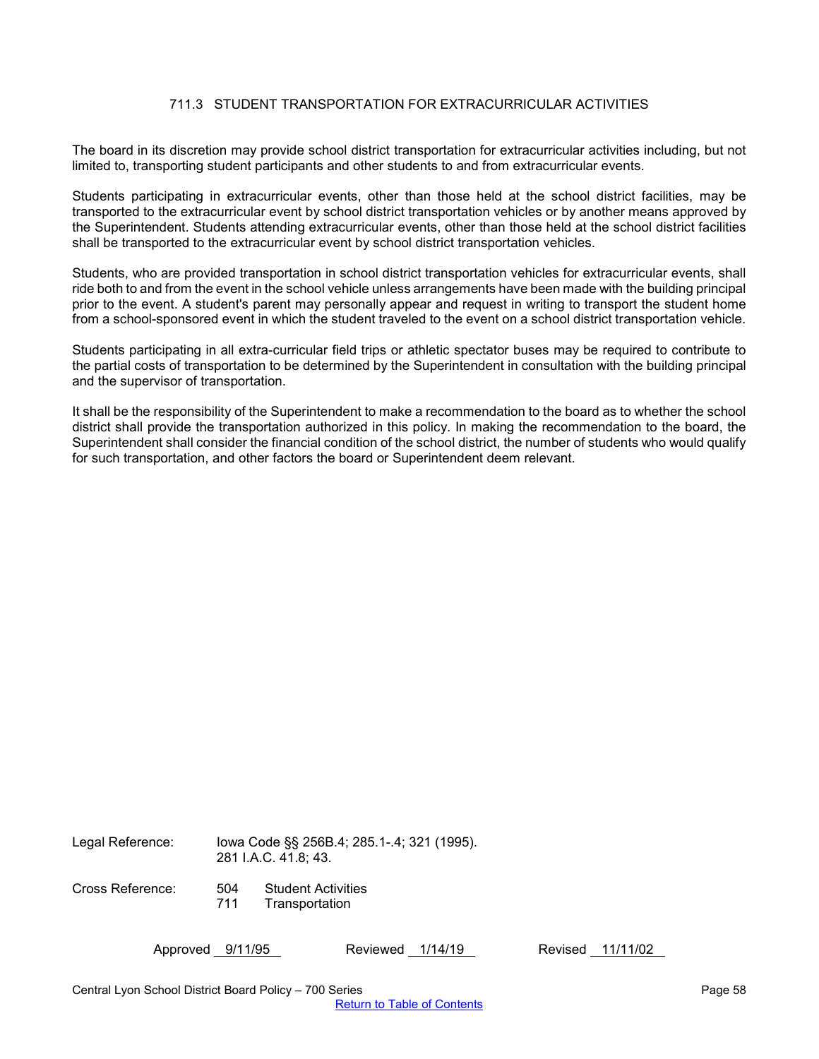# 711.3 STUDENT TRANSPORTATION FOR EXTRACURRICULAR ACTIVITIES

<span id="page-57-0"></span>The board in its discretion may provide school district transportation for extracurricular activities including, but not limited to, transporting student participants and other students to and from extracurricular events.

Students participating in extracurricular events, other than those held at the school district facilities, may be transported to the extracurricular event by school district transportation vehicles or by another means approved by the Superintendent. Students attending extracurricular events, other than those held at the school district facilities shall be transported to the extracurricular event by school district transportation vehicles.

Students, who are provided transportation in school district transportation vehicles for extracurricular events, shall ride both to and from the event in the school vehicle unless arrangements have been made with the building principal prior to the event. A student's parent may personally appear and request in writing to transport the student home from a school-sponsored event in which the student traveled to the event on a school district transportation vehicle.

Students participating in all extra-curricular field trips or athletic spectator buses may be required to contribute to the partial costs of transportation to be determined by the Superintendent in consultation with the building principal and the supervisor of transportation.

It shall be the responsibility of the Superintendent to make a recommendation to the board as to whether the school district shall provide the transportation authorized in this policy. In making the recommendation to the board, the Superintendent shall consider the financial condition of the school district, the number of students who would qualify for such transportation, and other factors the board or Superintendent deem relevant.

Legal Reference: Iowa Code §§ 256B.4; 285.1-.4; 321 (1995). 281 I.A.C. 41.8; 43.

Cross Reference: 504 Student Activities

711 Transportation

Approved 9/11/95 Reviewed 1/14/19 Revised 11/11/02

Central Lyon School District Board Policy – 700 Series Page 58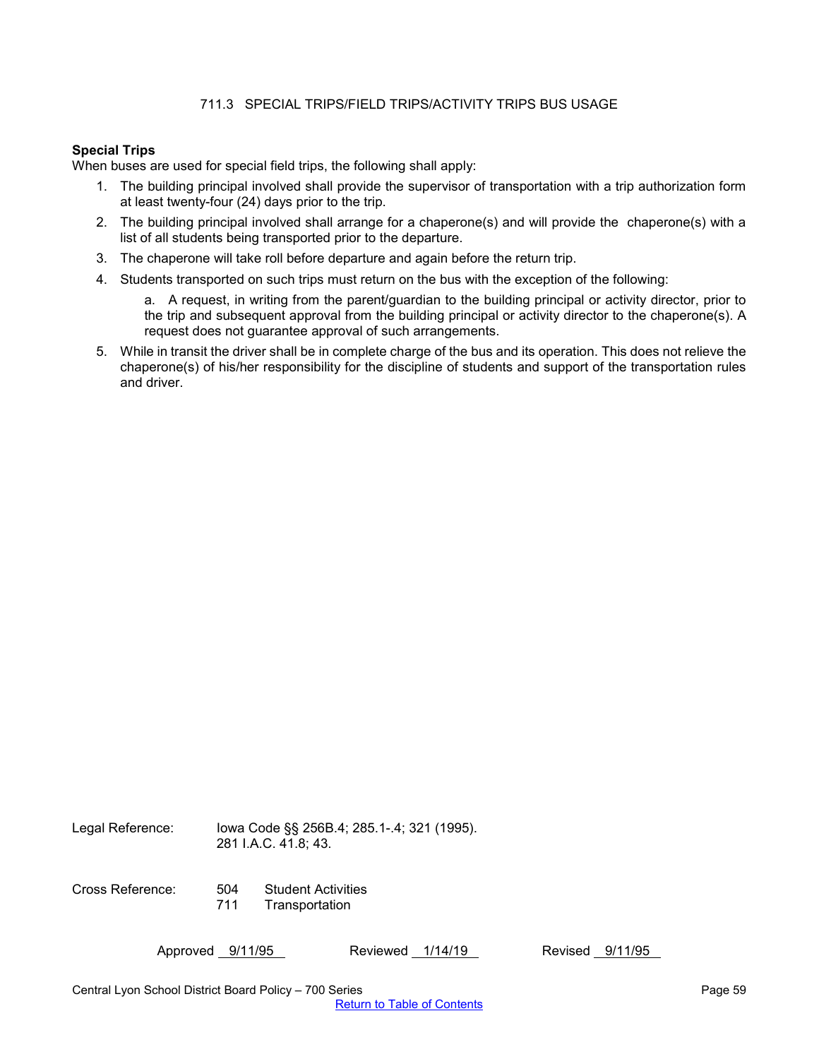# 711.3 SPECIAL TRIPS/FIELD TRIPS/ACTIVITY TRIPS BUS USAGE

## <span id="page-58-0"></span>**Special Trips**

When buses are used for special field trips, the following shall apply:

- 1. The building principal involved shall provide the supervisor of transportation with a trip authorization form at least twenty-four (24) days prior to the trip.
- 2. The building principal involved shall arrange for a chaperone(s) and will provide the chaperone(s) with a list of all students being transported prior to the departure.
- 3. The chaperone will take roll before departure and again before the return trip.
- 4. Students transported on such trips must return on the bus with the exception of the following:
	- a. A request, in writing from the parent/guardian to the building principal or activity director, prior to the trip and subsequent approval from the building principal or activity director to the chaperone(s). A request does not guarantee approval of such arrangements.
- 5. While in transit the driver shall be in complete charge of the bus and its operation. This does not relieve the chaperone(s) of his/her responsibility for the discipline of students and support of the transportation rules and driver.

Legal Reference: Iowa Code §§ 256B.4; 285.1-.4; 321 (1995). 281 I.A.C. 41.8; 43.

Cross Reference: 504 Student Activities **Transportation**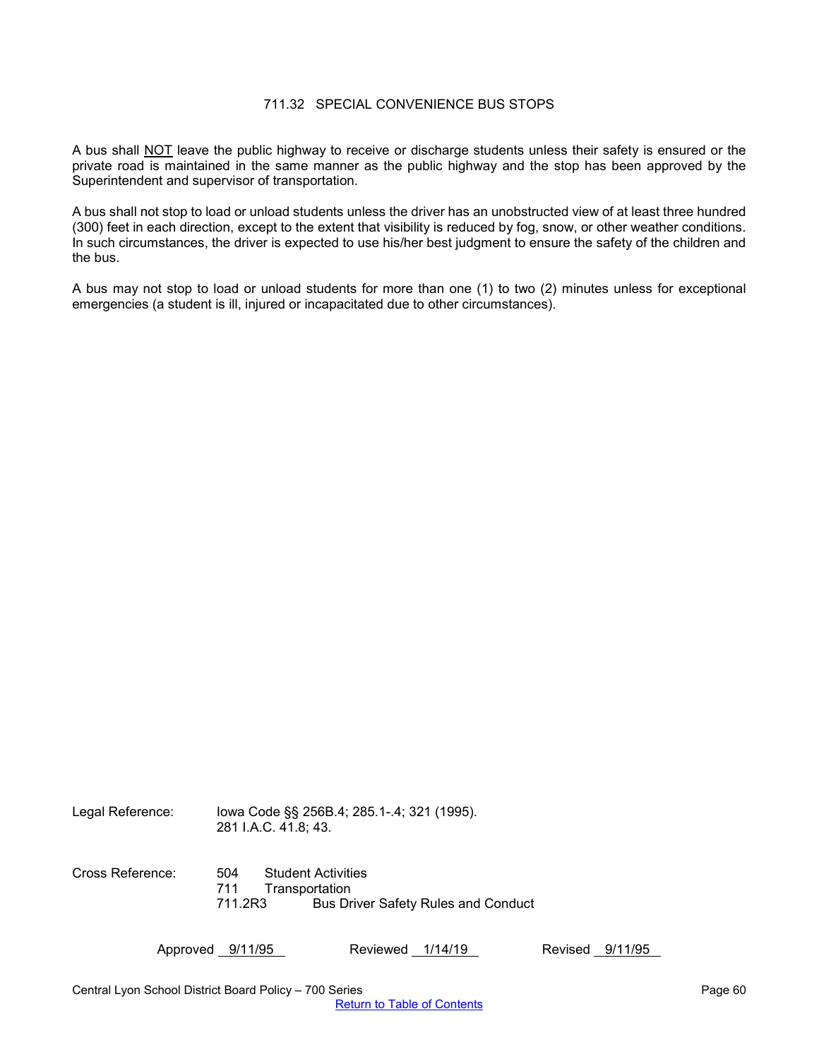## 711.32 SPECIAL CONVENIENCE BUS STOPS

<span id="page-59-0"></span>A bus shall NOT leave the public highway to receive or discharge students unless their safety is ensured or the private road is maintained in the same manner as the public highway and the stop has been approved by the Superintendent and supervisor of transportation.

A bus shall not stop to load or unload students unless the driver has an unobstructed view of at least three hundred (300) feet in each direction, except to the extent that visibility is reduced by fog, snow, or other weather conditions. In such circumstances, the driver is expected to use his/her best judgment to ensure the safety of the children and the bus.

A bus may not stop to load or unload students for more than one (1) to two (2) minutes unless for exceptional emergencies (a student is ill, injured or incapacitated due to other circumstances).

| Legal Reference: | 281 I.A.C. 41.8; 43. | lowa Code §§ 256B.4; 285.1-.4; 321 (1995).  |
|------------------|----------------------|---------------------------------------------|
| Cross Reference: | 504<br>711           | <b>Student Activities</b><br>Transportation |
|                  | 711.2R3              | <b>Bus Driver Safety Rules and Conduct</b>  |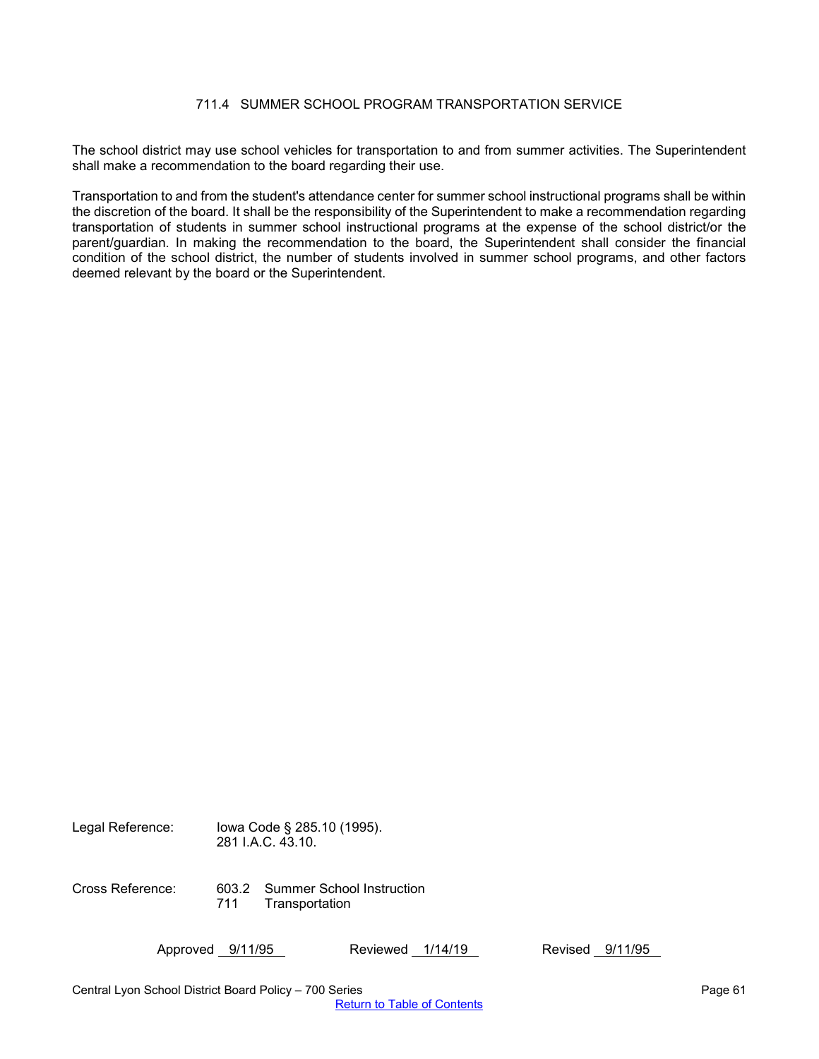# 711.4 SUMMER SCHOOL PROGRAM TRANSPORTATION SERVICE

<span id="page-60-0"></span>The school district may use school vehicles for transportation to and from summer activities. The Superintendent shall make a recommendation to the board regarding their use.

Transportation to and from the student's attendance center for summer school instructional programs shall be within the discretion of the board. It shall be the responsibility of the Superintendent to make a recommendation regarding transportation of students in summer school instructional programs at the expense of the school district/or the parent/guardian. In making the recommendation to the board, the Superintendent shall consider the financial condition of the school district, the number of students involved in summer school programs, and other factors deemed relevant by the board or the Superintendent.

Legal Reference: Iowa Code § 285.10 (1995). 281 I.A.C. 43.10. Cross Reference: 603.2 Summer School Instruction 711 Transportation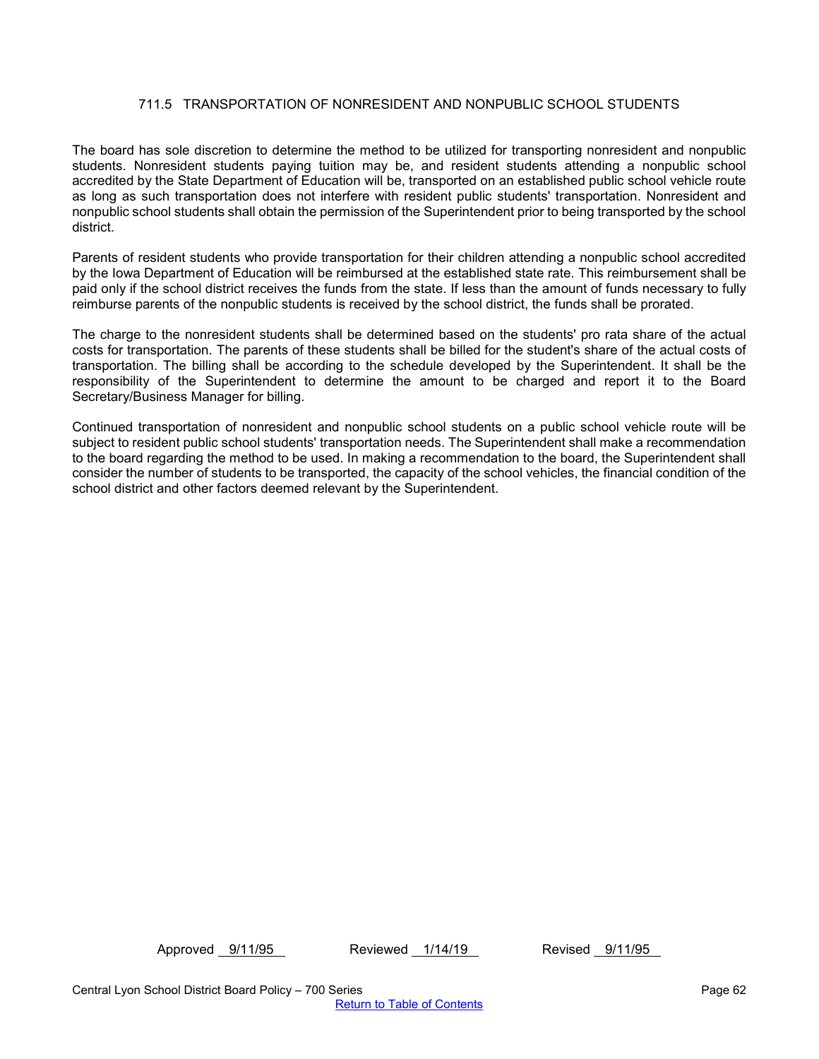# 711.5 TRANSPORTATION OF NONRESIDENT AND NONPUBLIC SCHOOL STUDENTS

<span id="page-61-0"></span>The board has sole discretion to determine the method to be utilized for transporting nonresident and nonpublic students. Nonresident students paying tuition may be, and resident students attending a nonpublic school accredited by the State Department of Education will be, transported on an established public school vehicle route as long as such transportation does not interfere with resident public students' transportation. Nonresident and nonpublic school students shall obtain the permission of the Superintendent prior to being transported by the school district.

Parents of resident students who provide transportation for their children attending a nonpublic school accredited by the Iowa Department of Education will be reimbursed at the established state rate. This reimbursement shall be paid only if the school district receives the funds from the state. If less than the amount of funds necessary to fully reimburse parents of the nonpublic students is received by the school district, the funds shall be prorated.

The charge to the nonresident students shall be determined based on the students' pro rata share of the actual costs for transportation. The parents of these students shall be billed for the student's share of the actual costs of transportation. The billing shall be according to the schedule developed by the Superintendent. It shall be the responsibility of the Superintendent to determine the amount to be charged and report it to the Board Secretary/Business Manager for billing.

Continued transportation of nonresident and nonpublic school students on a public school vehicle route will be subject to resident public school students' transportation needs. The Superintendent shall make a recommendation to the board regarding the method to be used. In making a recommendation to the board, the Superintendent shall consider the number of students to be transported, the capacity of the school vehicles, the financial condition of the school district and other factors deemed relevant by the Superintendent.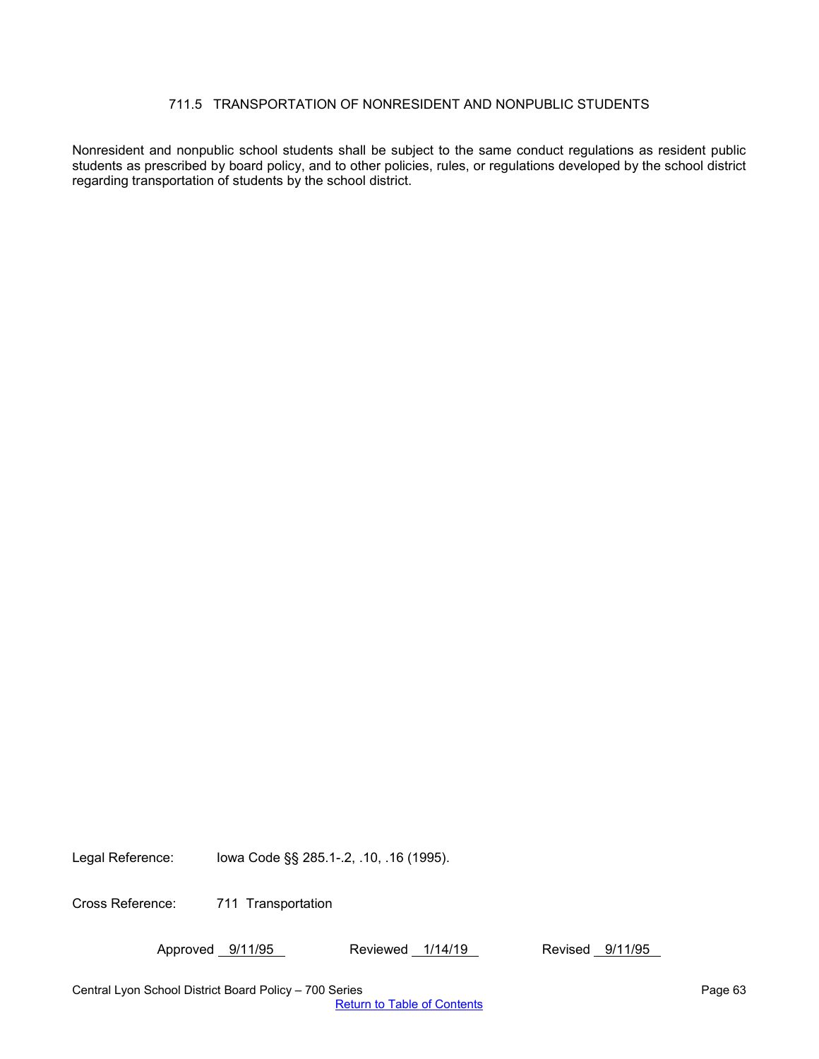# 711.5 TRANSPORTATION OF NONRESIDENT AND NONPUBLIC STUDENTS

<span id="page-62-0"></span>Nonresident and nonpublic school students shall be subject to the same conduct regulations as resident public students as prescribed by board policy, and to other policies, rules, or regulations developed by the school district regarding transportation of students by the school district.

Legal Reference: Iowa Code §§ 285.1-.2, .10, .16 (1995).

Cross Reference: 711 Transportation

Approved 9/11/95 Reviewed 1/14/19 Revised 9/11/95

Central Lyon School District Board Policy – 700 Series Page 63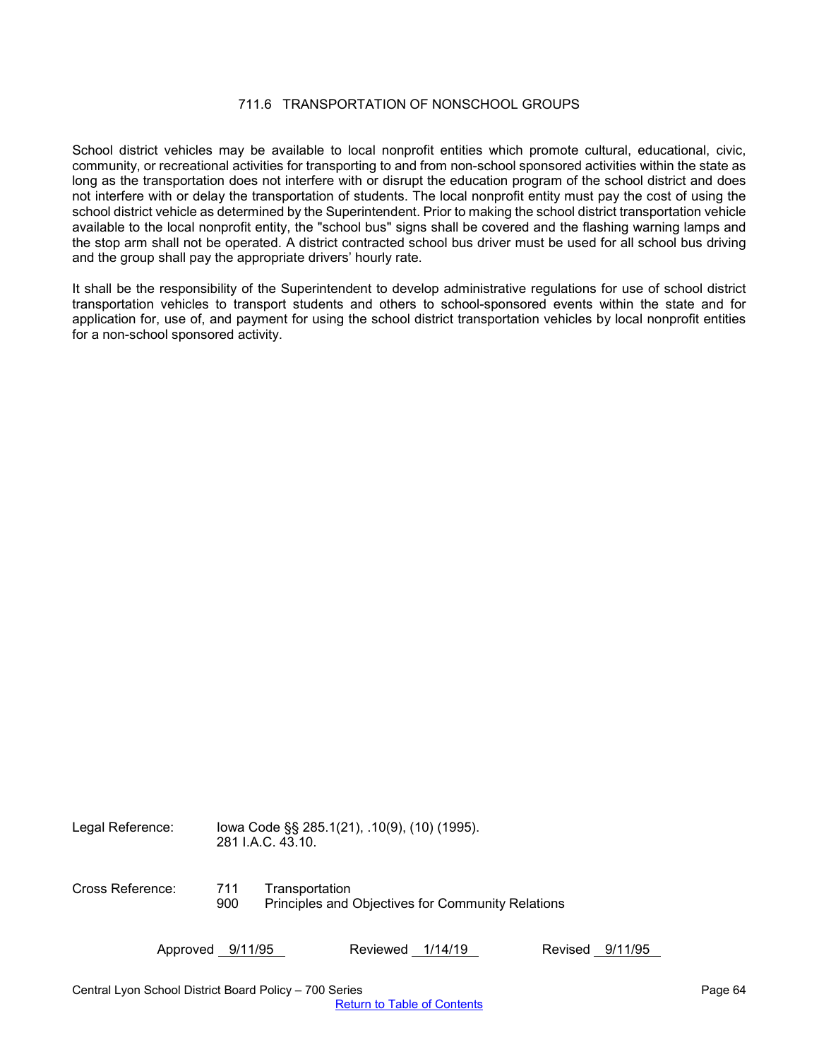## 711.6 TRANSPORTATION OF NONSCHOOL GROUPS

<span id="page-63-0"></span>School district vehicles may be available to local nonprofit entities which promote cultural, educational, civic, community, or recreational activities for transporting to and from non-school sponsored activities within the state as long as the transportation does not interfere with or disrupt the education program of the school district and does not interfere with or delay the transportation of students. The local nonprofit entity must pay the cost of using the school district vehicle as determined by the Superintendent. Prior to making the school district transportation vehicle available to the local nonprofit entity, the "school bus" signs shall be covered and the flashing warning lamps and the stop arm shall not be operated. A district contracted school bus driver must be used for all school bus driving and the group shall pay the appropriate drivers' hourly rate.

It shall be the responsibility of the Superintendent to develop administrative regulations for use of school district transportation vehicles to transport students and others to school-sponsored events within the state and for application for, use of, and payment for using the school district transportation vehicles by local nonprofit entities for a non-school sponsored activity.

Legal Reference: Iowa Code §§ 285.1(21), .10(9), (10) (1995). 281 I.A.C. 43.10. Cross Reference: 711 Transportation 900 Principles and Objectives for Community Relations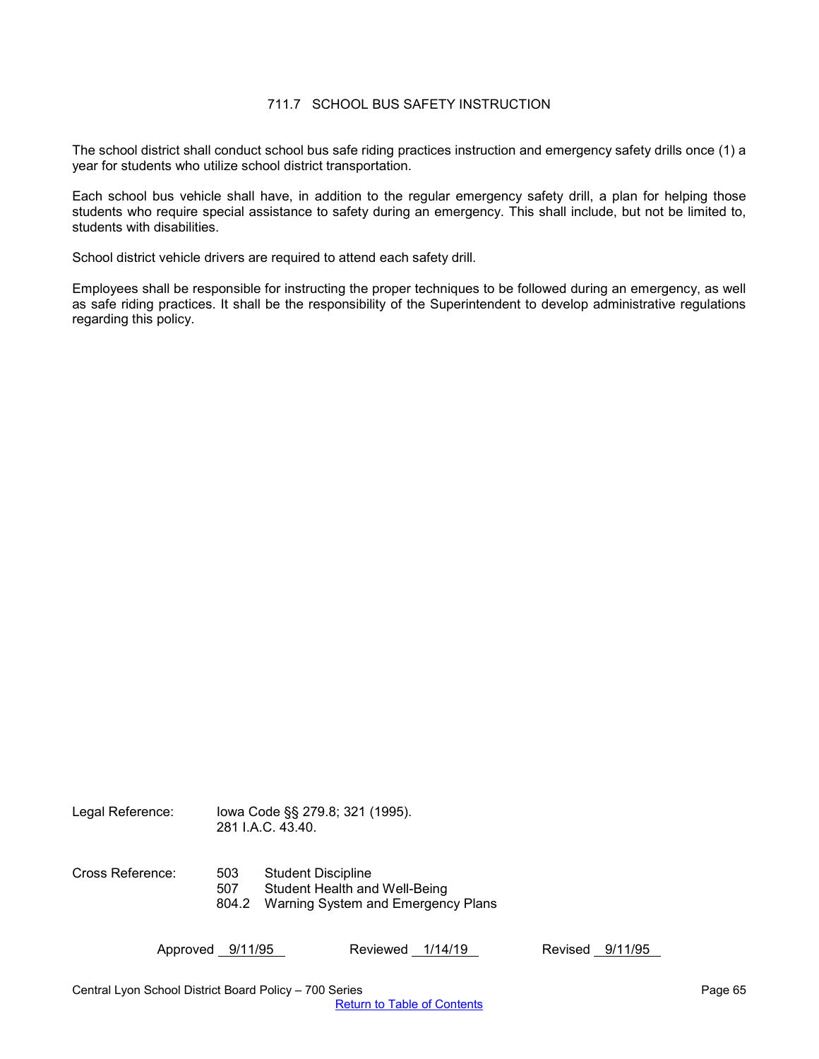## 711.7 SCHOOL BUS SAFETY INSTRUCTION

<span id="page-64-0"></span>The school district shall conduct school bus safe riding practices instruction and emergency safety drills once (1) a year for students who utilize school district transportation.

Each school bus vehicle shall have, in addition to the regular emergency safety drill, a plan for helping those students who require special assistance to safety during an emergency. This shall include, but not be limited to, students with disabilities.

School district vehicle drivers are required to attend each safety drill.

Employees shall be responsible for instructing the proper techniques to be followed during an emergency, as well as safe riding practices. It shall be the responsibility of the Superintendent to develop administrative regulations regarding this policy.

Legal Reference: Iowa Code §§ 279.8; 321 (1995). 281 I.A.C. 43.40. Cross Reference: 503 Student Discipline 507 Student Health and Well-Being 804.2 Warning System and Emergency Plans

Approved 9/11/95 Reviewed 1/14/19 Revised 9/11/95

Central Lyon School District Board Policy – 700 Series Page 65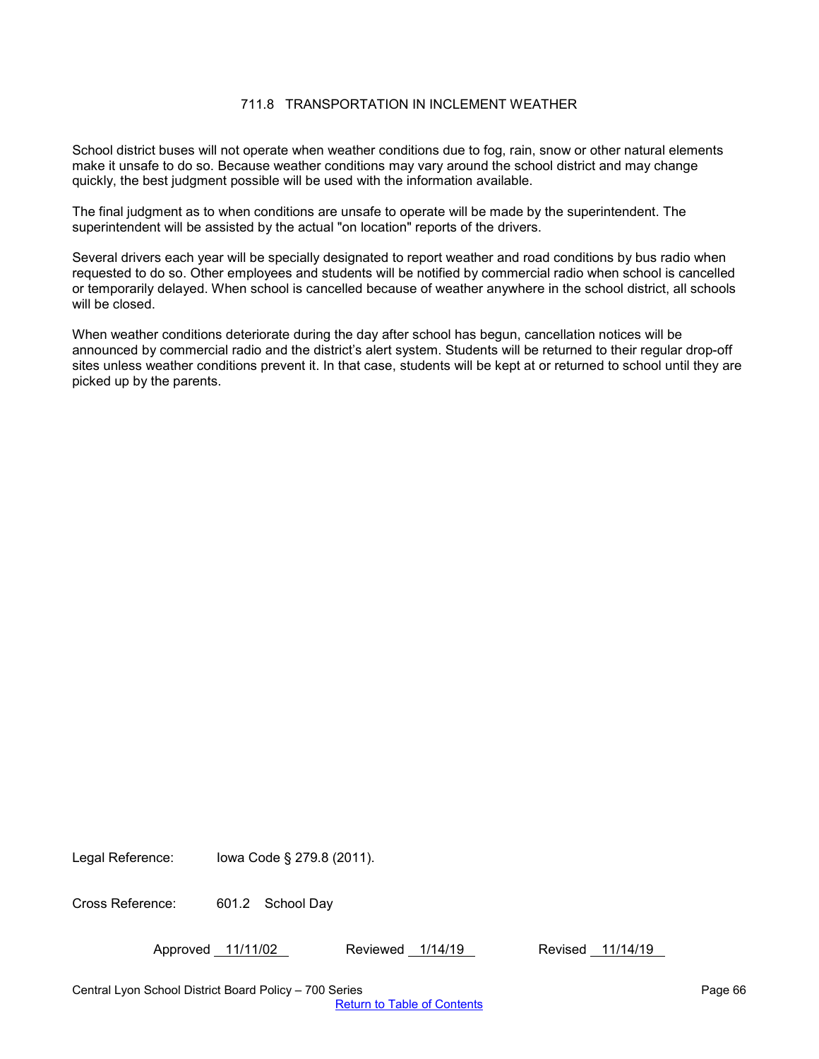# 711.8 TRANSPORTATION IN INCLEMENT WEATHER

<span id="page-65-0"></span>School district buses will not operate when weather conditions due to fog, rain, snow or other natural elements make it unsafe to do so. Because weather conditions may vary around the school district and may change quickly, the best judgment possible will be used with the information available.

The final judgment as to when conditions are unsafe to operate will be made by the superintendent. The superintendent will be assisted by the actual "on location" reports of the drivers.

Several drivers each year will be specially designated to report weather and road conditions by bus radio when requested to do so. Other employees and students will be notified by commercial radio when school is cancelled or temporarily delayed. When school is cancelled because of weather anywhere in the school district, all schools will be closed.

When weather conditions deteriorate during the day after school has begun, cancellation notices will be announced by commercial radio and the district's alert system. Students will be returned to their regular drop-off sites unless weather conditions prevent it. In that case, students will be kept at or returned to school until they are picked up by the parents.

Legal Reference: Iowa Code § 279.8 (2011).

Cross Reference: 601.2 School Day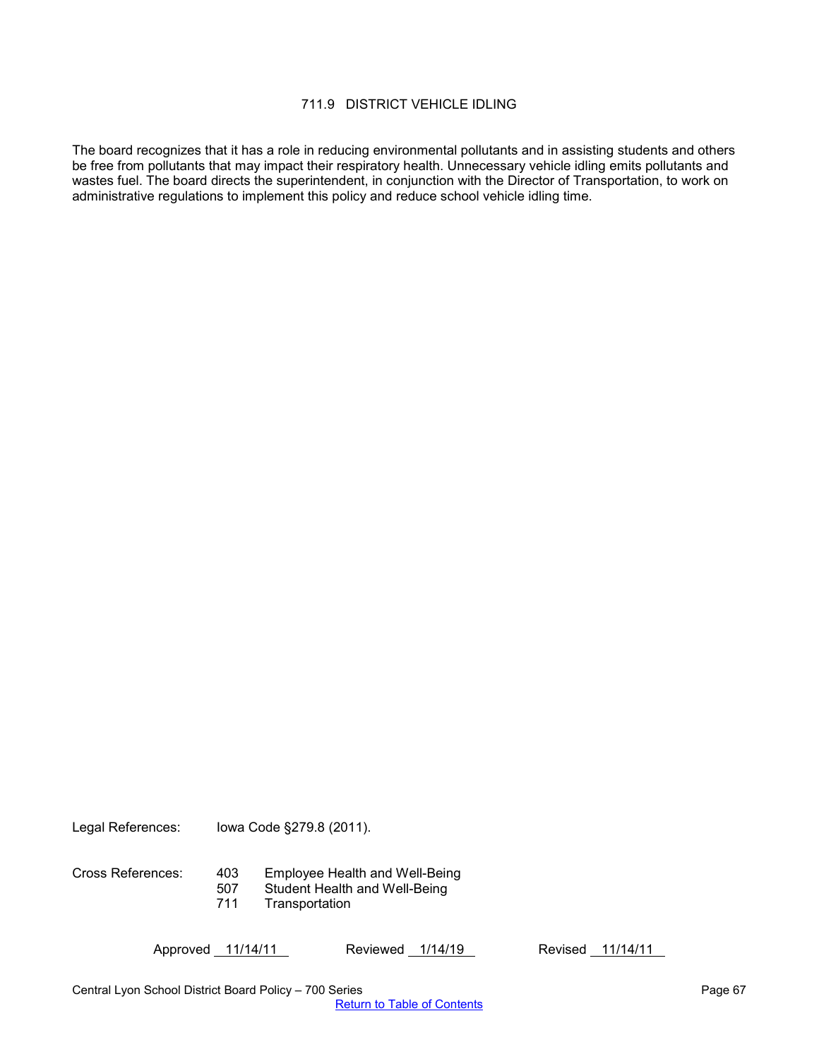## 711.9 DISTRICT VEHICLE IDLING

<span id="page-66-0"></span>The board recognizes that it has a role in reducing environmental pollutants and in assisting students and others be free from pollutants that may impact their respiratory health. Unnecessary vehicle idling emits pollutants and wastes fuel. The board directs the superintendent, in conjunction with the Director of Transportation, to work on administrative regulations to implement this policy and reduce school vehicle idling time.

Legal References: Iowa Code §279.8 (2011).

Cross References: 403 Employee Health and Well-Being

- 507 Student Health and Well-Being
- 711 Transportation

Approved 11/14/11 Reviewed 1/14/19 Revised 11/14/11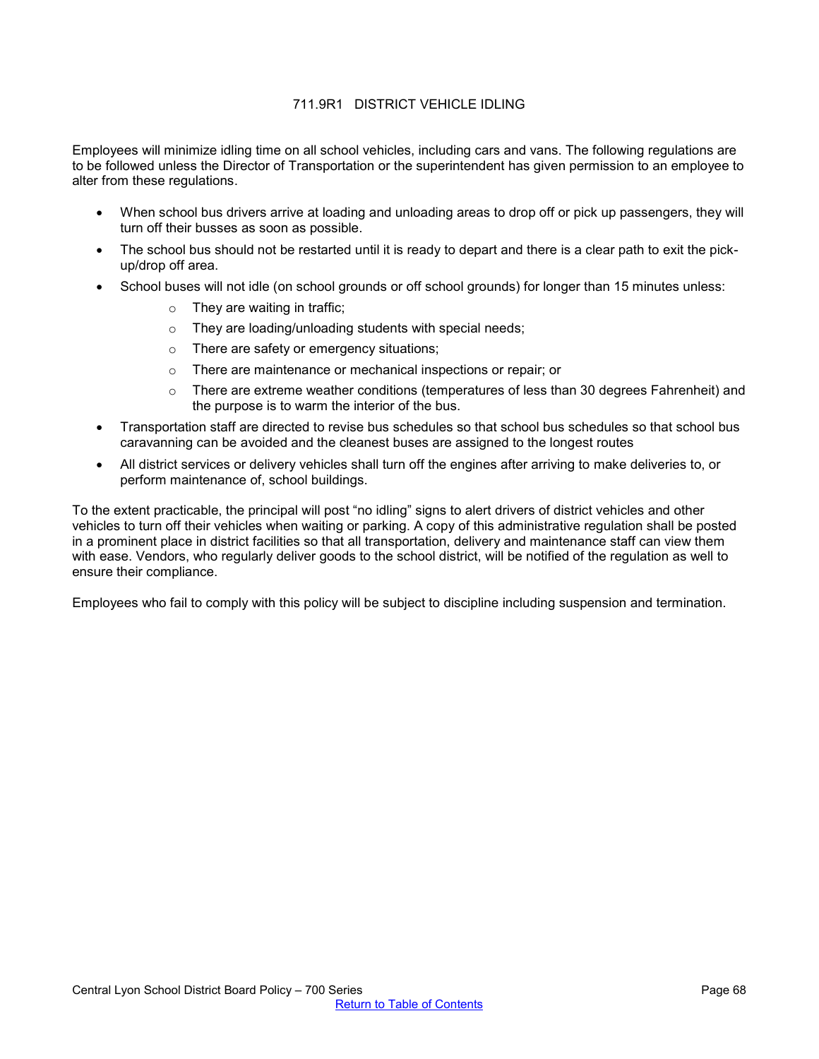# 711.9R1 DISTRICT VEHICLE IDLING

<span id="page-67-0"></span>Employees will minimize idling time on all school vehicles, including cars and vans. The following regulations are to be followed unless the Director of Transportation or the superintendent has given permission to an employee to alter from these regulations.

- When school bus drivers arrive at loading and unloading areas to drop off or pick up passengers, they will turn off their busses as soon as possible.
- The school bus should not be restarted until it is ready to depart and there is a clear path to exit the pickup/drop off area.
- School buses will not idle (on school grounds or off school grounds) for longer than 15 minutes unless:
	- $\circ$  They are waiting in traffic;
	- o They are loading/unloading students with special needs;
	- o There are safety or emergency situations;
	- o There are maintenance or mechanical inspections or repair; or
	- o There are extreme weather conditions (temperatures of less than 30 degrees Fahrenheit) and the purpose is to warm the interior of the bus.
- Transportation staff are directed to revise bus schedules so that school bus schedules so that school bus caravanning can be avoided and the cleanest buses are assigned to the longest routes
- All district services or delivery vehicles shall turn off the engines after arriving to make deliveries to, or perform maintenance of, school buildings.

To the extent practicable, the principal will post "no idling" signs to alert drivers of district vehicles and other vehicles to turn off their vehicles when waiting or parking. A copy of this administrative regulation shall be posted in a prominent place in district facilities so that all transportation, delivery and maintenance staff can view them with ease. Vendors, who regularly deliver goods to the school district, will be notified of the regulation as well to ensure their compliance.

Employees who fail to comply with this policy will be subject to discipline including suspension and termination.